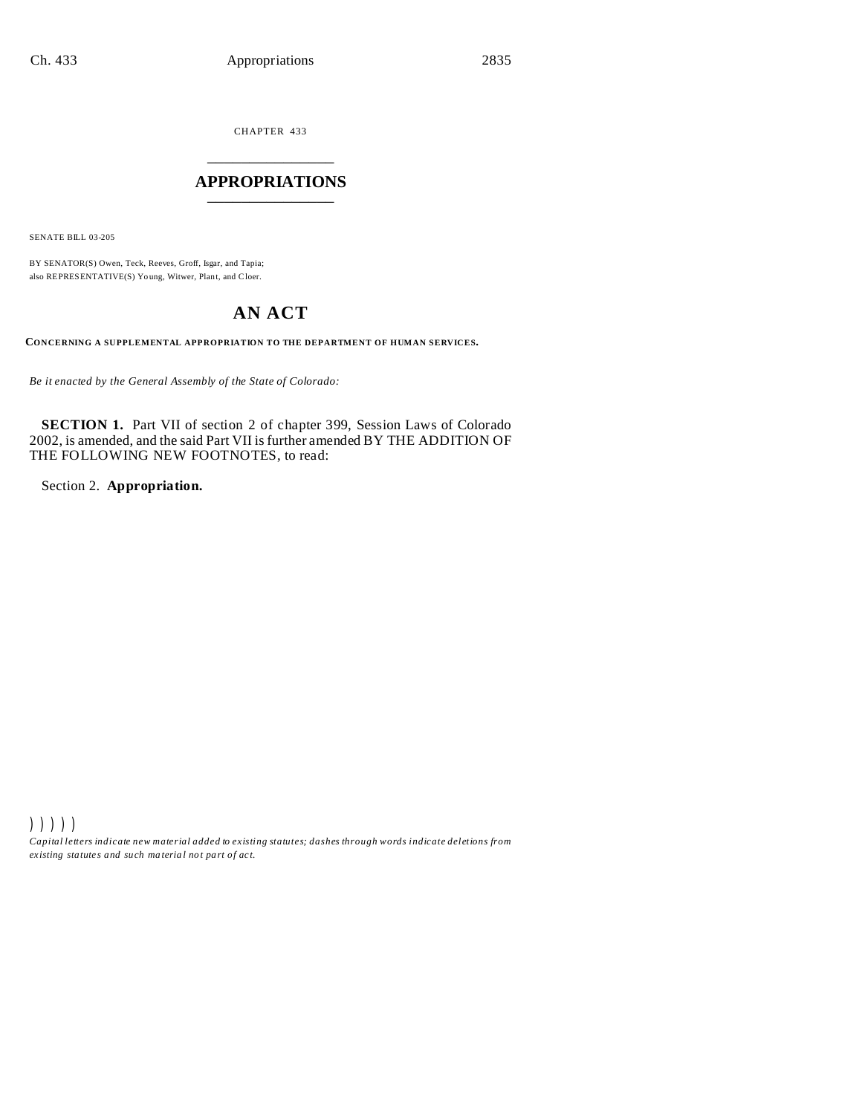CHAPTER 433 \_\_\_\_\_\_\_\_\_\_\_\_\_\_\_

## **APPROPRIATIONS** \_\_\_\_\_\_\_\_\_\_\_\_\_\_\_

SENATE BILL 03-205

BY SENATOR(S) Owen, Teck, Reeves, Groff, Isgar, and Tapia; also REPRESENTATIVE(S) Yo ung, Witwer, Plant, and Cloer.

# **AN ACT**

**CONCERNING A SUPPLEMENTAL APPROPRIATION TO THE DEPARTMENT OF HUMAN SERVICES.**

*Be it enacted by the General Assembly of the State of Colorado:*

**SECTION 1.** Part VII of section 2 of chapter 399, Session Laws of Colorado 2002, is amended, and the said Part VII is further amended BY THE ADDITION OF THE FOLLOWING NEW FOOTNOTES, to read:

Section 2. **Appropriation.**

))))) *Capital letters indicate new material added to existing statutes; dashes through words indicate deletions from ex isting statute s and such ma teria l no t pa rt of ac t.*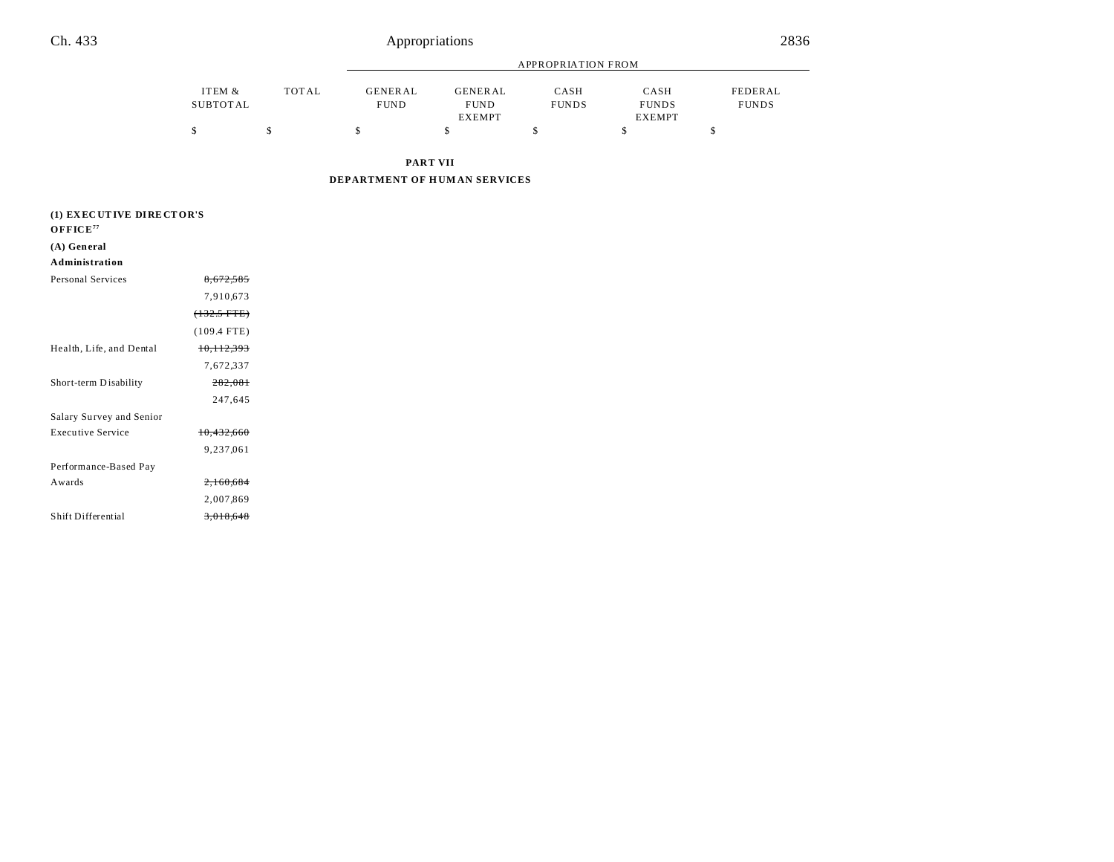|                 |                    |              |                               |                               | <b>APPROPRIATION FROM</b> |                      |                         |
|-----------------|--------------------|--------------|-------------------------------|-------------------------------|---------------------------|----------------------|-------------------------|
|                 | ITEM &<br>SUBTOTAL | <b>TOTAL</b> | <b>GENERAL</b><br><b>FUND</b> | <b>GENERAL</b><br><b>FUND</b> | CASH<br><b>FUNDS</b>      | CASH<br><b>FUNDS</b> | FEDERAL<br><b>FUNDS</b> |
|                 | D                  | \$           |                               | <b>EXEMPT</b>                 |                           | <b>EXEMPT</b><br>\$  | - 5                     |
| <b>PART VII</b> |                    |              |                               |                               |                           |                      |                         |

**DEPARTMENT OF H UM AN SERVICES**

| (1) EXECUTIVE DIRECTOR'S       |                       |
|--------------------------------|-----------------------|
| $O$ <b>FFICE</b> <sup>77</sup> |                       |
| (A) General                    |                       |
| Administration                 |                       |
| <b>Personal Services</b>       | 8,672,585             |
|                                | 7,910,673             |
|                                | $(132.5$ FTE)         |
|                                | $(109.4$ FTE)         |
| Health, Life, and Dental       | <del>10,112,393</del> |
|                                | 7,672,337             |
| Short-term Disability          | 282,081               |
|                                | 247,645               |
| Salary Survey and Senior       |                       |
| <b>Executive Service</b>       | 10,432,660            |
|                                | 9,237,061             |
| Performance-Based Pay          |                       |
| Awards                         | 2,160,684             |
|                                | 2,007,869             |
| Shift Differential             | <del>3,018,648</del>  |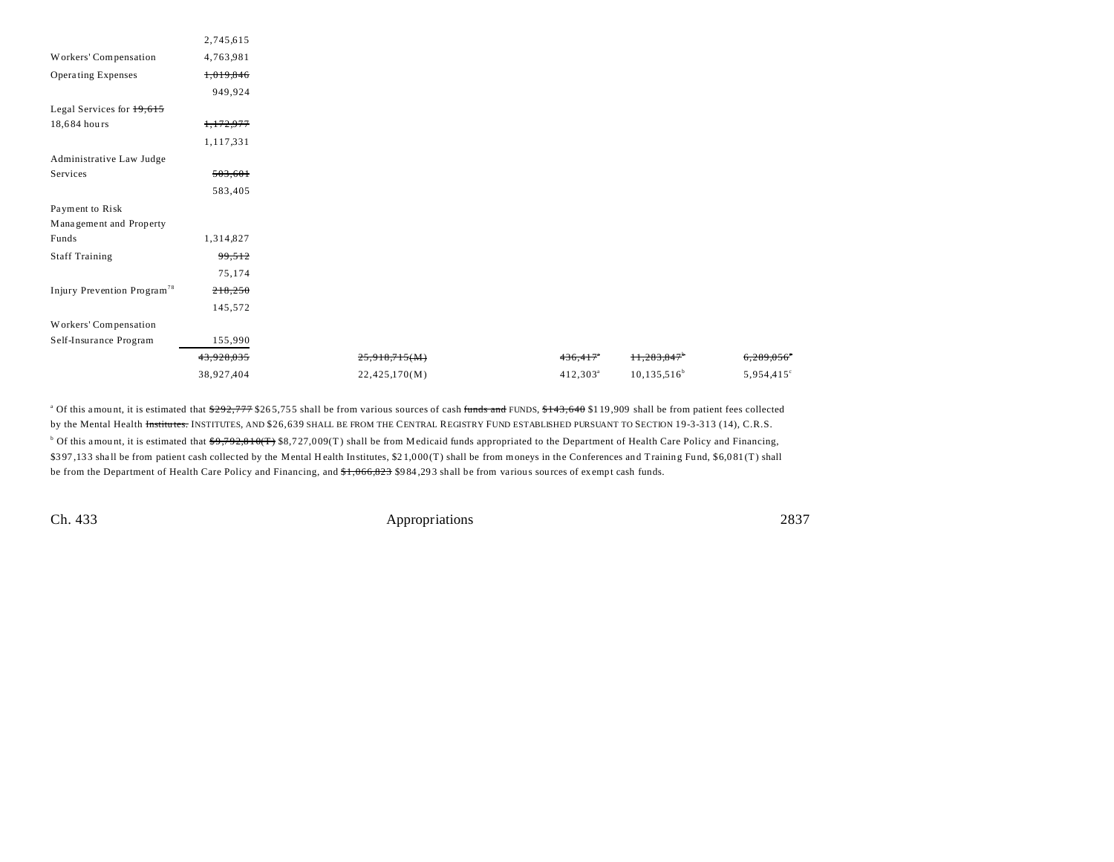| 2,745,615  |               |             |            |                        |
|------------|---------------|-------------|------------|------------------------|
| 4,763,981  |               |             |            |                        |
| 1,019,846  |               |             |            |                        |
| 949,924    |               |             |            |                        |
|            |               |             |            |                        |
| 1,172,977  |               |             |            |                        |
| 1,117,331  |               |             |            |                        |
|            |               |             |            |                        |
| 503,601    |               |             |            |                        |
| 583,405    |               |             |            |                        |
|            |               |             |            |                        |
|            |               |             |            |                        |
| 1,314,827  |               |             |            |                        |
| 99,512     |               |             |            |                        |
| 75,174     |               |             |            |                        |
| 218,250    |               |             |            |                        |
| 145,572    |               |             |            |                        |
|            |               |             |            |                        |
| 155,990    |               |             |            |                        |
| 43,928,035 | 25,918,715(M) | 436,417     | 11,283,847 | 6,289,056              |
|            | 22,425,170(M) | $412,303^a$ |            | 5,954,415 <sup>c</sup> |
|            | 38,927,404    |             |            | $10, 135, 516^b$       |

<sup>a</sup> Of this amount, it is estimated that <del>\$292,777</del> \$265,755 shall be from various sources of cash <del>funds and</del> FUNDS, <del>\$143,640</del> \$119,909 shall be from patient fees collected by the Mental Health Institutes. INSTITUTES, AND \$26,639 SHALL BE FROM THE CENTRAL REGISTRY FUND ESTABLISHED PURSUANT TO SECTION 19-3-313 (14), C.R.S. <sup>b</sup> Of this amount, it is estimated that  $\frac{49,792,810(T)}{38,727,009(T)}$  shall be from Medicaid funds appropriated to the Department of Health Care Policy and Financing, \$3 97 ,13 3 sha ll be from patient cash collected by the Mental H ealth Institutes, \$2 1,0 00 (T) shall be from moneys in the Conferences and Training Fu nd, \$6,0 81 (T) shall be from the Department of Health Care Policy and Financing, and \$1,066,823 \$984,293 shall be from various sources of exempt cash funds.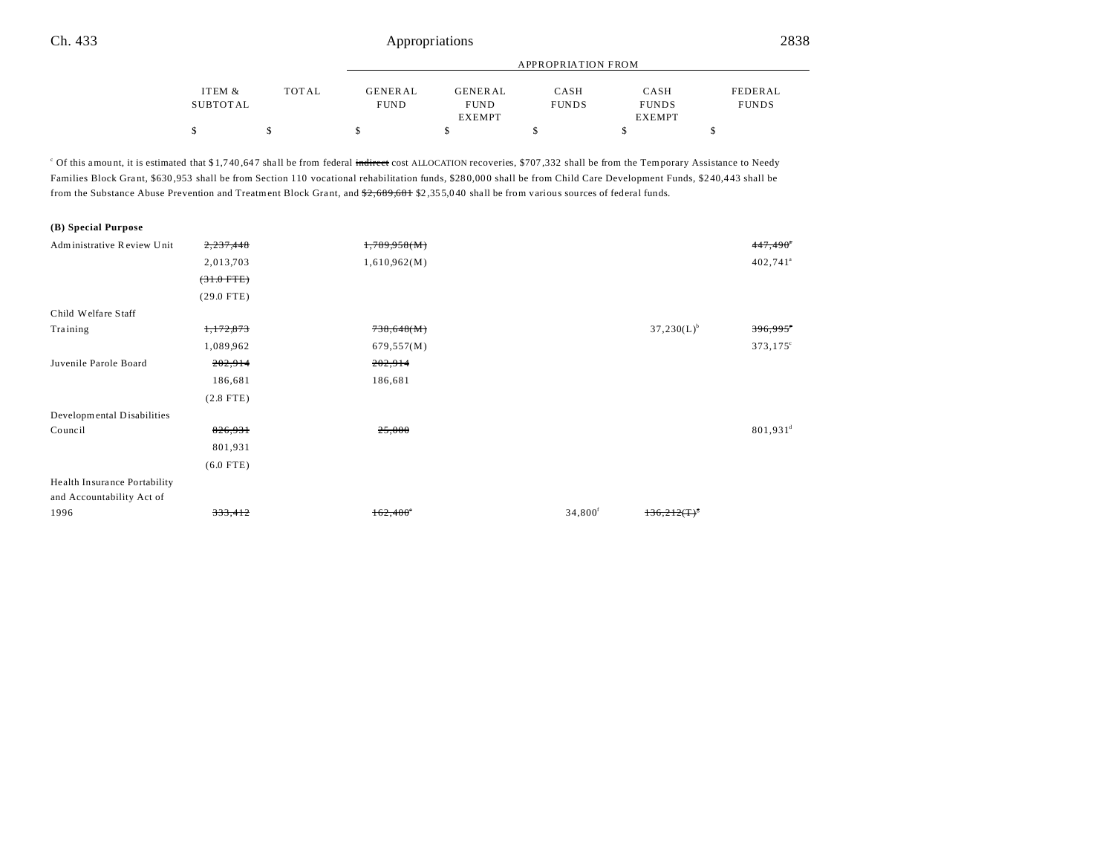|          |              |             |                | APPROPRIATION FROM |               |              |
|----------|--------------|-------------|----------------|--------------------|---------------|--------------|
| ITEM &   | <b>TOTAL</b> | GENERAL     | <b>GENERAL</b> | CASH               | CASH          | FEDERAL      |
| SUBTOTAL |              | <b>FUND</b> | <b>FUND</b>    | <b>FUNDS</b>       | <b>FUNDS</b>  | <b>FUNDS</b> |
|          |              |             | <b>EXEMPT</b>  |                    | <b>EXEMPT</b> |              |
|          |              |             |                |                    |               |              |

<sup>c</sup> Of this amount, it is estimated that \$1,740,647 shall be from federal indirect cost ALLOCATION recoveries, \$707,332 shall be from the Temporary Assistance to Needy Families Block Grant, \$630,953 shall be from Section 110 vocational rehabilitation funds, \$280,000 shall be from Child Care Development Funds, \$240,443 shall be from the Substance Abuse Prevention and Treatment Block Grant, and  $2,689,681$  \$2,355,040 shall be from various sources of federal funds.

| (B) Special Purpose          |              |                 |                     |                  |                        |
|------------------------------|--------------|-----------------|---------------------|------------------|------------------------|
| Administrative Review Unit   | 2,237,448    | 1,789,958(M)    |                     |                  | $447,490$ <sup>*</sup> |
|                              | 2,013,703    | 1,610,962(M)    |                     |                  | $402,741$ <sup>a</sup> |
|                              | $(31.0$ FTE) |                 |                     |                  |                        |
|                              | $(29.0$ FTE) |                 |                     |                  |                        |
| Child Welfare Staff          |              |                 |                     |                  |                        |
| Training                     | 1,172,873    | 738,648(M)      |                     | $37,230(L)^{b}$  | 396,995                |
|                              | 1,089,962    | 679,557(M)      |                     |                  | $373,175^{\circ}$      |
| Juvenile Parole Board        | 202,914      | 202,914         |                     |                  |                        |
|                              | 186,681      | 186,681         |                     |                  |                        |
|                              | $(2.8$ FTE)  |                 |                     |                  |                        |
| Developmental Disabilities   |              |                 |                     |                  |                        |
| Council                      | 826,931      | 25,000          |                     |                  | $801,931^d$            |
|                              | 801,931      |                 |                     |                  |                        |
|                              | $(6.0$ FTE)  |                 |                     |                  |                        |
| Health Insurance Portability |              |                 |                     |                  |                        |
| and Accountability Act of    |              |                 |                     |                  |                        |
| 1996                         | 333,412      | $162,400^\circ$ | 34,800 <sup>f</sup> | $136,212(T)^{8}$ |                        |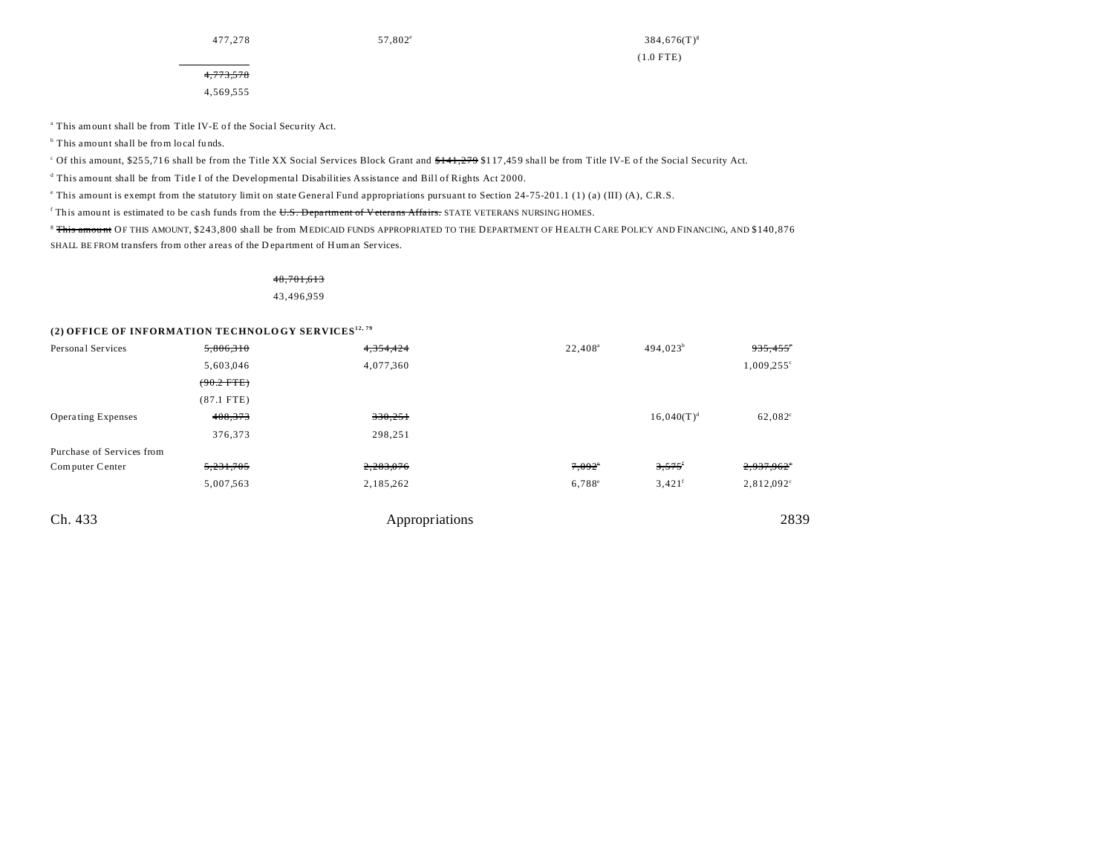477,278 57,802<sup>e</sup>

 $384,676(T)^{s}$ (1.0 FTE)

4,773,578 4,569,555

<sup>a</sup> This amount shall be from Title IV-E of the Social Security Act.

<sup>b</sup> This amount shall be from local funds.

Of this amount, \$255,716 shall be from the Title XX Social Services Block Grant and \$141,279 \$117,459 shall be from Title IV-E of the Social Security Act.

d This amount shall be from Title I of the Developmental Disabilities Assistance and Bill of Rights Act 2000.

e This amount is exempt from the statutory limit on state General Fund appropriations pursuant to Section 24-75-201.1 (1) (a) (III) (A), C.R.S.

This amount is estimated to be cash funds from the U.S. Department of Veterans Affairs. STATE VETERANS NURSING HOMES.

<sup>8</sup> This amount OF THIS AMOUNT, \$243,800 shall be from MEDICAID FUNDS APPROPRIATED TO THE DEPARTMENT OF HEALTH CARE POLICY AND FINANCING, AND \$140,876 SHALL BE FROM transfers from other a reas of the D epartment of H uman Services.

## 48,701,613

43,496,959

## **(2) OFFICE OF INFORMATION TECHNOLO GY SERVICES12, 79**

| Personal Services         | 5,806,310    | 4,354,424      | $22,408^a$      | $494,023^b$          | 935,455             |
|---------------------------|--------------|----------------|-----------------|----------------------|---------------------|
|                           | 5,603,046    | 4,077,360      |                 |                      | $1,009,255^{\circ}$ |
|                           | $(90.2$ FTE) |                |                 |                      |                     |
|                           | $(87.1$ FTE) |                |                 |                      |                     |
| <b>Operating Expenses</b> | 408,373      | 330,251        |                 | $16,040(T)^d$        | 62,082°             |
|                           | 376,373      | 298,251        |                 |                      |                     |
| Purchase of Services from |              |                |                 |                      |                     |
| Computer Center           | 5,231,705    | 2,283,076      | $7,092^{\circ}$ | 3,575                | 2,937,962°          |
|                           | 5,007,563    | 2,185,262      | $6,788^{\circ}$ | $3,421$ <sup>f</sup> | 2,812,092°          |
| Ch. 433                   |              | Appropriations |                 |                      | 2839                |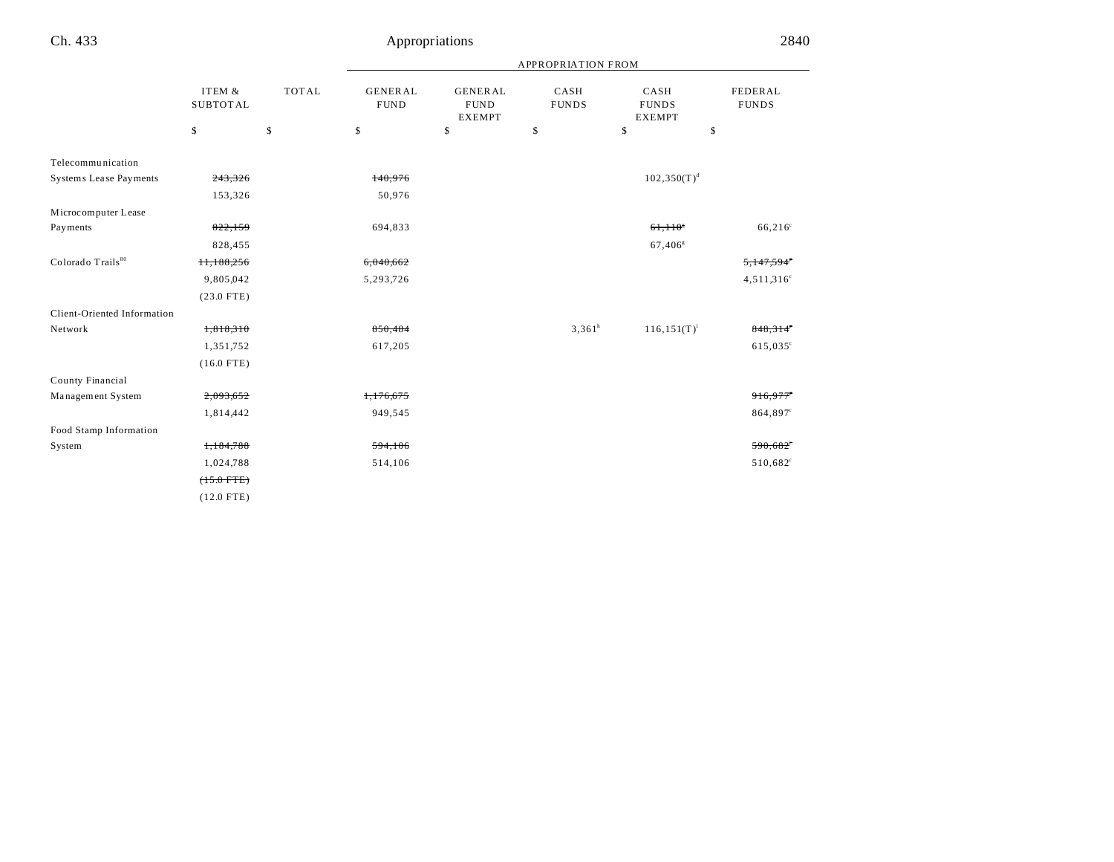|                               |                           |              | <b>APPROPRIATION FROM</b> |                               |                                                |                       |                                       |                         |
|-------------------------------|---------------------------|--------------|---------------------------|-------------------------------|------------------------------------------------|-----------------------|---------------------------------------|-------------------------|
|                               | ITEM &<br><b>SUBTOTAL</b> | <b>TOTAL</b> |                           | <b>GENERAL</b><br><b>FUND</b> | <b>GENERAL</b><br><b>FUND</b><br><b>EXEMPT</b> | CASH<br><b>FUNDS</b>  | CASH<br><b>FUNDS</b><br><b>EXEMPT</b> | FEDERAL<br><b>FUNDS</b> |
|                               | \$                        | \$           | \$                        | \$                            | \$                                             | \$                    | \$                                    |                         |
| Telecommunication             |                           |              |                           |                               |                                                |                       |                                       |                         |
| <b>Systems Lease Payments</b> | 243,326                   |              | 140,976                   |                               |                                                | $102,350(T)^d$        |                                       |                         |
|                               | 153,326                   |              | 50,976                    |                               |                                                |                       |                                       |                         |
| Microcomputer Lease           |                           |              |                           |                               |                                                |                       |                                       |                         |
| Payments                      | 822,159                   |              | 694,833                   |                               |                                                | $61,110$ <sup>*</sup> | $66,216^{\circ}$                      |                         |
|                               | 828,455                   |              |                           |                               |                                                | $67,406$ <sup>g</sup> |                                       |                         |
| Colorado Trails <sup>80</sup> | 11,188,256                |              | 6,040,662                 |                               |                                                |                       | 5,147,594                             |                         |
|                               | 9,805,042                 |              | 5,293,726                 |                               |                                                |                       | $4,511,316^{\circ}$                   |                         |
|                               | $(23.0$ FTE)              |              |                           |                               |                                                |                       |                                       |                         |
| Client-Oriented Information   |                           |              |                           |                               |                                                |                       |                                       |                         |
| Network                       | 1,818,310                 |              | 850,484                   |                               | $3,361^h$                                      | $116, 151(T)^{i}$     | $848,314^\circ$                       |                         |
|                               | 1,351,752                 |              | 617,205                   |                               |                                                |                       | 615,035°                              |                         |
|                               | $(16.0$ FTE)              |              |                           |                               |                                                |                       |                                       |                         |
| County Financial              |                           |              |                           |                               |                                                |                       |                                       |                         |
| Management System             | 2,093,652                 |              | 1,176,675                 |                               |                                                |                       | 916,977                               |                         |
|                               | 1,814,442                 |              | 949,545                   |                               |                                                |                       | 864,897 <sup>c</sup>                  |                         |
| Food Stamp Information        |                           |              |                           |                               |                                                |                       |                                       |                         |
| System                        | 1,184,788                 |              | 594,106                   |                               |                                                |                       | 590,682                               |                         |
|                               | 1,024,788                 |              | 514,106                   |                               |                                                |                       | 510,682 <sup>c</sup>                  |                         |
|                               | $(+5.0$ FTE)              |              |                           |                               |                                                |                       |                                       |                         |
|                               | $(12.0$ FTE)              |              |                           |                               |                                                |                       |                                       |                         |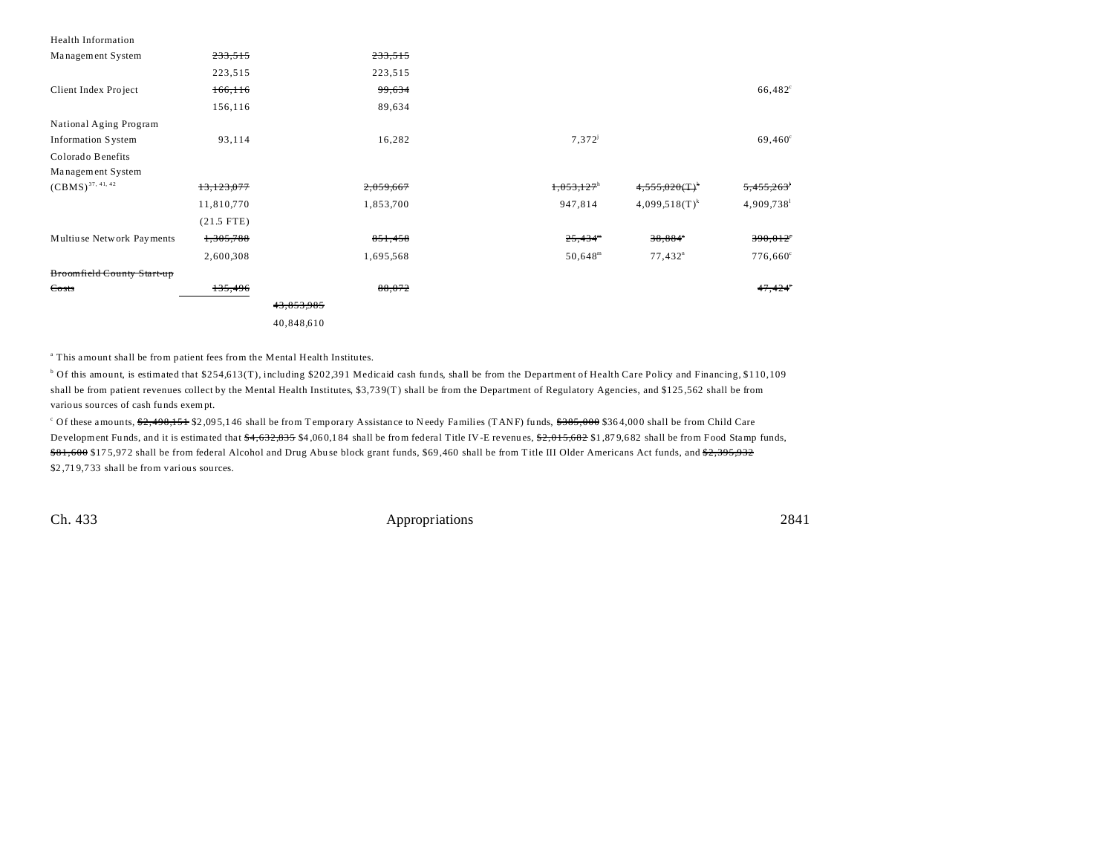| <b>Health Information</b>  |              |            |                          |                       |                   |
|----------------------------|--------------|------------|--------------------------|-----------------------|-------------------|
| Management System          | 233,515      | 233,515    |                          |                       |                   |
|                            | 223,515      | 223,515    |                          |                       |                   |
| Client Index Project       | 166,116      | 99,634     |                          |                       | $66,482^{\circ}$  |
|                            | 156,116      | 89,634     |                          |                       |                   |
| National Aging Program     |              |            |                          |                       |                   |
| <b>Information System</b>  | 93,114       | 16,282     | $7,372^{j}$              |                       | $69,460^{\circ}$  |
| Colorado Benefits          |              |            |                          |                       |                   |
| Management System          |              |            |                          |                       |                   |
| $(CBMS)^{37, 41, 42}$      | 13,123,077   | 2,059,667  | $1,053,127$ <sup>h</sup> | $4,555,020(T)^{k}$    | 5,455,263         |
|                            | 11,810,770   | 1,853,700  | 947,814                  | $4,099.518(T)^k$      | 4,909,738         |
|                            | $(21.5$ FTE) |            |                          |                       |                   |
| Multiuse Network Payments  | 1,305,788    | 851,458    | $25,434$ <sup>m</sup>    | 38,884"               | 390,012           |
|                            | 2,600,308    | 1,695,568  | $50,648^{\rm m}$         | $77,432$ <sup>n</sup> | $776,660^{\circ}$ |
| Broomfield County Start-up |              |            |                          |                       |                   |
| Costs                      | 135,496      | 88,072     |                          |                       | 47,424            |
|                            |              | 43,853,985 |                          |                       |                   |
|                            |              | 40,848,610 |                          |                       |                   |

<sup>a</sup> This amount shall be from patient fees from the Mental Health Institutes.

<sup>b</sup> Of this amount, is estimated that \$254,613(T), including \$202,391 Medicaid cash funds, shall be from the Department of Health Care Policy and Financing, \$110,109 shall be from patient revenues collect by the Mental Health Institutes, \$3,73 9(T) shall be from the Department of Regulatory Agencies, and \$125 ,562 shall be from various sou rces of cash funds exempt.

<sup>c</sup> Of these amounts, <del>\$2,498,151</del> \$2,095,146 shall be from Temporary Assistance to Needy Families (TANF) funds, <del>\$385,000</del> \$364,000 shall be from Child Care Development Funds, and it is estimated that  $*4,632,835$  \$4,060,184 shall be from federal Title IV-E revenues,  $*2,015,682$  \$1,879,682 shall be from Food Stamp funds, \$81,600 \$175,972 shall be from federal Alcohol and Drug Abuse block grant funds, \$69,460 shall be from Title III Older Americans Act funds, and \$2,395,932 \$2,719,733 shall be from various sources.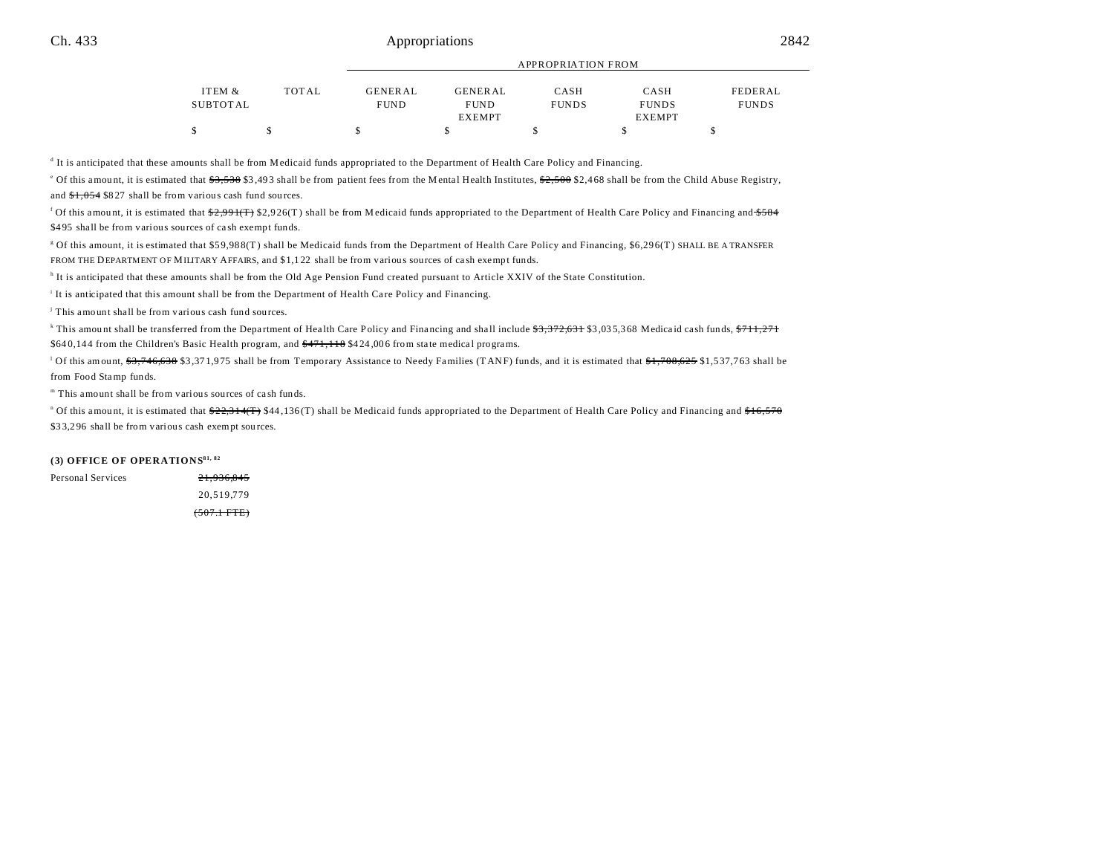| ITEM &   | <b>TOTAL</b> | GENERAL     | <b>GENERAL</b> | CASH         | CASH          | FEDERAL      |
|----------|--------------|-------------|----------------|--------------|---------------|--------------|
| SUBTOTAL |              | <b>FUND</b> | <b>FUND</b>    | <b>FUNDS</b> | <b>FUNDS</b>  | <b>FUNDS</b> |
|          |              |             | <b>EXEMPT</b>  |              | <b>EXEMPT</b> |              |
|          |              |             |                |              |               |              |

APPROPRIATION FROM

It is anticipated that these amounts shall be from Medicaid funds appropriated to the Department of Health Care Policy and Financing.

<sup>e</sup> Of this amount, it is estimated that  $\frac{23,538}{33,493}$  shall be from patient fees from the Mental Health Institutes,  $\frac{22,500}{2,468}$  shall be from the Child Abuse Registry, and  $\frac{61,054}{8827}$  shall be from various cash fund sources.

<sup>f</sup> Of this amount, it is estimated that <del>\$2,991(T)</del> \$2,926(T) shall be from Medicaid funds appropriated to the Department of Health Care Policy and Financing and <del>\$584</del> \$495 shall be from various sources of cash exempt funds.

g Of this amount, it is estimated that \$59,98 8(T) shall be Medicaid funds from the Department of Health Care Policy and Financing, \$6,29 6(T) SHALL BE A TRANSFER FROM THE DEPARTMENT OF MILITARY AFFAIRS, and \$1,1 22 shall be from various sources of ca sh exempt funds.

<sup>h</sup> It is anticipated that these amounts shall be from the Old Age Pension Fund created pursuant to Article XXIV of the State Constitution.

It is anticipated that this amount shall be from the Department of Health Care Policy and Financing.

j This amount shall be from various cash fund sou rces.

<sup>k</sup> This amount shall be transferred from the Department of Health Care Policy and Financing and shall include <del>\$3,372,631</del> \$3,035,368 Medicaid cash funds, <del>\$711,271</del> \$640,144 from the Children's Basic Health program, and  $\frac{471,118}{471}$  \$424,006 from state medical programs.

Of this amount, <del>\$3,746,638</del> \$3,371,975 shall be from Temporary Assistance to Needy Families (TANF) funds, and it is estimated that  $\frac{4}{31,708,625}$  \$1,537,763 shall be from Food Stamp funds.

m This amount shall be from various sources of ca sh funds.

<sup>n</sup> Of this amount, it is estimated that <del>\$22,314(T)</del> \$44,136(T) shall be Medicaid funds appropriated to the Department of Health Care Policy and Financing and <del>\$16,570</del> \$33,296 shall be from various cash exempt sources.

## **(3) OFFICE OF OPERATIONS81, 82**

| Personal Services | 21,936,845            |
|-------------------|-----------------------|
|                   | 20.519.779            |
|                   | $(507.1 \text{ FTE})$ |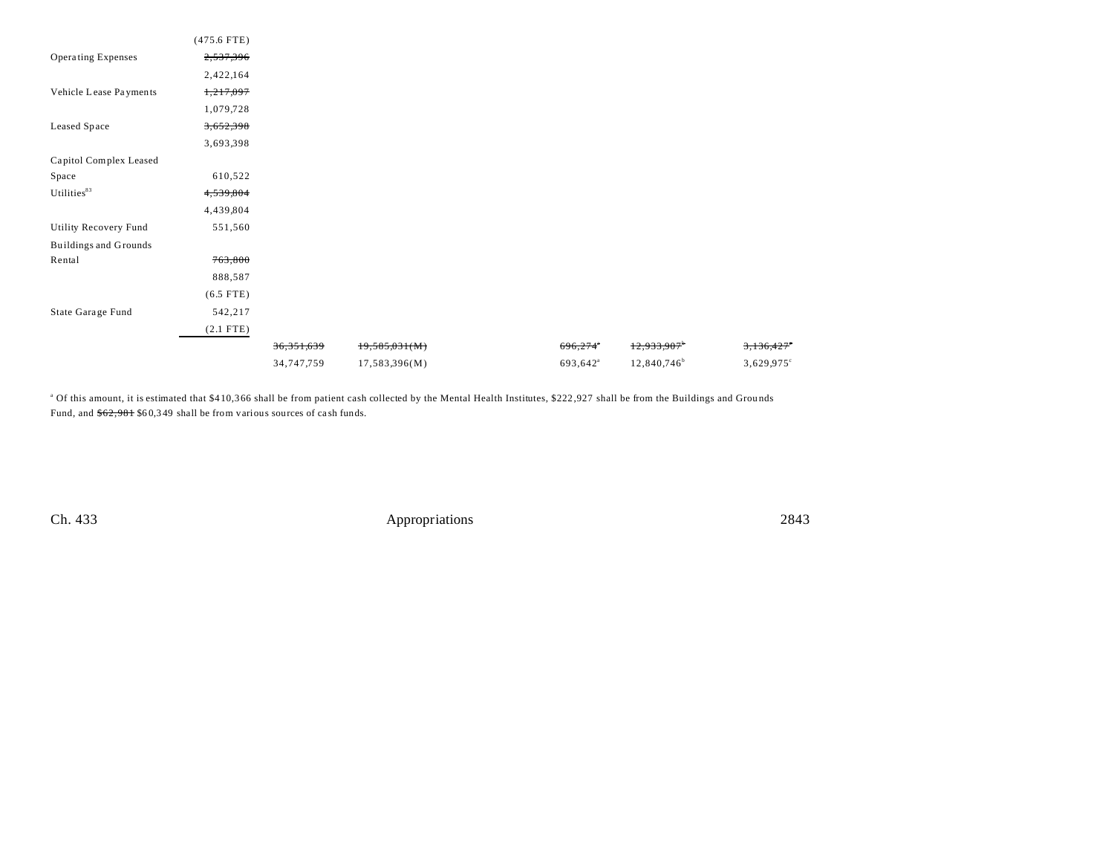|                              | $(475.6$ FTE) |              |               |                      |                         |                      |
|------------------------------|---------------|--------------|---------------|----------------------|-------------------------|----------------------|
| Operating Expenses           | 2,537,396     |              |               |                      |                         |                      |
|                              | 2,422,164     |              |               |                      |                         |                      |
| Vehicle Lease Payments       | 1,217,097     |              |               |                      |                         |                      |
|                              | 1,079,728     |              |               |                      |                         |                      |
| Leased Space                 | 3,652,398     |              |               |                      |                         |                      |
|                              | 3,693,398     |              |               |                      |                         |                      |
| Capitol Complex Leased       |               |              |               |                      |                         |                      |
| Space                        | 610,522       |              |               |                      |                         |                      |
| Utilities <sup>83</sup>      | 4,539,804     |              |               |                      |                         |                      |
|                              | 4,439,804     |              |               |                      |                         |                      |
| <b>Utility Recovery Fund</b> | 551,560       |              |               |                      |                         |                      |
| <b>Buildings and Grounds</b> |               |              |               |                      |                         |                      |
| Rental                       | 763,800       |              |               |                      |                         |                      |
|                              | 888,587       |              |               |                      |                         |                      |
|                              | $(6.5$ FTE)   |              |               |                      |                         |                      |
| State Garage Fund            | 542,217       |              |               |                      |                         |                      |
|                              | $(2.1$ FTE)   |              |               |                      |                         |                      |
|                              |               | 36, 351, 639 | 19,585,031(M) | 696,274              | 12,933,907              | <del>3,136,427</del> |
|                              |               | 34,747,759   | 17,583,396(M) | 693,642 <sup>a</sup> | 12,840,746 <sup>b</sup> | $3,629,975$ °        |

<sup>a</sup> Of this amount, it is estimated that \$410,366 shall be from patient cash collected by the Mental Health Institutes, \$222,927 shall be from the Buildings and Grounds Fund, and  $$62,981$  \$60,349 shall be from various sources of cash funds.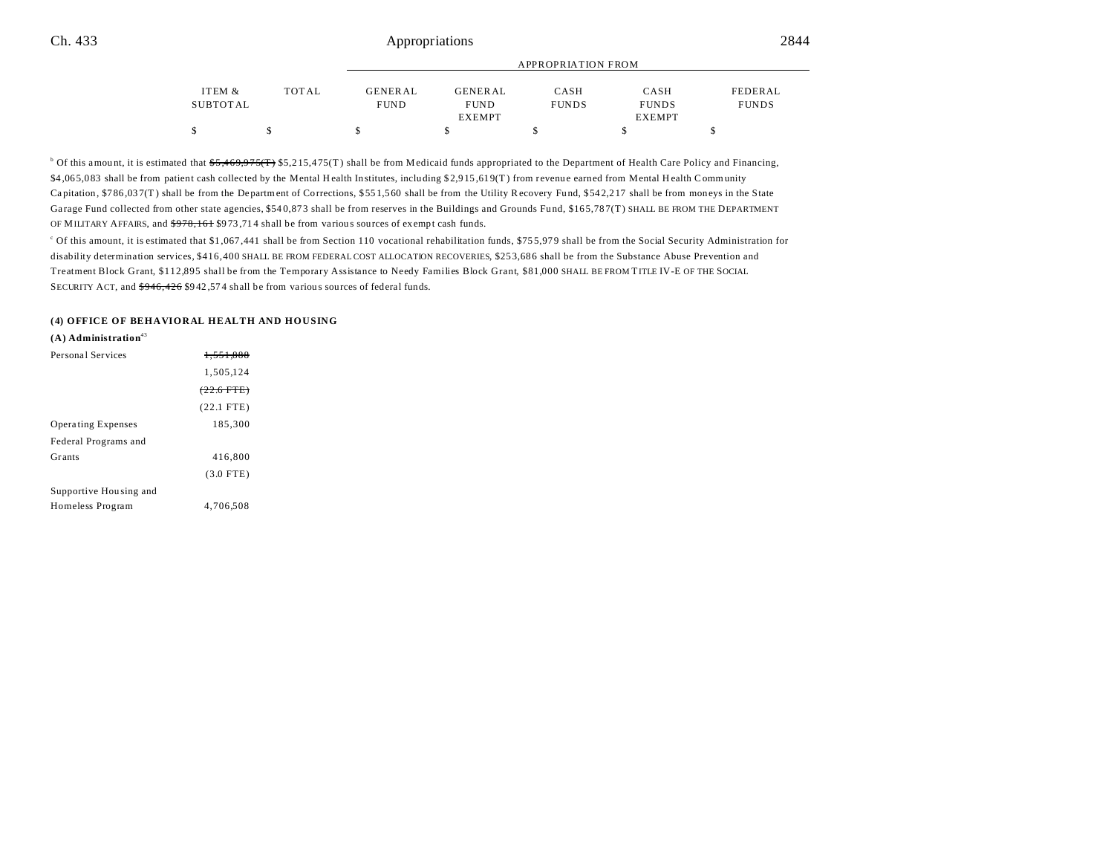|          |       |                | <b>APPROPRIATION FROM</b> |              |               |              |  |  |
|----------|-------|----------------|---------------------------|--------------|---------------|--------------|--|--|
| ITEM &   | TOTAL | <b>GENERAL</b> | <b>GENERAL</b>            | CASH         | CASH          | FEDERAL      |  |  |
| SUBTOTAL |       | <b>FUND</b>    | <b>FUND</b>               | <b>FUNDS</b> | <b>FUNDS</b>  | <b>FUNDS</b> |  |  |
|          |       |                | <b>EXEMPT</b>             |              | <b>EXEMPT</b> |              |  |  |
| \$       |       |                |                           |              |               |              |  |  |

<sup>b</sup> Of this amount, it is estimated that  $55,469,975(f)$  \$5,215,475(T) shall be from Medicaid funds appropriated to the Department of Health Care Policy and Financing, \$4 ,06 5,0 83 shall be from patient cash collected by the Mental H ealth Institutes, including \$ 2,9 15 ,61 9(T ) from r evenu e earned from Mental H ealth Community Ca pitation, \$7 86 ,03 7(T ) shall be from the Department of Corrections, \$ 55 1,5 60 shall be from the Utility Recovery Fund, \$54 2,2 17 shall be from moneys in the State Garage Fund collected from other state agencies, \$540,873 shall be from reserves in the Buildings and Grounds Fund, \$165,787(T) SHALL BE FROM THE DEPARTMENT OF MILITARY AFFAIRS, and  $\frac{6978,161}{973,714}$  shall be from various sources of exempt cash funds.

c Of this amount, it is estimated that \$1,067 ,441 shall be from Section 110 vocational rehabilitation funds, \$75 5,97 9 shall be from the Social Security Administration for disability determination services, \$416,400 SHALL BE FROM FEDERAL COST ALLOCATION RECOVERIES, \$25 3,68 6 shall be from the Substance Abuse Prevention and Treatment Block Grant, \$112,895 shall be from the Temporary Assistance to Needy Families Block Grant, \$81,000 SHALL BE FROM TITLE IV-E OF THE SOCIAL SECURITY ACT, and  $\frac{6946}{426}$  \$942,574 shall be from various sources of federal funds.

#### **(4) OFFICE OF BEHAVIORAL HEALTH AND HOUSING**

**(A) Administration**<sup>43</sup>

| Personal Services         | 1.551,888       |  |
|---------------------------|-----------------|--|
|                           | 1,505,124       |  |
|                           | $(22.6$ FTE $)$ |  |
|                           | $(22.1$ FTE)    |  |
| <b>Operating Expenses</b> | 185,300         |  |
| Federal Programs and      |                 |  |
| Grants                    | 416,800         |  |
|                           | $(3.0$ FTE)     |  |
| Supportive Housing and    |                 |  |
| Homeless Program          | 4.706.508       |  |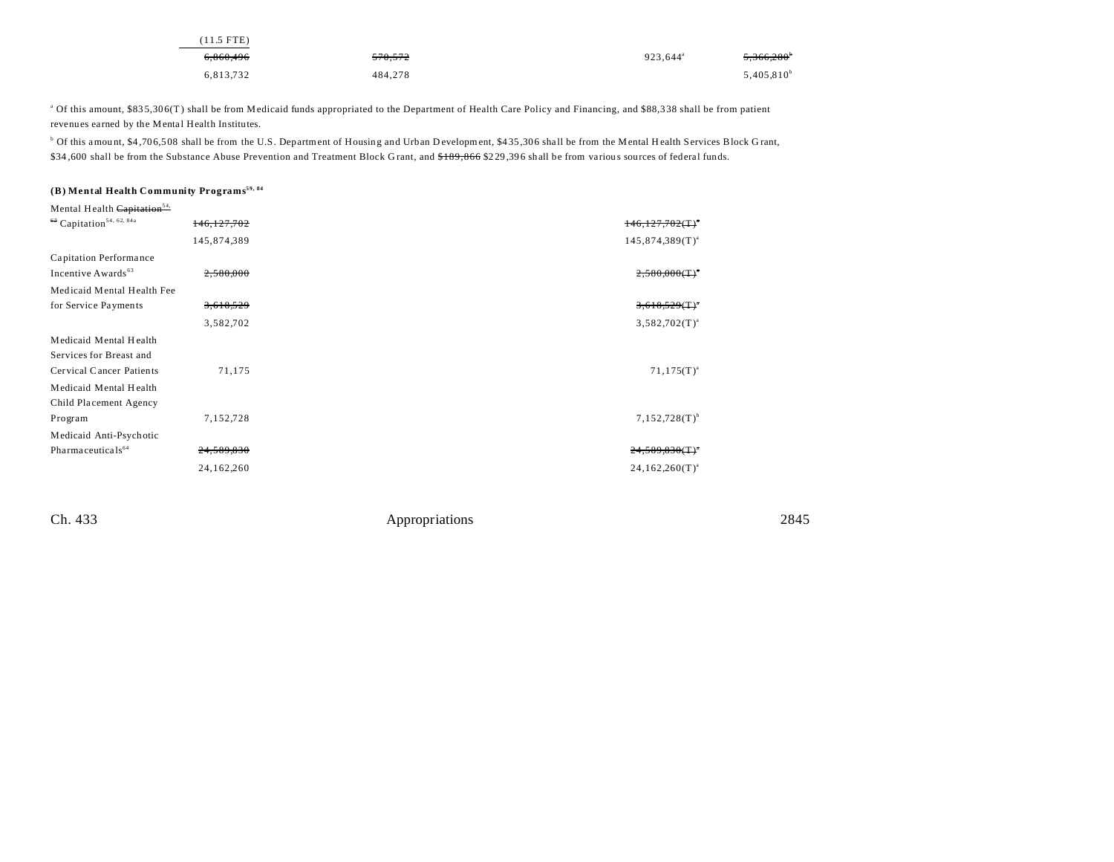| $(11.5$ FTE) |                    |                      |                 |
|--------------|--------------------|----------------------|-----------------|
| 6,860,496    | <del>570.572</del> | 923.644 <sup>a</sup> | 5,366,280       |
| 6,813,732    | 484.278            |                      | $5,405,810^{b}$ |

<sup>a</sup> Of this amount, \$835,306(T) shall be from Medicaid funds appropriated to the Department of Health Care Policy and Financing, and \$88,338 shall be from patient revenues earned by the Mental Health Institutes.

<sup>b</sup> Of this amount, \$4,706,508 shall be from the U.S. Department of Housing and Urban Development, \$435,306 shall be from the Mental Health Services Block Grant, \$34,600 shall be from the Substance Abuse Prevention and Treatment Block Grant, and \$189,866 \$229,396 shall be from various sources of federal funds.

## **(B) Mental Health Community Programs59, 84**

| Mental Health Capitation <sup>54.</sup>         |             |                                |
|-------------------------------------------------|-------------|--------------------------------|
| <sup>62</sup> Capitation <sup>54, 62, 84a</sup> | 146,127,702 | $146,127,702($ T) <sup>*</sup> |
|                                                 | 145,874,389 | $145,874,389(T)^{a}$           |
| Capitation Performance                          |             |                                |
| Incentive Awards <sup>63</sup>                  | 2,580,000   | $2,580,000(T)^{4}$             |
| Medicaid Mental Health Fee                      |             |                                |
| for Service Payments                            | 3,618,529   | 3,618,529(T)                   |
|                                                 | 3,582,702   | $3,582,702(T)^{a}$             |
| Medicaid Mental Health                          |             |                                |
| Services for Breast and                         |             |                                |
| Cervical Cancer Patients                        | 71,175      | $71,175(T)^{a}$                |
| Medicaid Mental Health                          |             |                                |
| Child Placement Agency                          |             |                                |
| Program                                         | 7,152,728   | $7,152,728(T)^{b}$             |
| Medicaid Anti-Psychotic                         |             |                                |
| Pharmaceuticals <sup>64</sup>                   | 24,589,830  | $24,589,830(T)^*$              |
|                                                 | 24,162,260  | $24,162,260(T)^{a}$            |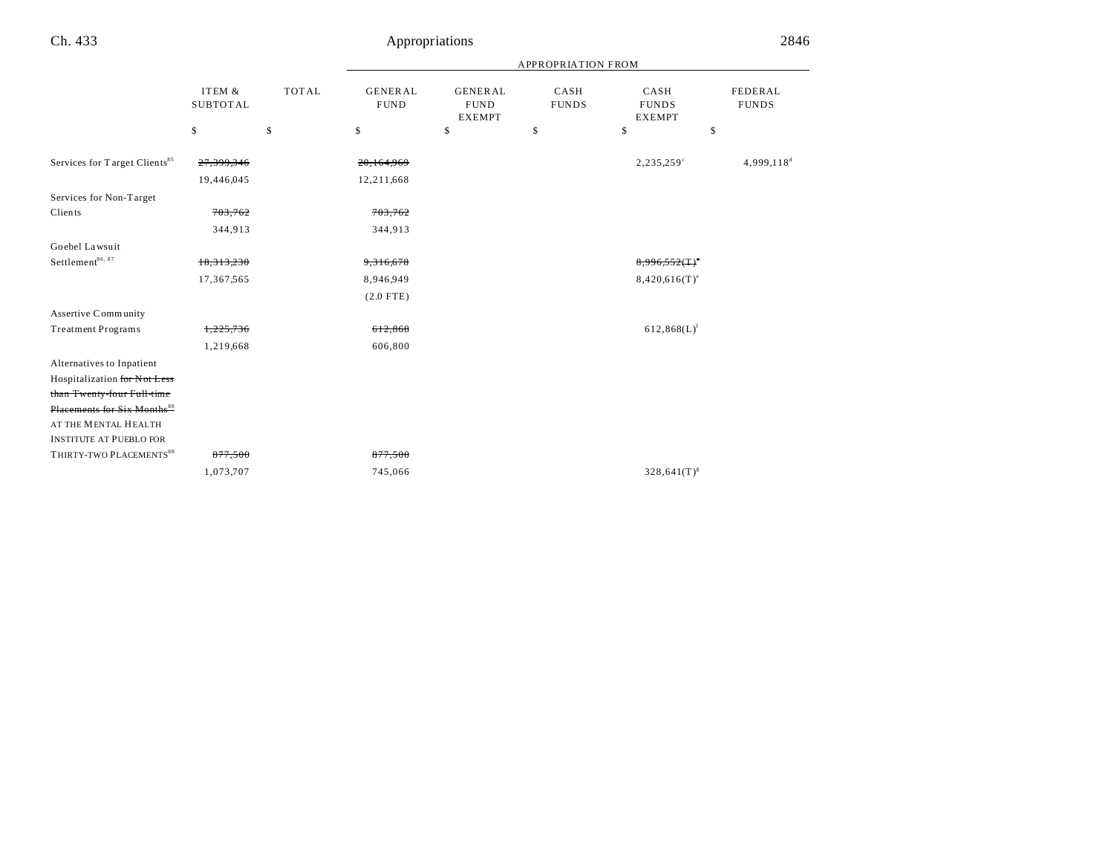|                                           |                           |              | <b>APPROPRIATION FROM</b>     |                                                |                      |                                       |                         |
|-------------------------------------------|---------------------------|--------------|-------------------------------|------------------------------------------------|----------------------|---------------------------------------|-------------------------|
|                                           | ITEM &<br><b>SUBTOTAL</b> | <b>TOTAL</b> | <b>GENERAL</b><br><b>FUND</b> | <b>GENERAL</b><br><b>FUND</b><br><b>EXEMPT</b> | CASH<br><b>FUNDS</b> | CASH<br><b>FUNDS</b><br><b>EXEMPT</b> | FEDERAL<br><b>FUNDS</b> |
|                                           | \$                        | \$           | \$                            | \$                                             | \$                   | \$                                    | \$                      |
| Services for Target Clients <sup>85</sup> | 27,399,346                |              | 20,164,969                    |                                                |                      | 2,235,259°                            | 4,999,118 <sup>d</sup>  |
|                                           | 19,446,045                |              | 12,211,668                    |                                                |                      |                                       |                         |
| Services for Non-Target                   |                           |              |                               |                                                |                      |                                       |                         |
| Clients                                   | 703,762                   |              | 703,762                       |                                                |                      |                                       |                         |
|                                           | 344,913                   |              | 344,913                       |                                                |                      |                                       |                         |
| Goebel Lawsuit                            |                           |              |                               |                                                |                      |                                       |                         |
| Settlement <sup>86, 87</sup>              | 18,313,230                |              | 9,316,678                     |                                                |                      | $8,996,552$ (T) <sup>o</sup>          |                         |
|                                           | 17,367,565                |              | 8,946,949                     |                                                |                      | $8,420,616(T)^e$                      |                         |
|                                           |                           |              | $(2.0$ FTE)                   |                                                |                      |                                       |                         |
| Assertive Community                       |                           |              |                               |                                                |                      |                                       |                         |
| <b>Treatment Programs</b>                 | 1,225,736                 |              | 612,868                       |                                                |                      | $612,868(L)$ <sup>f</sup>             |                         |
|                                           | 1,219,668                 |              | 606,800                       |                                                |                      |                                       |                         |
| Alternatives to Inpatient                 |                           |              |                               |                                                |                      |                                       |                         |
| Hospitalization for Not Less              |                           |              |                               |                                                |                      |                                       |                         |
| than Twenty-four Full-time                |                           |              |                               |                                                |                      |                                       |                         |
| Placements for Six Months <sup>88</sup>   |                           |              |                               |                                                |                      |                                       |                         |
| AT THE MENTAL HEALTH                      |                           |              |                               |                                                |                      |                                       |                         |
| <b>INSTITUTE AT PUEBLO FOR</b>            |                           |              |                               |                                                |                      |                                       |                         |
| THIRTY-TWO PLACEMENTS <sup>88</sup>       | 877,500                   |              | 877,500                       |                                                |                      |                                       |                         |
|                                           | 1,073,707                 |              | 745,066                       |                                                |                      | $328,641(T)^{s}$                      |                         |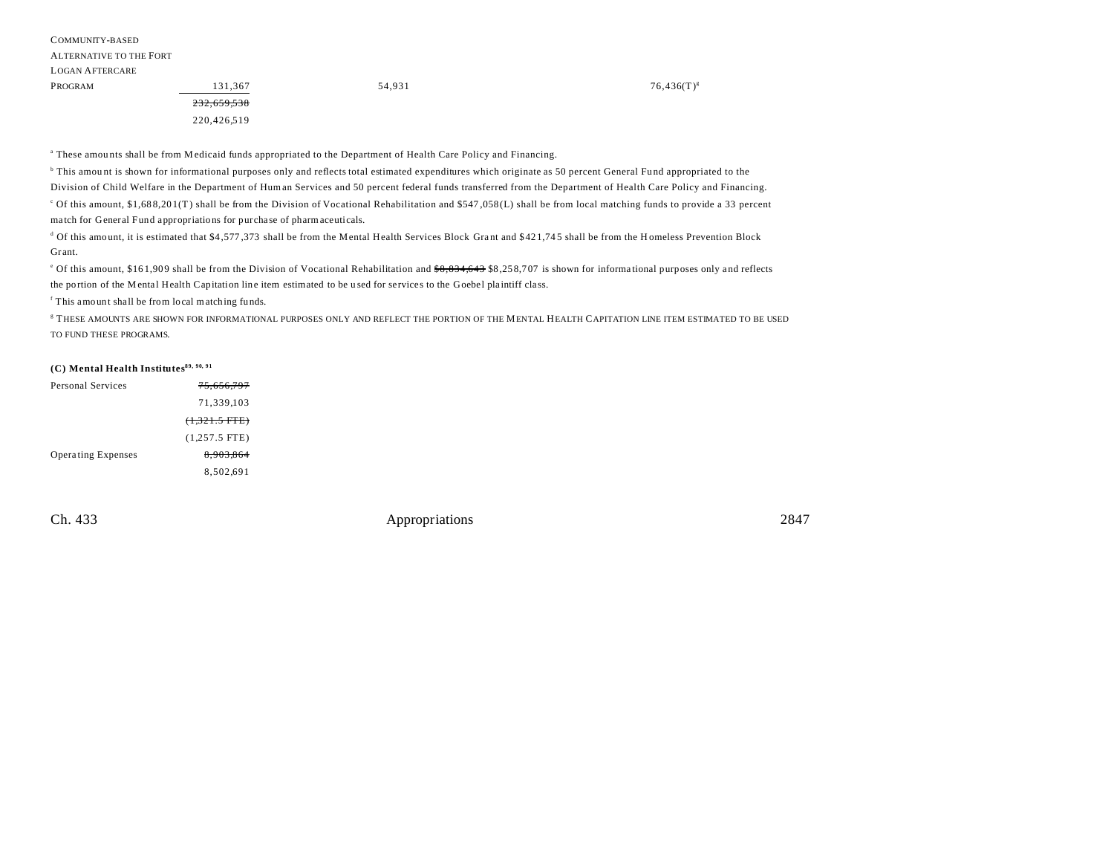220,426,519

a These amou nts shall be from Medicaid funds appropriated to the Department of Health Care Policy and Financing.

b This amou nt is shown for informational purposes only and reflects total estimated expenditures which originate as 50 percent General Fund appropriated to the Division of Child Welfare in the Department of Human Services and 50 percent federal funds transferred from the Department of Health Care Policy and Financing.

c Of this amount, \$1,68 8,20 1(T) shall be from the Division of Vocational Rehabilitation and \$547 ,058 (L) shall be from local matching funds to provide a 33 percent ma tch for General Fund appropriations for purcha se of pharmaceuticals.

<sup>d</sup> Of this amount, it is estimated that \$4,577,373 shall be from the Mental Health Services Block Grant and \$421,745 shall be from the H omeless Prevention Block Gr ant.

<sup>o</sup> Of this amount, \$161,909 shall be from the Division of Vocational Rehabilitation and <del>\$8,834,643</del> \$8,258,707 is shown for informational purposes only and reflects the portion of the M ental Health Capitation line item estimated to be used for services to the Goebel plaintiff class.

f This amount shall be from local matching fu nds.

g THESE AMOUNTS ARE SHOWN FOR INFORMATIONAL PURPOSES ONLY AND REFLECT THE PORTION OF THE MENTAL HEALTH CAPITATION LINE ITEM ESTIMATED TO BE USED TO FUND THESE PROGRAMS.

## **(C) Mental Health Institutes89, 90, 91**

| Personal Services         | <del>75.656.797</del>    |
|---------------------------|--------------------------|
|                           | 71,339,103               |
|                           | <del>(1,321.5 FTE)</del> |
|                           | $(1,257.5$ FTE)          |
| <b>Operating Expenses</b> | 8.903.864                |
|                           | 8,502,691                |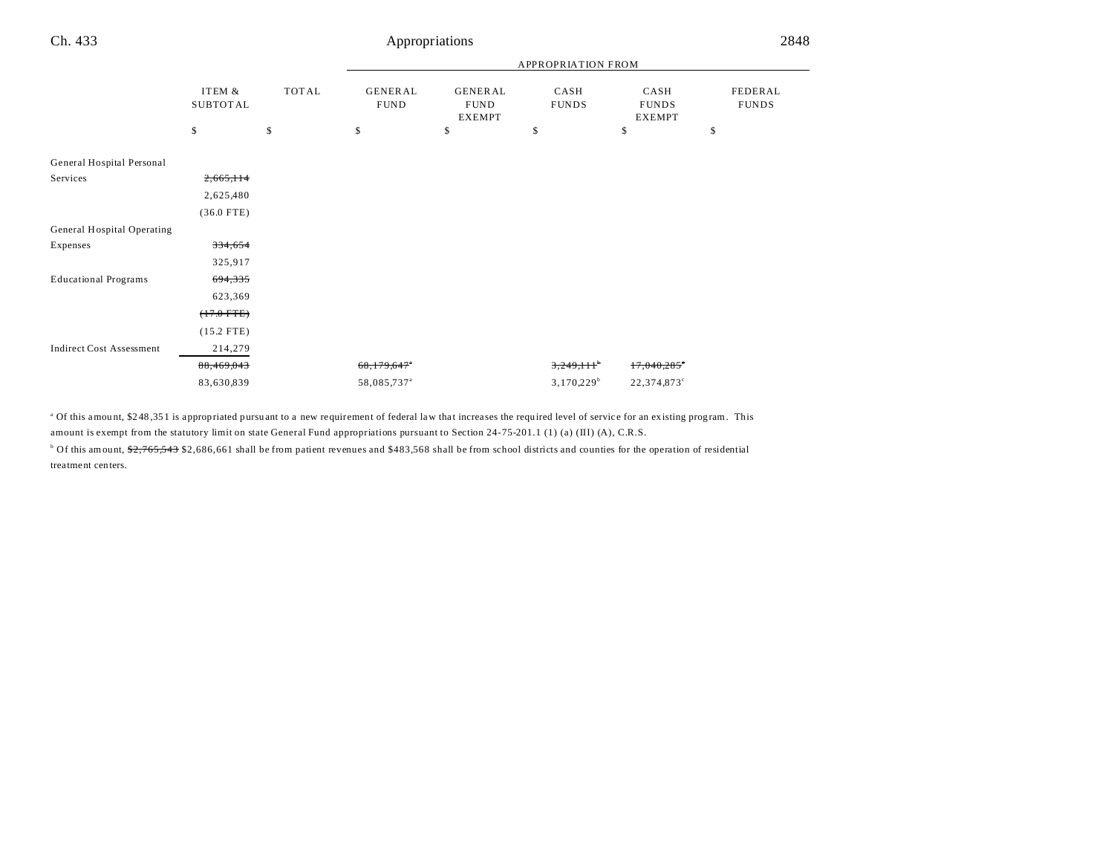# Appropriations

|                                 |                           |              | APPROPRIATION FROM            |                                                |                      |                                       |                         |
|---------------------------------|---------------------------|--------------|-------------------------------|------------------------------------------------|----------------------|---------------------------------------|-------------------------|
|                                 | ITEM &<br><b>SUBTOTAL</b> | <b>TOTAL</b> | <b>GENERAL</b><br><b>FUND</b> | <b>GENERAL</b><br><b>FUND</b><br><b>EXEMPT</b> | CASH<br><b>FUNDS</b> | CASH<br><b>FUNDS</b><br><b>EXEMPT</b> | FEDERAL<br><b>FUNDS</b> |
|                                 | \$                        | \$           | \$                            | \$                                             | \$                   | \$                                    | \$                      |
| General Hospital Personal       |                           |              |                               |                                                |                      |                                       |                         |
| Services                        | 2,665,114                 |              |                               |                                                |                      |                                       |                         |
|                                 | 2,625,480                 |              |                               |                                                |                      |                                       |                         |
|                                 | $(36.0$ FTE)              |              |                               |                                                |                      |                                       |                         |
| General Hospital Operating      |                           |              |                               |                                                |                      |                                       |                         |
| Expenses                        | 334,654                   |              |                               |                                                |                      |                                       |                         |
|                                 | 325,917                   |              |                               |                                                |                      |                                       |                         |
| <b>Educational Programs</b>     | 694,335                   |              |                               |                                                |                      |                                       |                         |
|                                 | 623,369                   |              |                               |                                                |                      |                                       |                         |
|                                 | $(+7.0$ FTE)              |              |                               |                                                |                      |                                       |                         |
|                                 | $(15.2$ FTE)              |              |                               |                                                |                      |                                       |                         |
| <b>Indirect Cost Assessment</b> | 214,279                   |              |                               |                                                |                      |                                       |                         |
|                                 | 88,469,043                |              | 68,179,647*                   |                                                | 3,249,111            | 17,040,285                            |                         |
|                                 | 83,630,839                |              | 58,085,737 <sup>a</sup>       |                                                | $3,170,229^b$        | 22,374,873°                           |                         |

<sup>a</sup> Of this amount, \$248,351 is appropriated pursuant to a new requirement of federal law that increases the required level of service for an existing program. This amount is exempt from the statutory limit on state General Fund appropriations pursuant to Section 24-75-201.1 (1) (a) (III) (A), C.R.S.

<sup>b</sup> Of this amount, \$<del>2,765,543</del> \$2,686,661 shall be from patient revenues and \$483,568 shall be from school districts and counties for the operation of residential trea tment centers.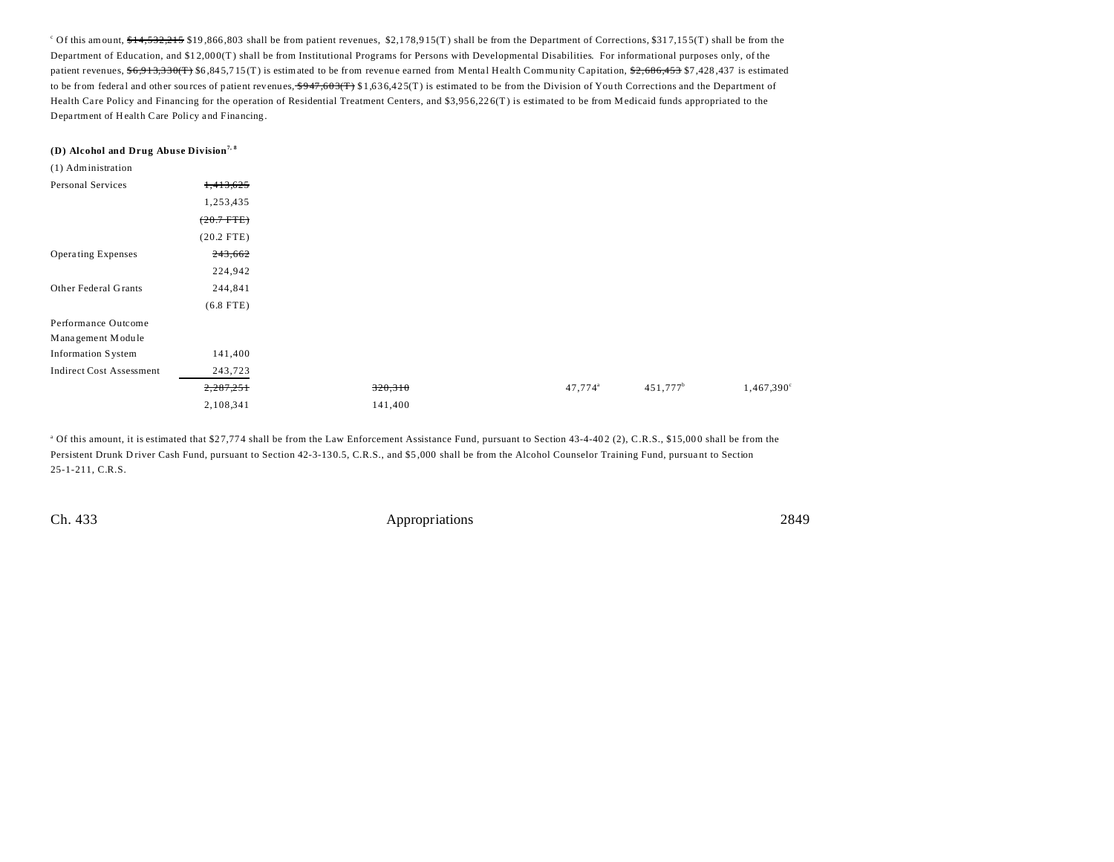$c$  Of this amount,  $f_1$ ,  $f_2$ ,  $f_3$ ,  $f_4$ ,  $f_5$ ,  $f_5$ ,  $f_6$ ,  $f_7$ ,  $f_8$ ,  $f_7$  of  $f_7$ ,  $f_7$ ,  $f_8$ ,  $f_7$   $f_8$ ,  $f_7$   $f_9$   $f_9$   $f_7$  the Department of Corrections,  $f_8$ ,  $f_7$ ,  $f_8$ ,  $f_7$ ,  $f_8$ ,  $f_9$ Department of Education, and \$1 2,00 0(T) shall be from Institutional Programs for Persons with Developmental Disabilities. For informational purposes only, of the patient revenues,  $6,913,330$ (T) \$6,845,715(T) is estimated to be from revenue earned from Mental Health Community Capitation,  $2,686,453$  \$7,428,437 is estimated to be from federal and other sources of patient revenues,  $\frac{$947,603(T)}{100}$  \$1,636,425(T) is estimated to be from the Division of Youth Corrections and the Department of Health Care Policy and Financing for the operation of Residential Treatment Centers, and \$3,956,226(T) is estimated to be from Medicaid funds appropriated to the Department of Health Care Policy and Financing.

#### **(D) Alcohol and Drug Abuse Division7, 8**

| (1) Administration              |                |         |                     |                        |                     |
|---------------------------------|----------------|---------|---------------------|------------------------|---------------------|
| Personal Services               | 1,413,625      |         |                     |                        |                     |
|                                 | 1,253,435      |         |                     |                        |                     |
|                                 | $(20.7 - FFE)$ |         |                     |                        |                     |
|                                 | $(20.2$ FTE)   |         |                     |                        |                     |
| <b>Operating Expenses</b>       | 243,662        |         |                     |                        |                     |
|                                 | 224,942        |         |                     |                        |                     |
| Other Federal Grants            | 244,841        |         |                     |                        |                     |
|                                 | $(6.8$ FTE)    |         |                     |                        |                     |
| Performance Outcome             |                |         |                     |                        |                     |
| Management Module               |                |         |                     |                        |                     |
| Information System              | 141,400        |         |                     |                        |                     |
| <b>Indirect Cost Assessment</b> | 243,723        |         |                     |                        |                     |
|                                 | 2,287,251      | 320,310 | 47,774 <sup>a</sup> | $451,777$ <sup>b</sup> | $1,467,390^{\circ}$ |
|                                 | 2,108,341      | 141,400 |                     |                        |                     |

<sup>a</sup> Of this amount, it is estimated that \$27,774 shall be from the Law Enforcement Assistance Fund, pursuant to Section 43-4-402 (2), C.R.S., \$15,000 shall be from the Persistent Drunk Driver Cash Fund, pursuant to Section 42-3-130.5, C.R.S., and \$5,000 shall be from the Alcohol Counselor Training Fund, pursuant to Section 25-1-211, C.R.S.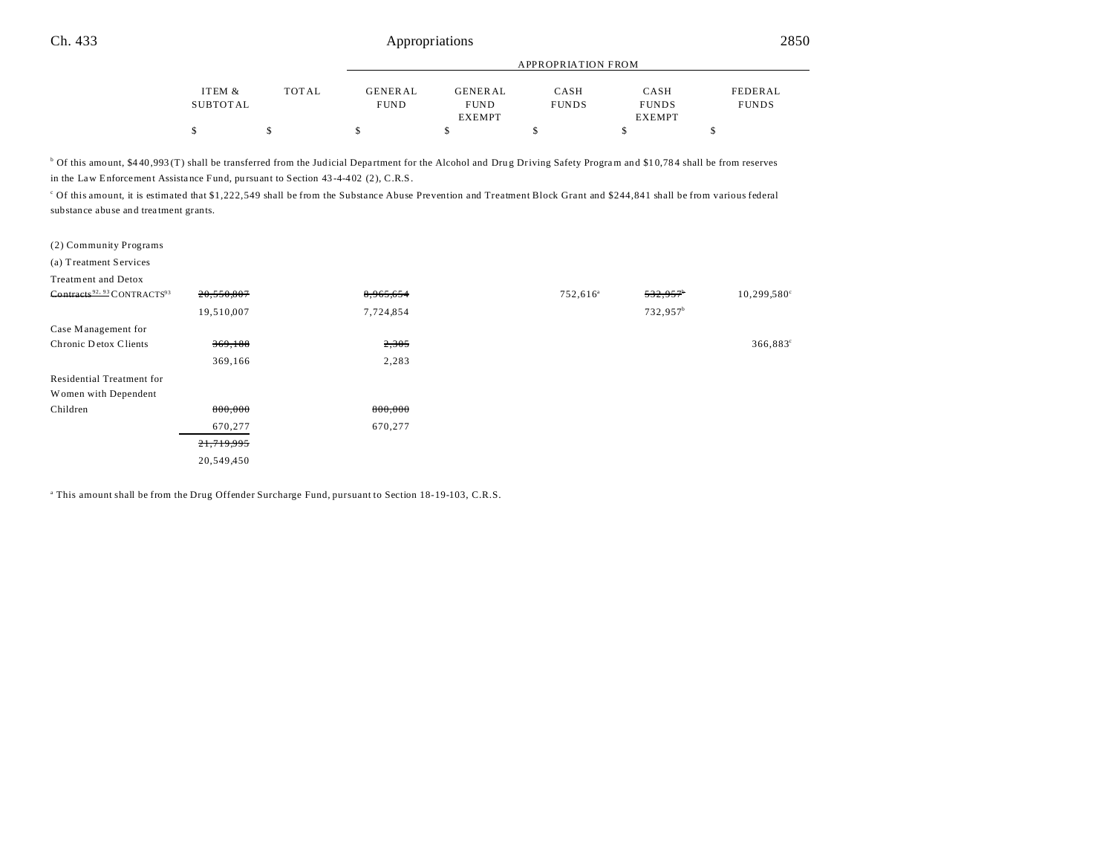|          |       |             | <b>APPROPRIATION FROM</b> |              |               |              |  |  |
|----------|-------|-------------|---------------------------|--------------|---------------|--------------|--|--|
| ITEM &   | TOTAL | GENERAL     | <b>GENERAL</b>            | CASH         | CASH          | FEDERAL      |  |  |
| SUBTOTAL |       | <b>FUND</b> | <b>FUND</b>               | <b>FUNDS</b> | <b>FUNDS</b>  | <b>FUNDS</b> |  |  |
|          |       |             | EXEMPT                    |              | <b>EXEMPT</b> |              |  |  |
| \$       |       |             |                           |              |               |              |  |  |

<sup>b</sup> Of this amount, \$440,993(T) shall be transferred from the Judicial Department for the Alcohol and Drug Driving Safety Program and \$10,784 shall be from reserves in the Law Enforcement Assista nce Fund, pu rsuant to Section 43 -4-402 (2), C.R.S.

c Of this amount, it is estimated that \$1,222,549 shall be from the Substance Abuse Prevention and Treatment Block Grant and \$244,841 shall be from various federal substance abuse and trea tment grants.

(a) Treatment Services

| 20,550,807 | 8,965,654 | 752,616 <sup>a</sup> | 532.957              | $10,299,580^{\circ}$ |
|------------|-----------|----------------------|----------------------|----------------------|
| 19,510,007 | 7,724,854 |                      | 732,957 <sup>b</sup> |                      |
|            |           |                      |                      |                      |
| 369,188    | 2,305     |                      |                      | $366,883^{\circ}$    |
| 369,166    | 2,283     |                      |                      |                      |
|            |           |                      |                      |                      |
|            |           |                      |                      |                      |
| 800,000    | 800,000   |                      |                      |                      |
| 670,277    | 670,277   |                      |                      |                      |
| 21,719,995 |           |                      |                      |                      |
| 20,549,450 |           |                      |                      |                      |
|            |           |                      |                      |                      |

a This amount shall be from the Drug Offender Surcharge Fund, pursuant to Section 18-19-103, C.R.S.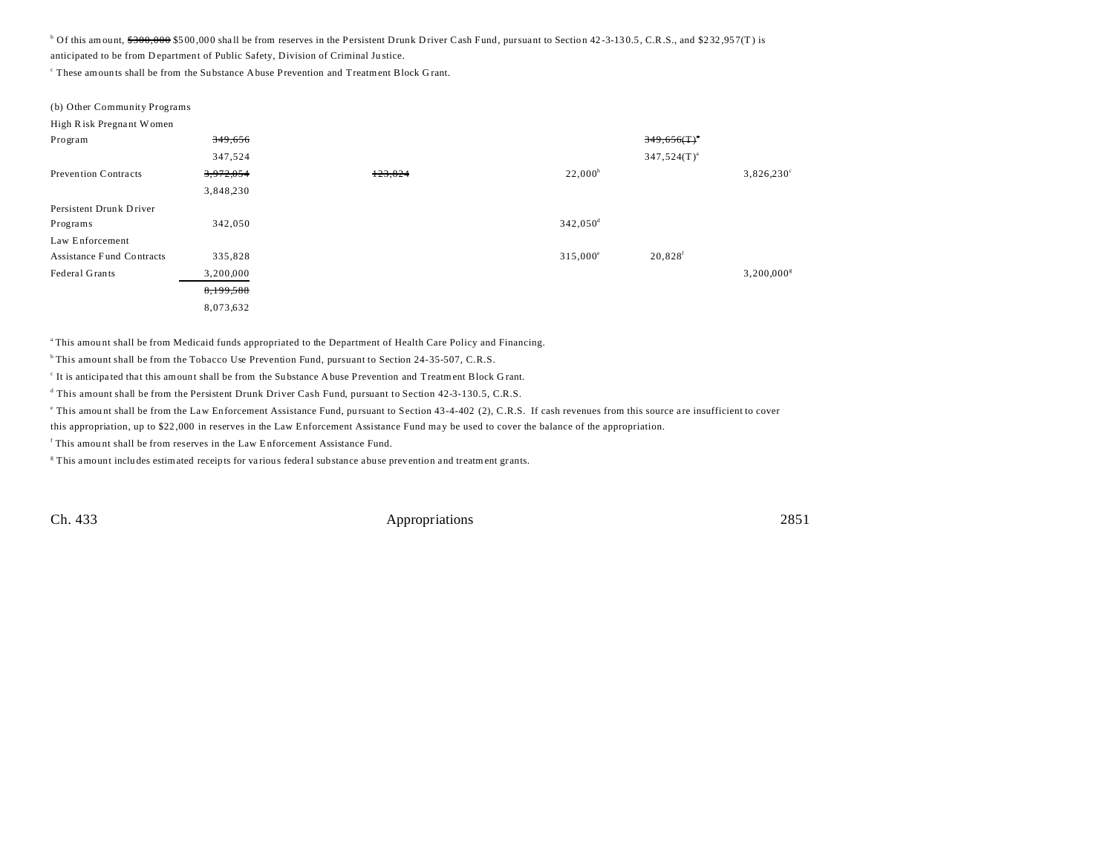$^{\circ}$  Of this amount,  $\frac{6300,000}{1000}$  \$500,000 shall be from reserves in the Persistent Drunk Driver Cash Fund, pursuant to Section 42-3-130.5, C.R.S., and \$232,957(T) is

anticipated to be from D epartment of Public Safety, Division of Criminal Ju stice.

These amounts shall be from the Substance Abuse Prevention and Treatment Block Grant.

| (b) Other Community Programs     |           |         |                        |                            |                          |
|----------------------------------|-----------|---------|------------------------|----------------------------|--------------------------|
| High Risk Pregnant Women         |           |         |                        |                            |                          |
| Program                          | 349,656   |         |                        | $349,656($ T) <sup>*</sup> |                          |
|                                  | 347,524   |         |                        | $347,524(T)^{a}$           |                          |
| Prevention Contracts             | 3,972,054 | 123,824 | $22,000^{\circ}$       |                            | $3,826,230^{\circ}$      |
|                                  | 3,848,230 |         |                        |                            |                          |
| Persistent Drunk Driver          |           |         |                        |                            |                          |
| Programs                         | 342,050   |         | $342,050$ <sup>d</sup> |                            |                          |
| Law Enforcement                  |           |         |                        |                            |                          |
| <b>Assistance Fund Contracts</b> | 335,828   |         | $315,000^{\circ}$      | $20,828$ <sup>f</sup>      |                          |
| Federal Grants                   | 3,200,000 |         |                        |                            | $3,200,000$ <sup>s</sup> |
|                                  | 8,199,588 |         |                        |                            |                          |
|                                  | 8,073,632 |         |                        |                            |                          |
|                                  |           |         |                        |                            |                          |

<sup>a</sup>This amou nt shall be from Medicaid funds appropriated to the Department of Health Care Policy and Financing.

<sup>b</sup> This amount shall be from the Tobacco Use Prevention Fund, pursuant to Section 24-35-507, C.R.S.

It is anticipated that this amount shall be from the Substance Abuse Prevention and Treatment Block Grant.

d This amount shall be from the Persistent Drunk Driver Cash Fund, pursuant to Section 42-3-130.5, C.R.S.

This amount shall be from the Law Enforcement Assistance Fund, pursuant to Section 43-4-402 (2), C.R.S. If cash revenues from this source are insufficient to cover

this appropriation, up to \$22,000 in reserves in the Law Enforcement Assistance Fund may be used to cover the balance of the appropriation.

f This amou nt shall be from reserves in the Law Enforcement Assistance Fund.

<sup>g</sup> This amount includes estimated receipts for various federal substance abuse prevention and treatment grants.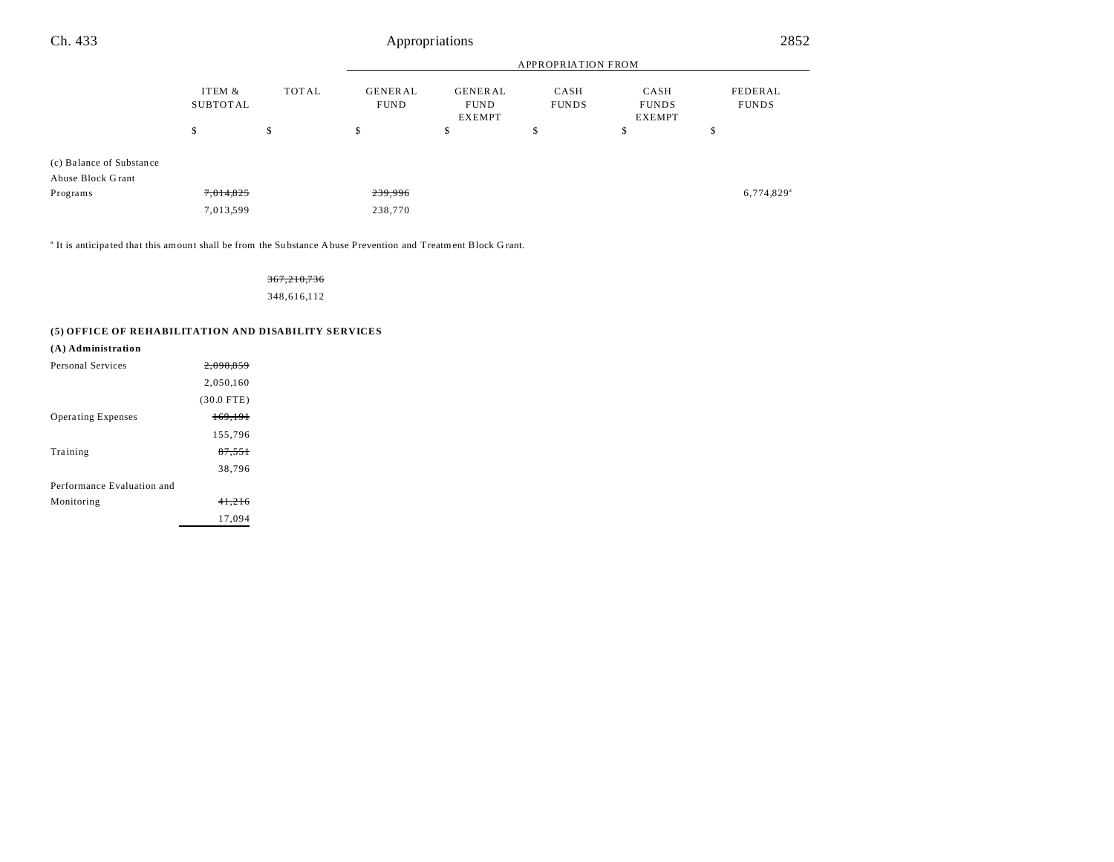| Ch. 433                                       | Appropriations     |              |                               |                                                |                      |                                       | 2852                     |  |
|-----------------------------------------------|--------------------|--------------|-------------------------------|------------------------------------------------|----------------------|---------------------------------------|--------------------------|--|
|                                               |                    |              | <b>APPROPRIATION FROM</b>     |                                                |                      |                                       |                          |  |
|                                               | ITEM &<br>SUBTOTAL | <b>TOTAL</b> | <b>GENERAL</b><br><b>FUND</b> | <b>GENERAL</b><br><b>FUND</b><br><b>EXEMPT</b> | CASH<br><b>FUNDS</b> | CASH<br><b>FUNDS</b><br><b>EXEMPT</b> | FEDERAL<br><b>FUNDS</b>  |  |
|                                               | \$                 | \$           | \$                            | \$                                             | \$                   | \$                                    | \$                       |  |
| (c) Balance of Substance<br>Abuse Block Grant |                    |              |                               |                                                |                      |                                       |                          |  |
| Programs                                      | 7,014,825          |              | 239,996                       |                                                |                      |                                       | $6,774,829$ <sup>a</sup> |  |
|                                               | 7,013,599          |              | 238,770                       |                                                |                      |                                       |                          |  |
|                                               |                    |              |                               |                                                |                      |                                       |                          |  |

<sup>a</sup> It is anticipated that this amount shall be from the Substance Abuse Prevention and Treatment Block Grant.

### 367,210,736

348,616,112

### **(5) OFFICE OF REHABILITATION AND DISABILITY SERVICES**

| (A) Administration         |              |  |
|----------------------------|--------------|--|
| Personal Services          | 2.098.859    |  |
|                            | 2,050,160    |  |
|                            | $(30.0$ FTE) |  |
| <b>Operating Expenses</b>  | 169,191      |  |
|                            | 155,796      |  |
| Training                   | 87,551       |  |
|                            | 38,796       |  |
| Performance Evaluation and |              |  |
| Monitoring                 | 41.216       |  |
|                            | 17.094       |  |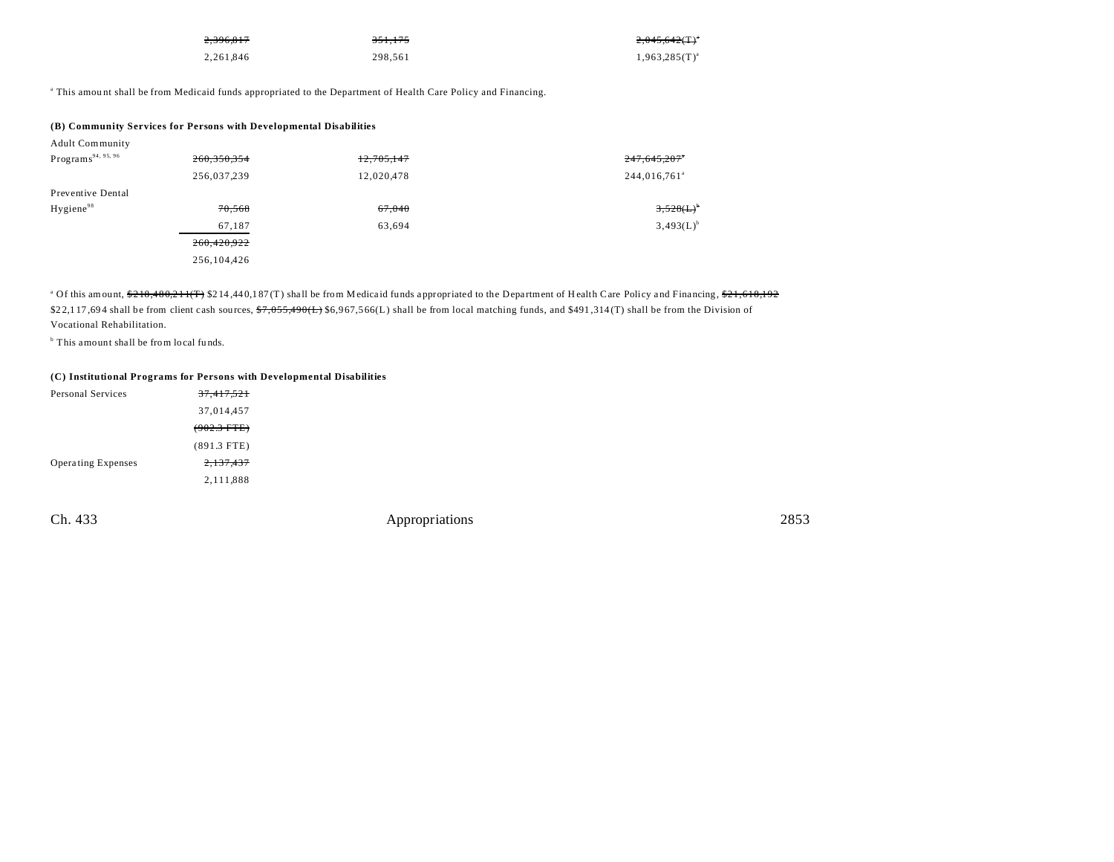| 2,396,817 | <del>351.175</del> | $2,045,642($ T) <sup>a</sup> |
|-----------|--------------------|------------------------------|
| 2.261.846 | 298,561            | $1,963,285(T)^{a}$           |

a This amou nt shall be from Medicaid funds appropriated to the Department of Health Care Policy and Financing.

|                                | (B) Community Services for Persons with Developmental Disabilities |            |                          |
|--------------------------------|--------------------------------------------------------------------|------------|--------------------------|
| <b>Adult Community</b>         |                                                                    |            |                          |
| Programs <sup>94, 95, 96</sup> | 260.350.354                                                        | 12,705,147 | 247,645,207              |
|                                | 256,037,239                                                        | 12,020,478 | 244,016,761 <sup>a</sup> |
| Preventive Dental              |                                                                    |            |                          |
| Hygiene <sup>98</sup>          | 70,568                                                             | 67,040     | $3,528(L)^{6}$           |
|                                | 67,187                                                             | 63,694     | $3,493(L)^{b}$           |
|                                | 260,420,922                                                        |            |                          |
|                                | 256,104,426                                                        |            |                          |

<sup>a</sup> Of this amount, \$218,480,211(T) \$214,440,187(T) shall be from M edicaid funds appropriated to the Department of Health Care Policy and Financing, \$<del>21,618,192</del> \$22,117,694 shall be from client cash sources,  $\frac{47,055,490(L)}{6,967,566(L)}$  shall be from local matching funds, and \$491,314(T) shall be from the Division of Vocational Rehabilitation.

<sup>b</sup> This amount shall be from local funds.

## **(C) Institutional Programs for Persons with Developmental Disabilities**

| Personal Services         | <del>37,417,521</del> |
|---------------------------|-----------------------|
|                           | 37,014,457            |
|                           | $(902.3$ FTE)         |
|                           | $(891.3$ FTE)         |
| <b>Operating Expenses</b> | 2,137,437             |
|                           | 2,111,888             |
|                           |                       |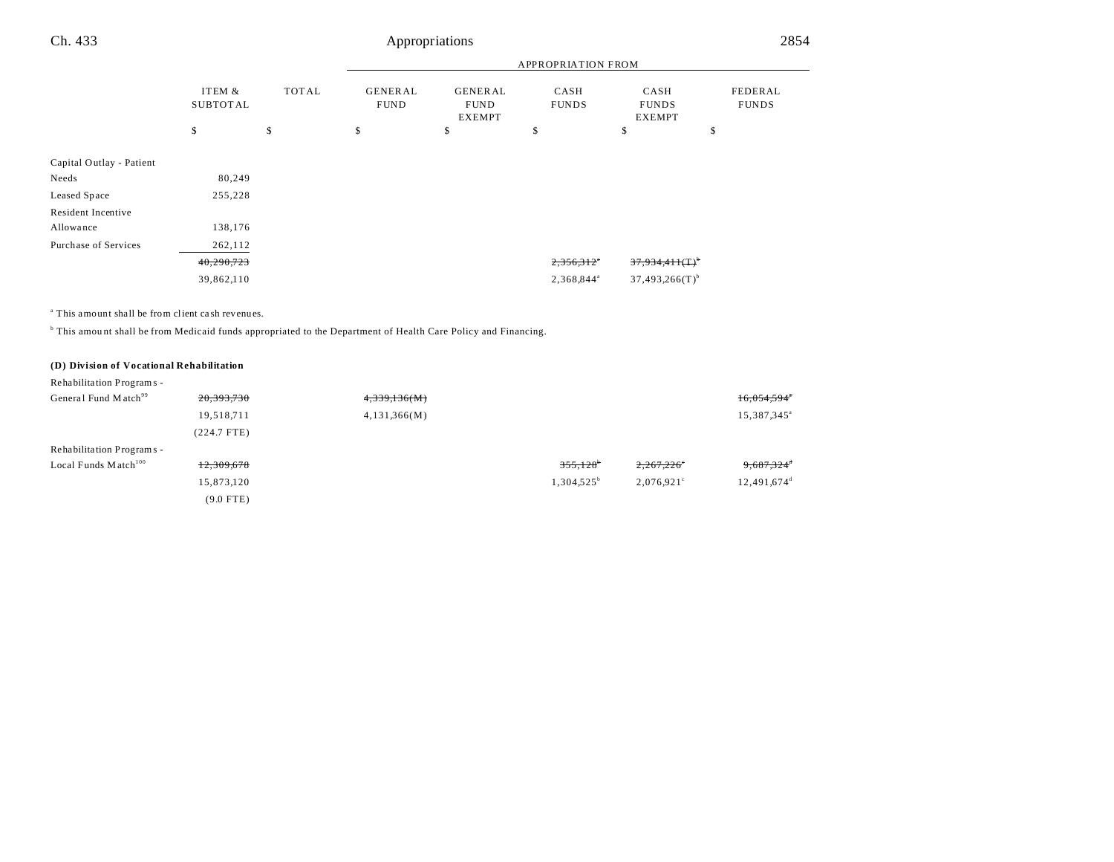#### APPROPRIATION FROM ITEM & SUBTOT AL TOT AL GENER AL FUND GENER AL FUND EXEMPT CASH FUNDS CASH FUNDS EXEMPT FEDERAL FUNDS  $\begin{array}{ccccccccccc} \texttt{\$} & & & \texttt{\$} & & & \texttt{\$} & & \texttt{\$} & & \texttt{\$} & & \texttt{\$} & & \texttt{\$} & & \texttt{\$} & & \texttt{\$} & & \texttt{\$} & & \texttt{\$} & & \texttt{\$} & & \texttt{\$} & & \texttt{\$} & & \texttt{\$} & & \texttt{\$} & & \texttt{\$} & & \texttt{\$} & & \texttt{\$} & & \texttt{\$} & & \texttt{\$} & & \texttt{\$} & & \texttt{\$} & & \texttt{\$} & & \texttt{\$} & & \texttt{\$} & & \$ Ch. 433 Appropriations 2854

| Capital Outlay - Patient |            |                        |                               |
|--------------------------|------------|------------------------|-------------------------------|
| Needs                    | 80.249     |                        |                               |
| Leased Space             | 255,228    |                        |                               |
| Resident Incentive       |            |                        |                               |
| Allowance                | 138,176    |                        |                               |
| Purchase of Services     | 262,112    |                        |                               |
|                          | 40,290,723 | 2,356,312"             | $37,934,411($ T) <sup>b</sup> |
|                          | 39,862,110 | 2,368,844 <sup>ª</sup> | $37,493,266(T)^{b}$           |

a This amount shall be from client ca sh revenues.

<sup>b</sup> This amount shall be from Medicaid funds appropriated to the Department of Health Care Policy and Financing.

## **(D) Division of Vocational Rehabilitation**

| Rehabilitation Programs -          |               |              |                        |               |                           |
|------------------------------------|---------------|--------------|------------------------|---------------|---------------------------|
| General Fund Match <sup>99</sup>   | 20, 393, 730  | 4,339,136(M) |                        |               | $16,054,594$ <sup>*</sup> |
|                                    | 19,518,711    | 4,131,366(M) |                        |               | 15,387,345 <sup>a</sup>   |
|                                    | $(224.7$ FTE) |              |                        |               |                           |
| Rehabilitation Programs -          |               |              |                        |               |                           |
| Local Funds $M \text{ atch}^{100}$ | 12,309,678    |              | $355,128$ <sup>*</sup> | 2,267,226     | $9,687,324$ <sup>d</sup>  |
|                                    | 15,873,120    |              | $1,304,525^{\circ}$    | $2.076.921$ ° | $12,491,674$ <sup>d</sup> |
|                                    | $(9.0$ FTE)   |              |                        |               |                           |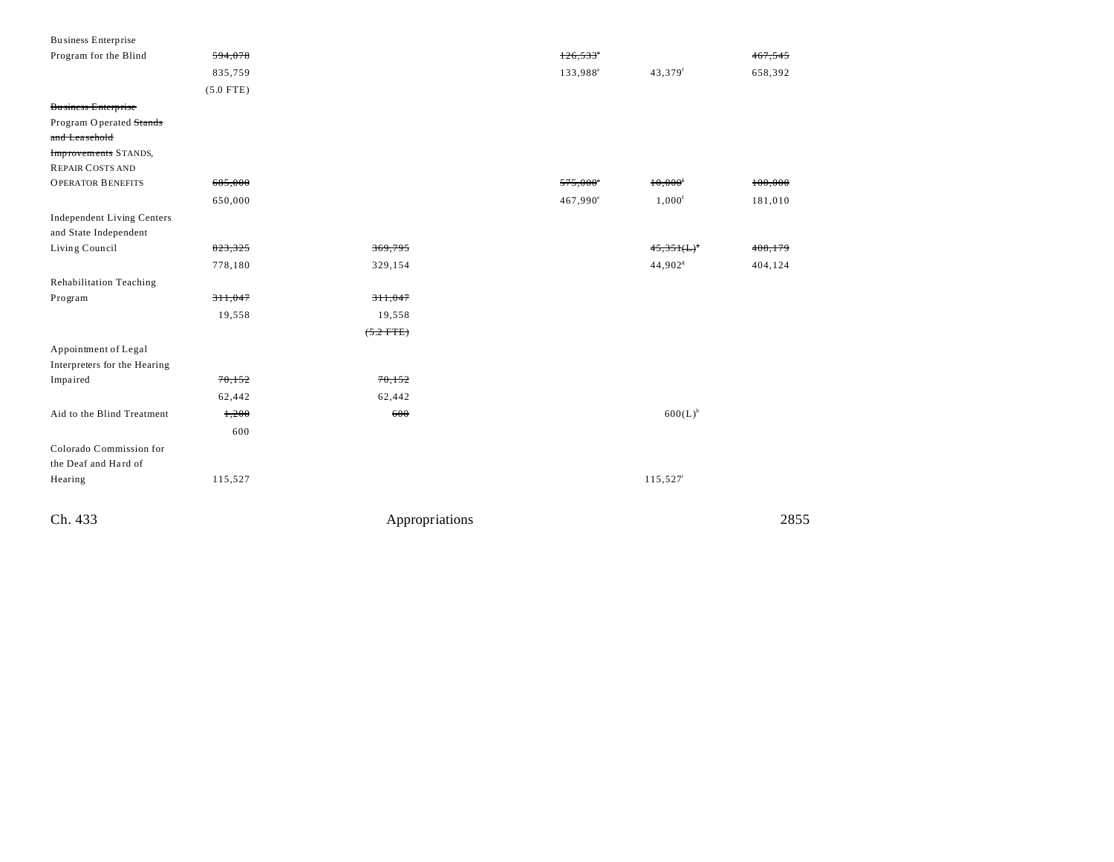| Business Enterprise               |             |                |                        |                        |                    |
|-----------------------------------|-------------|----------------|------------------------|------------------------|--------------------|
| Program for the Blind             | 594,078     |                | $126,533$ <sup>*</sup> |                        | <del>467.545</del> |
|                                   | 835,759     |                | 133,988 <sup>e</sup>   | 43,379f                | 658,392            |
|                                   | $(5.0$ FTE) |                |                        |                        |                    |
| <b>Business Enterprise</b>        |             |                |                        |                        |                    |
| Program Operated Stands           |             |                |                        |                        |                    |
| and Leasehold                     |             |                |                        |                        |                    |
| <b>Improvements STANDS,</b>       |             |                |                        |                        |                    |
| <b>REPAIR COSTS AND</b>           |             |                |                        |                        |                    |
| <b>OPERATOR BENEFITS</b>          | 685,000     |                | $575,000^{\circ}$      | 10,000                 | 100,000            |
|                                   | 650,000     |                | 467,990 <sup>e</sup>   | $1,000^{\rm f}$        | 181,010            |
| <b>Independent Living Centers</b> |             |                |                        |                        |                    |
| and State Independent             |             |                |                        |                        |                    |
| Living Council                    | 823,325     | 369,795        |                        | $45,351(L)^{5}$        | 408,179            |
|                                   | 778,180     | 329,154        |                        | 44,902 <sup>s</sup>    | 404,124            |
| Rehabilitation Teaching           |             |                |                        |                        |                    |
| Program                           | 311,047     | 311,047        |                        |                        |                    |
|                                   | 19,558      | 19,558         |                        |                        |                    |
|                                   |             | $(5.2$ FTE)    |                        |                        |                    |
| Appointment of Legal              |             |                |                        |                        |                    |
| Interpreters for the Hearing      |             |                |                        |                        |                    |
| Impaired                          | 70,152      | 70,152         |                        |                        |                    |
|                                   | 62,442      | 62,442         |                        |                        |                    |
| Aid to the Blind Treatment        | 1,200       | 600            |                        | $600(L)^{h}$           |                    |
|                                   | 600         |                |                        |                        |                    |
| Colorado Commission for           |             |                |                        |                        |                    |
| the Deaf and Hard of              |             |                |                        |                        |                    |
| Hearing                           | 115,527     |                |                        | $115,527$ <sup>i</sup> |                    |
|                                   |             |                |                        |                        |                    |
| Ch. 433                           |             | Appropriations |                        |                        | 2855               |
|                                   |             |                |                        |                        |                    |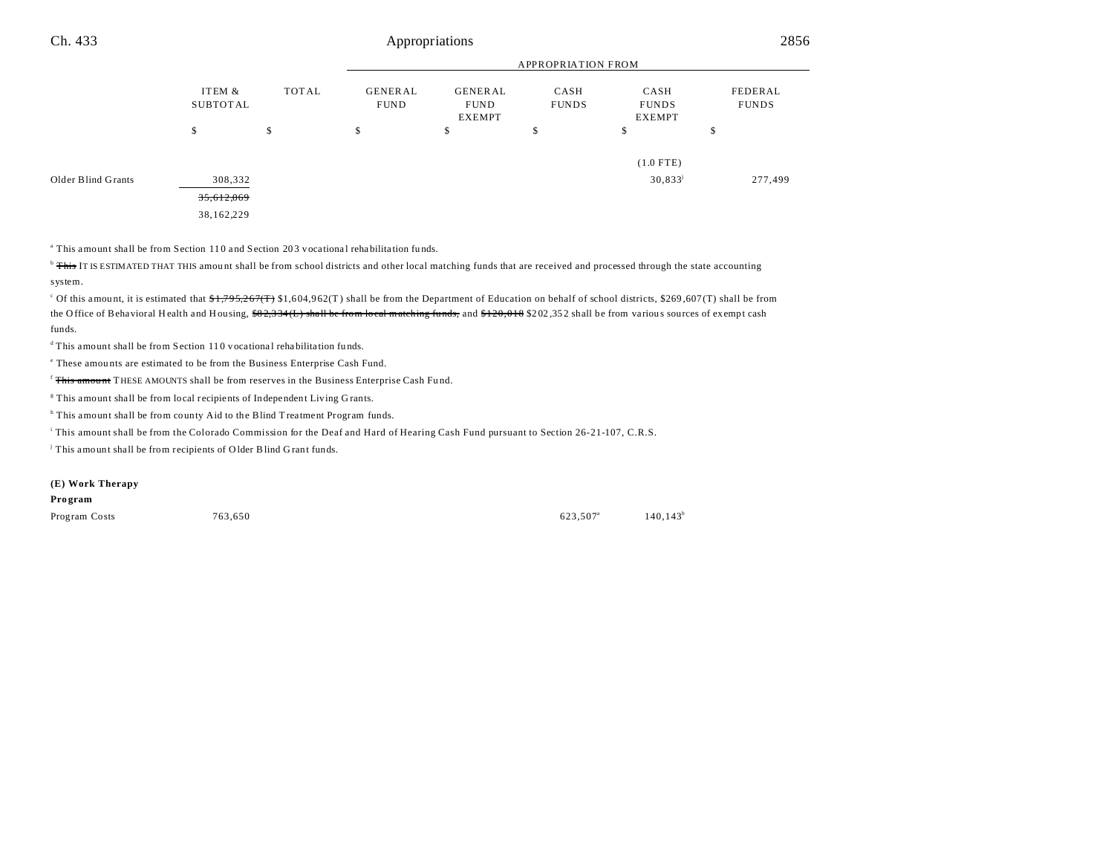|                    |                           |                                        | APPROPRIATION FROM |                                                                        |    |                                       |                         |  |
|--------------------|---------------------------|----------------------------------------|--------------------|------------------------------------------------------------------------|----|---------------------------------------|-------------------------|--|
|                    | ITEM &<br><b>SUBTOTAL</b> | GENERAL<br><b>TOTAL</b><br><b>FUND</b> |                    | <b>GENERAL</b><br>CASH<br><b>FUNDS</b><br><b>FUND</b><br><b>EXEMPT</b> |    | CASH<br><b>FUNDS</b><br><b>EXEMPT</b> | FEDERAL<br><b>FUNDS</b> |  |
|                    | \$                        | \$                                     | \$                 | \$                                                                     | \$ | \$                                    | ъ                       |  |
|                    |                           |                                        |                    |                                                                        |    | $(1.0$ FTE)                           |                         |  |
| Older Blind Grants | 308,332                   |                                        |                    |                                                                        |    | $30,833^{\rm j}$                      | 277,499                 |  |
|                    | 35,612,069                |                                        |                    |                                                                        |    |                                       |                         |  |
|                    | 38,162,229                |                                        |                    |                                                                        |    |                                       |                         |  |

<sup>a</sup> This amount shall be from Section 110 and Section 203 vocational rehabilitation funds.

<sup>b</sup> This IT IS ESTIMATED THAT THIS amount shall be from school districts and other local matching funds that are received and processed through the state accounting system.

<sup>c</sup> Of this amount, it is estimated that \$1,795,267(T) \$1,604,962(T) shall be from the Department of Education on behalf of school districts, \$269,607(T) shall be from the O ffice of Behavioral Health and Housing,  $\frac{682.334(L)}{822.334(L)}$  shall be from local matching funds, and  $\frac{6120.018}{202.352}$  shall be from various sources of exempt cash funds.

 $d$ This amount shall be from Section 110 vocational rehabilitation funds.

e These amou nts are estimated to be from the Business Enterprise Cash Fund.

<sup>f</sup> This amount THESE AMOUNTS shall be from reserves in the Business Enterprise Cash Fund.

<sup>8</sup> This amount shall be from local recipients of Independent Living Grants.

<sup>h</sup> This amount shall be from county Aid to the Blind Treatment Program funds.

i This amount shall be from the Colorado Commission for the Deaf and Hard of Hearing Cash Fund pursuant to Section 26-21-107, C.R.S.

j This amount shall be from recipients of O lder Blind G rant funds.

#### **(E) Work Therapy**

**Pro gram**

Program Costs  $763,650$  623,507<sup>a</sup> 623,507<sup>a</sup>

 $140,143^b$ 

APPROPRIATION FROM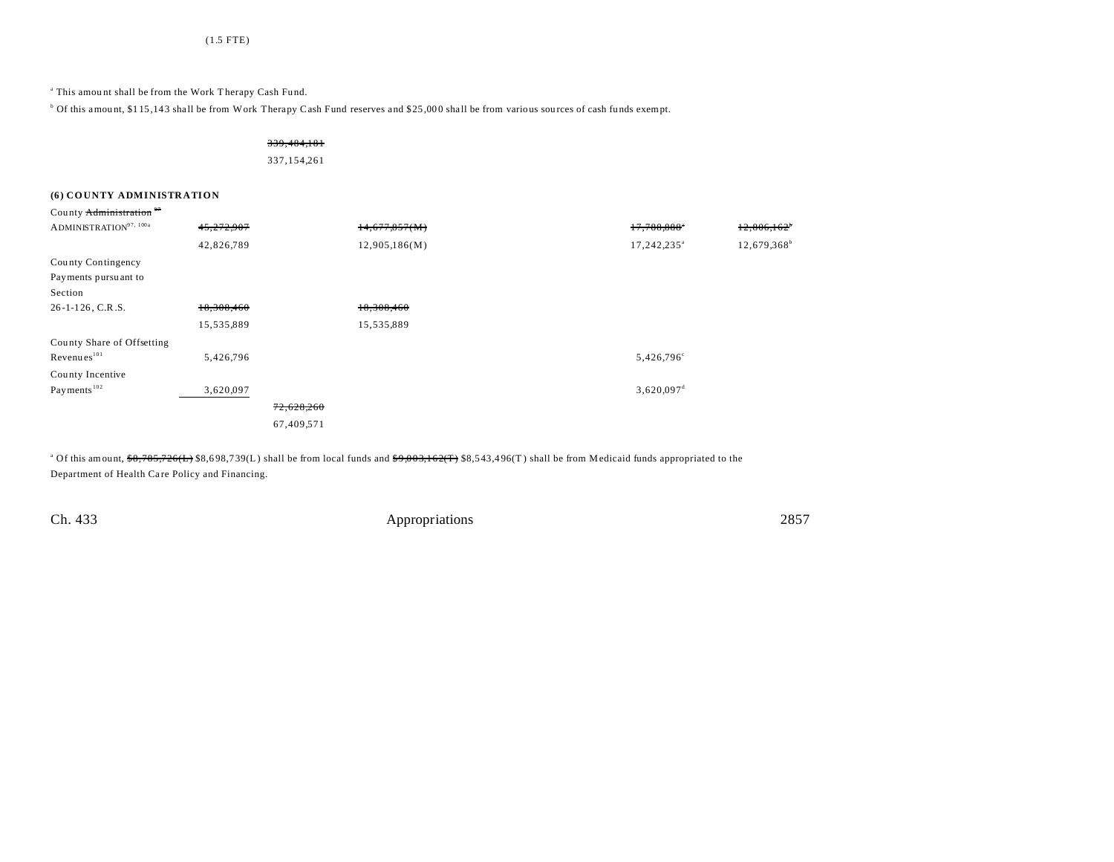<sup>a</sup> This amount shall be from the Work Therapy Cash Fund.

<sup>b</sup> Of this amount, \$115,143 shall be from Work Therapy Cash Fund reserves and \$25,000 shall be from various sources of cash funds exempt.

339,484,181

337,154,261

## **(6) COUNTY ADMINISTRATION**

| County Administration <sup>97</sup>  |            |            |               |                          |                           |
|--------------------------------------|------------|------------|---------------|--------------------------|---------------------------|
| $\mathrm{ADMINISTRATION}^{97,~100a}$ | 45,272,907 |            | 14,677,857(M) | 17,788,888*              | $12,806,162$ <sup>*</sup> |
|                                      | 42,826,789 |            | 12,905,186(M) | 17,242,235 <sup>a</sup>  | 12,679,368 <sup>b</sup>   |
| County Contingency                   |            |            |               |                          |                           |
| Payments pursuant to                 |            |            |               |                          |                           |
| Section                              |            |            |               |                          |                           |
| $26 - 1 - 126$ , C.R.S.              | 18,308,460 |            | 18,308,460    |                          |                           |
|                                      | 15,535,889 |            | 15,535,889    |                          |                           |
| County Share of Offsetting           |            |            |               |                          |                           |
| Revenues <sup>101</sup>              | 5,426,796  |            |               | 5,426,796°               |                           |
| County Incentive                     |            |            |               |                          |                           |
| Payments <sup>102</sup>              | 3,620,097  |            |               | $3,620,097$ <sup>d</sup> |                           |
|                                      |            | 72,628,260 |               |                          |                           |
|                                      |            | 67,409,571 |               |                          |                           |

<sup>a</sup> Of this amount, \$8,785,726(L) \$8,698,739(L) shall be from local funds and \$9,003,162(T) \$8,543,496(T) shall be from Medicaid funds appropriated to the Department of Health Care Policy and Financing.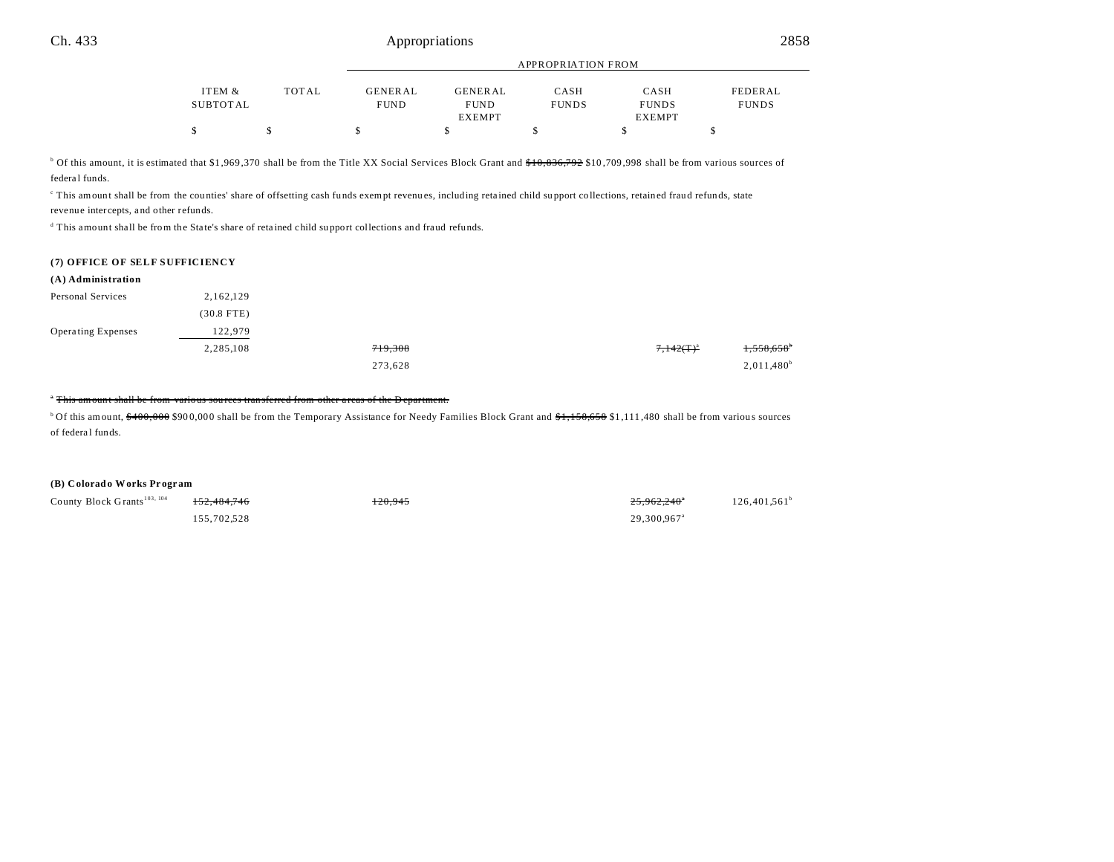|          |              | $\ldots$    |                |              |               |              |
|----------|--------------|-------------|----------------|--------------|---------------|--------------|
|          |              |             |                |              |               |              |
| ITEM &   | <b>TOTAL</b> | GENERAL     | <b>GENERAL</b> | CASH         | CASH          | FEDERAL      |
| SUBTOTAL |              | <b>FUND</b> | <b>FUND</b>    | <b>FUNDS</b> | <b>FUNDS</b>  | <b>FUNDS</b> |
|          |              |             | <b>EXEMPT</b>  |              | <b>EXEMPT</b> |              |
| \$       |              |             |                |              |               |              |

APPROPRIATION FROM

<sup>b</sup> Of this amount, it is estimated that \$1,969,370 shall be from the Title XX Social Services Block Grant and <del>\$10,836,792</del> \$10,709,998 shall be from various sources of federal funds.

This amount shall be from the counties' share of offsetting cash funds exempt revenues, including retained child support collections, retained fraud refunds, state revenue intercepts, and other refunds.

<sup>d</sup> This amount shall be from the State's share of retained child support collections and fraud refunds.

#### **(7) OFFICE OF SELF SUFFICIENCY**

| (A) Administration |              |         |                |                          |
|--------------------|--------------|---------|----------------|--------------------------|
| Personal Services  | 2,162,129    |         |                |                          |
|                    | $(30.8$ FTE) |         |                |                          |
| Operating Expenses | 122,979      |         |                |                          |
|                    | 2,285,108    | 719,308 | $7,142(T)^{a}$ | $1,558,658$ <sup>b</sup> |
|                    |              | 273,628 |                | $2,011,480^b$            |

### <sup>\*</sup> This amount shall be from various sources transferred from other areas of the D epartment.

<sup>b</sup>Of this amount, \$400,000 \$900,000 shall be from the Temporary Assistance for Needy Families Block Grant and \$1,158,658 \$1,111,480 shall be from various sources of federal funds.

### **(B) Colorado Works Pr ogr am**

County Block Grants<sup>103, 104</sup> 152,484,746 120,945 120,945 120,945 25,962,240<sup>°</sup>

155,702,528 29,300,967<sup>a</sup>

 $126,401,561$ <sup>b</sup>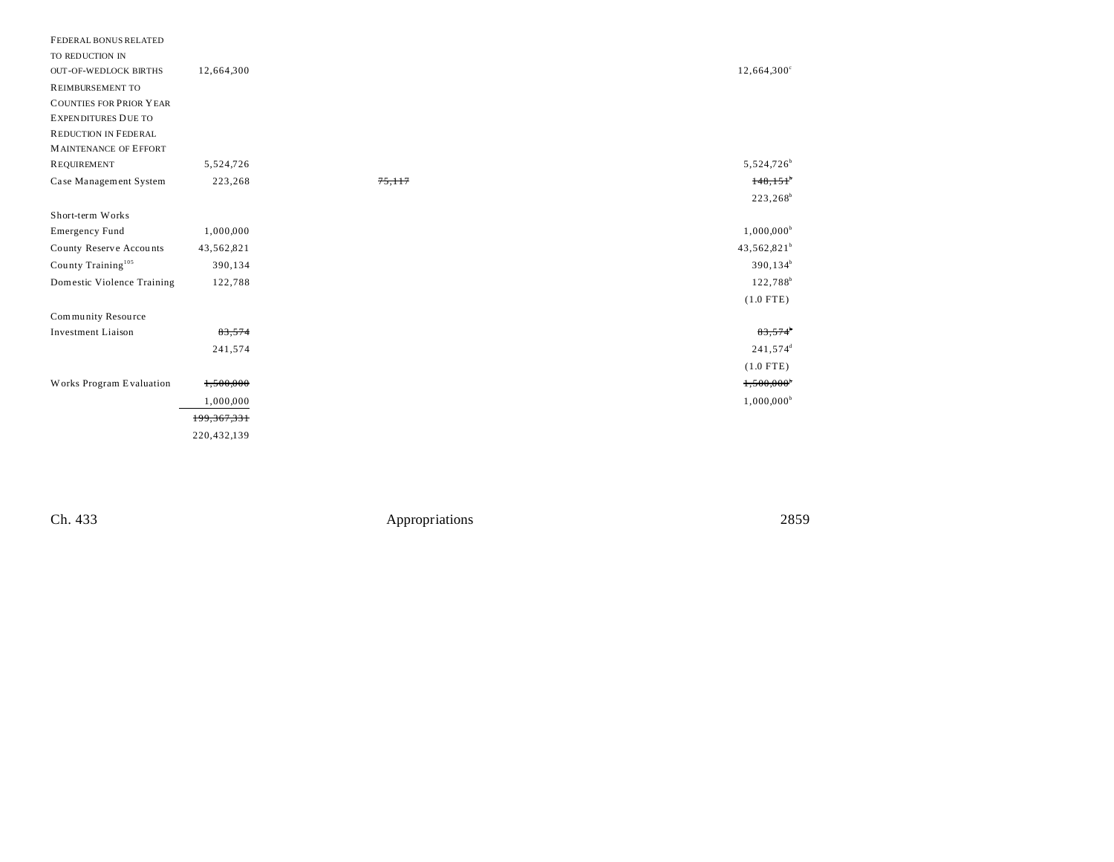| FEDERAL BONUS RELATED<br>TO REDUCTION IN |             |                |                          |
|------------------------------------------|-------------|----------------|--------------------------|
| <b>OUT-OF-WEDLOCK BIRTHS</b>             | 12,664,300  |                | $12,664,300^{\circ}$     |
| <b>REIMBURSEMENT TO</b>                  |             |                |                          |
| <b>COUNTIES FOR PRIOR YEAR</b>           |             |                |                          |
| <b>EXPENDITURES DUE TO</b>               |             |                |                          |
| REDUCTION IN FEDERAL                     |             |                |                          |
| <b>MAINTENANCE OF EFFORT</b>             |             |                |                          |
| <b>REQUIREMENT</b>                       | 5,524,726   |                | 5,524,726 <sup>b</sup>   |
| Case Management System                   | 223,268     | 75,117         | 148,151                  |
|                                          |             |                | $223,268^b$              |
| Short-term Works                         |             |                |                          |
| <b>Emergency Fund</b>                    | 1,000,000   |                | $1,000,000^{\circ}$      |
| County Reserve Accounts                  | 43,562,821  |                | 43,562,821 <sup>b</sup>  |
| County Training <sup>105</sup>           | 390,134     |                | $390, 134^b$             |
| Domestic Violence Training               | 122,788     |                | 122,788 <sup>b</sup>     |
|                                          |             |                | $(1.0$ FTE)              |
| Community Resource                       |             |                |                          |
| <b>Investment Liaison</b>                | 83,574      |                | $83,574$ <sup>*</sup>    |
|                                          | 241,574     |                | 241,574 <sup>d</sup>     |
|                                          |             |                | $(1.0$ FTE)              |
| Works Program Evaluation                 | 1,500,000   |                | $1,500,000$ <sup>*</sup> |
|                                          | 1,000,000   |                | $1,000,000^b$            |
|                                          | 199,367,331 |                |                          |
|                                          | 220,432,139 |                |                          |
|                                          |             |                |                          |
|                                          |             |                |                          |
|                                          |             |                |                          |
| Ch. 433                                  |             | Appropriations | 2859                     |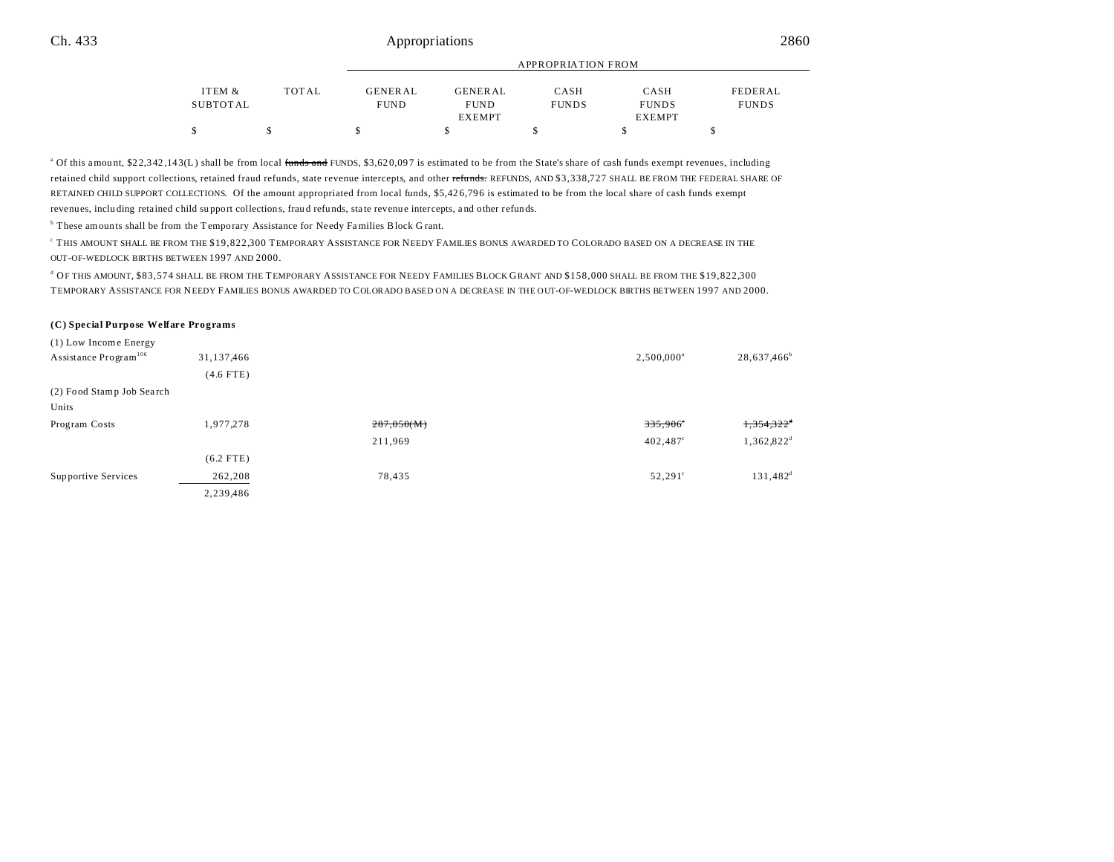|          |              | APPROPRIATION FROM |                |              |               |              |
|----------|--------------|--------------------|----------------|--------------|---------------|--------------|
|          |              |                    |                |              |               |              |
| ITEM &   | <b>TOTAL</b> | <b>GENERAL</b>     | <b>GENERAL</b> | CASH         | CASH          | FEDERAL      |
| SUBTOTAL |              | <b>FUND</b>        | <b>FUND</b>    | <b>FUNDS</b> | <b>FUNDS</b>  | <b>FUNDS</b> |
|          |              |                    | <b>EXEMPT</b>  |              | <b>EXEMPT</b> |              |
|          |              |                    |                |              |               |              |

<sup>a</sup> Of this amount, \$22,342,143(L) shall be from local <del>funds and</del> FUNDS, \$3,620,097 is estimated to be from the State's share of cash funds exempt revenues, including retained child support collections, retained fraud refunds, state revenue intercepts, and other refunds. REFUNDS, AND \$3,338,727 SHALL BE FROM THE FEDERAL SHARE OF RETAINED CHILD SUPPORT COLLECTIONS. Of the amount appropriated from local funds, \$5,42 6,79 6 is estimated to be from the local share of cash funds exempt revenues, including retained child support collections, fraud refunds, state revenue intercepts, and other refunds.

<sup>b</sup> These amounts shall be from the Temporary Assistance for Needy Families Block Grant.

c THIS AMOUNT SHALL BE FROM THE \$19,822,300 TEMPORARY ASSISTANCE FOR NEEDY FAMILIES BONUS AWARDED TO COLORADO BASED ON A DECREASE IN THE OUT-OF-WEDLOCK BIRTHS BETWEEN 1997 AND 2000.

d OF THIS AMOUNT, \$83,574 SHALL BE FROM THE TEMPORARY ASSISTANCE FOR NEEDY FAMILIES BLOCK GRANT AND \$158,000 SHALL BE FROM THE \$19,822,300 TEMPORARY ASSISTANCE FOR NEEDY FAMILIES BONUS AWARDED TO COLORADO BASED ON A DECREASE IN THE OUT-OF-WEDLOCK BIRTHS BETWEEN 1997 AND 2000.

#### **(C) Special Purpose Welfare Programs**

| (1) Low Income Energy             |             |            |                     |                          |
|-----------------------------------|-------------|------------|---------------------|--------------------------|
| Assistance Program <sup>106</sup> | 31,137,466  |            | $2,500,000^{\circ}$ | $28,637,466^{\circ}$     |
|                                   | $(4.6$ FTE) |            |                     |                          |
| (2) Food Stamp Job Search         |             |            |                     |                          |
| Units                             |             |            |                     |                          |
| Program Costs                     | 1,977,278   | 287,050(M) | $335,906^\circ$     | $1,354,322$ <sup>d</sup> |
|                                   |             | 211,969    | $402,487$ °         | $1,362,822^d$            |
|                                   | $(6.2$ FTE) |            |                     |                          |
| Supportive Services               | 262,208     | 78,435     | $52,291^{\circ}$    | $131,482^{\rm d}$        |
|                                   | 2,239,486   |            |                     |                          |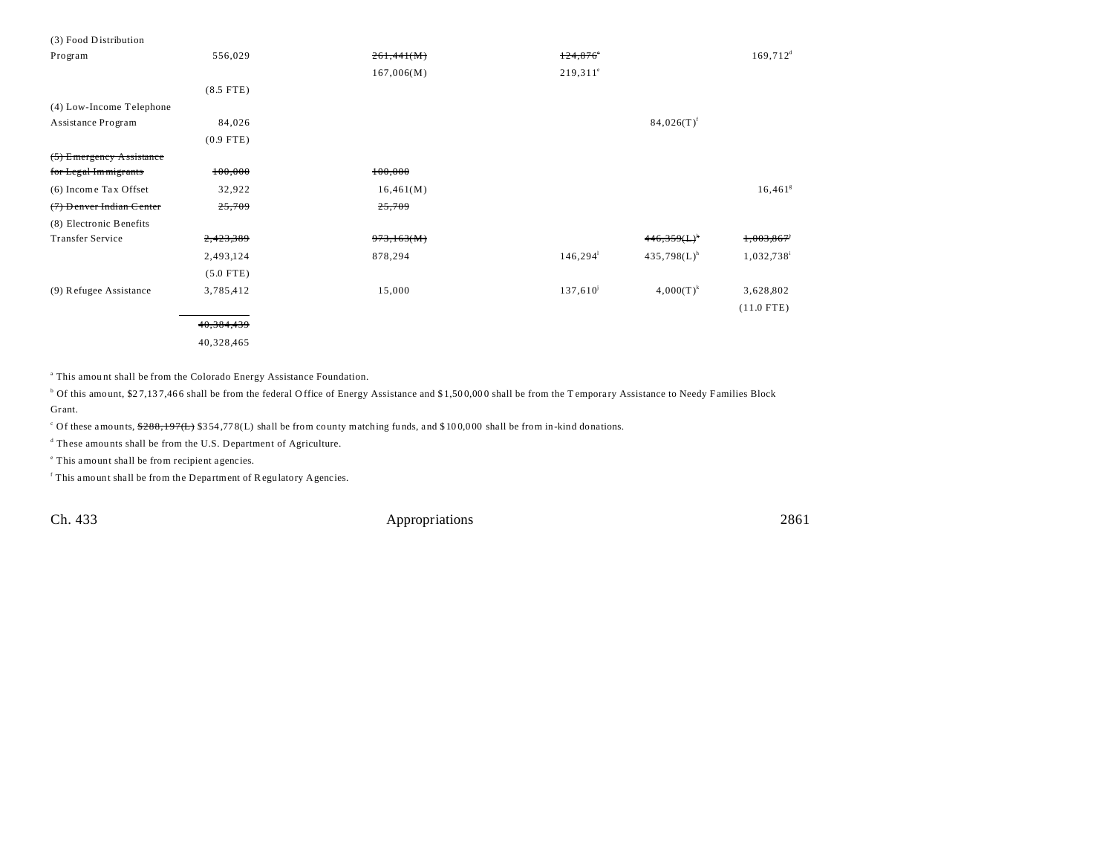| (3) Food Distribution      |             |            |                   |                |                        |
|----------------------------|-------------|------------|-------------------|----------------|------------------------|
| Program                    | 556,029     | 261,441(M) | 124,876           |                | $169,712$ <sup>d</sup> |
|                            |             | 167,006(M) | $219,311^{\circ}$ |                |                        |
|                            | $(8.5$ FTE) |            |                   |                |                        |
| (4) Low-Income Telephone   |             |            |                   |                |                        |
| Assistance Program         | 84,026      |            |                   | $84,026(T)^f$  |                        |
|                            | $(0.9$ FTE) |            |                   |                |                        |
| $(5)$ Emergency Assistance |             |            |                   |                |                        |
| for Legal Immigrants       | 100,000     | 100,000    |                   |                |                        |
| (6) Income Tax Offset      | 32,922      | 16,461(M)  |                   |                | $16,461$ <sup>g</sup>  |
| (7) Denver Indian Center   | 25,709      | 25,709     |                   |                |                        |
| (8) Electronic Benefits    |             |            |                   |                |                        |
| <b>Transfer Service</b>    | 2,423,389   | 973,163(M) |                   | $446,359(L)^h$ | 1,003,867 <sup>*</sup> |
|                            | 2,493,124   | 878,294    | 146, 294          | $435,798(L)^h$ | 1,032,738              |
|                            | $(5.0$ FTE) |            |                   |                |                        |
| (9) Refugee Assistance     | 3,785,412   | 15,000     | $137,610^{j}$     | $4,000(T)^{k}$ | 3,628,802              |
|                            |             |            |                   |                | $(11.0$ FTE)           |
|                            | 40,384,439  |            |                   |                |                        |
|                            | 40,328,465  |            |                   |                |                        |

<sup>a</sup> This amount shall be from the Colorado Energy Assistance Foundation.

 $^{\circ}$  Of this amount, \$27,137,466 shall be from the federal Office of Energy Assistance and \$1,500,000 shall be from the Temporary Assistance to Needy Families Block Gr ant.

<sup>c</sup> Of these amounts,  $288,197(L)$  \$354,778(L) shall be from county matching funds, and \$100,000 shall be from in-kind donations.

<sup>d</sup> These amounts shall be from the U.S. Department of Agriculture.

e This amount shall be from recipient agencies.

<sup>f</sup> This amount shall be from the Department of Regulatory Agencies.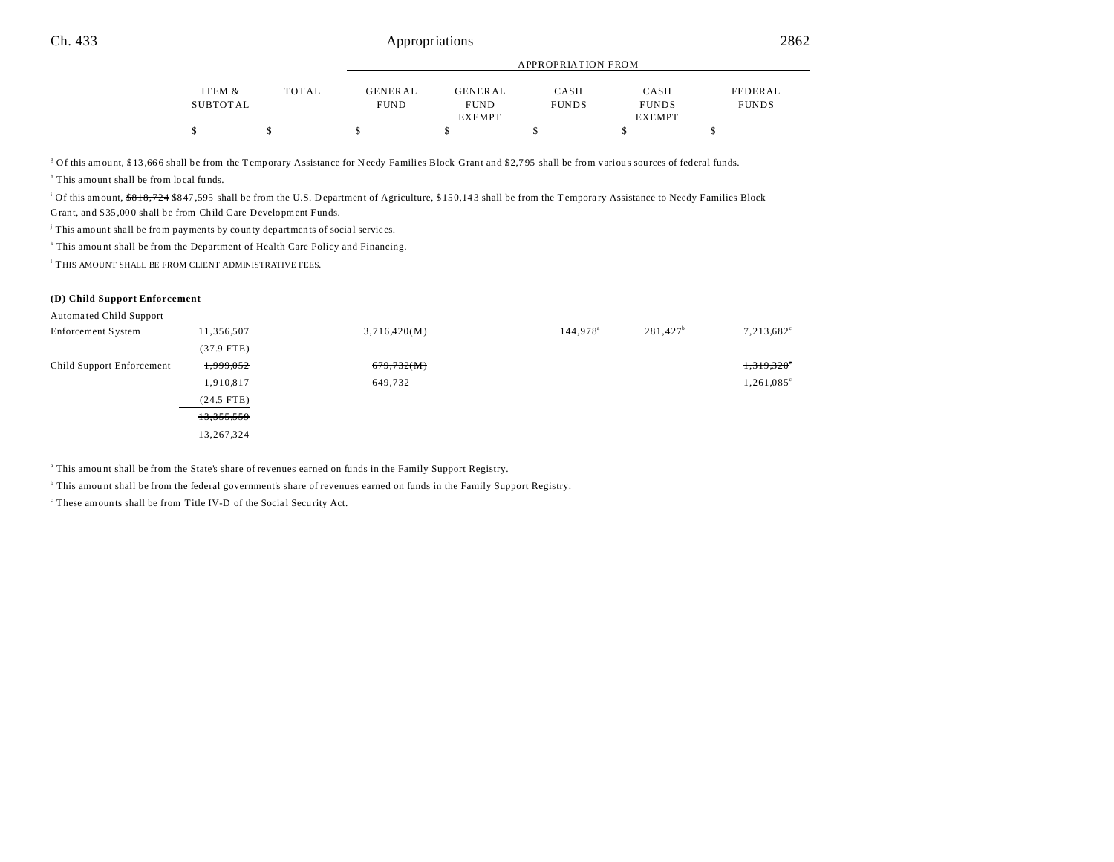|          |       | $\cdots$       |                |              |               |              |
|----------|-------|----------------|----------------|--------------|---------------|--------------|
|          |       |                |                |              |               |              |
| ITEM &   | TOTAL | <b>GENERAL</b> | <b>GENERAL</b> | CASH         | CASH          | FEDERAL      |
| SUBTOTAL |       | <b>FUND</b>    | <b>FUND</b>    | <b>FUNDS</b> | <b>FUNDS</b>  | <b>FUNDS</b> |
|          |       |                | <b>EXEMPT</b>  |              | <b>EXEMPT</b> |              |
|          |       |                |                |              |               |              |
|          |       |                |                |              |               |              |

APPROPRIATION FROM

<sup>g</sup> Of this amount, \$13,666 shall be from the Temporary Assistance for Needy Families Block Grant and \$2,795 shall be from various sources of federal funds.

<sup>h</sup> This amount shall be from local funds.

Of this amount, \$818,724 \$847,595 shall be from the U.S. Department of Agriculture, \$150,143 shall be from the Temporary Assistance to Needy Families Block Grant, and \$35 ,00 0 shall be from Child Care Development Funds.

<sup>j</sup> This amount shall be from payments by county departments of social services.

<sup>k</sup> This amount shall be from the Department of Health Care Policy and Financing.

<sup>1</sup> THIS AMOUNT SHALL BE FROM CLIENT ADMINISTRATIVE FEES.

#### **(D) Child Support Enforcement**

Automa ted Child Support

| Enforcement System        | 11,356,507   | 3,716,420(M) | 144,978 <sup>a</sup> | $281,427^b$ | 7,213,682°          |
|---------------------------|--------------|--------------|----------------------|-------------|---------------------|
|                           | $(37.9$ FTE) |              |                      |             |                     |
| Child Support Enforcement | 1,999,052    | 679,732(M)   |                      |             | 1,319,320°          |
|                           | 1,910,817    | 649,732      |                      |             | $1,261,085^{\circ}$ |
|                           | $(24.5$ FTE) |              |                      |             |                     |
|                           | 13,355,559   |              |                      |             |                     |
|                           | 13,267,324   |              |                      |             |                     |
|                           |              |              |                      |             |                     |

a This amou nt shall be from the State's share of revenues earned on funds in the Family Support Registry.

b This amou nt shall be from the federal government's share of revenues earned on funds in the Family Support Registry.

<sup>c</sup> These amounts shall be from Title IV-D of the Social Security Act.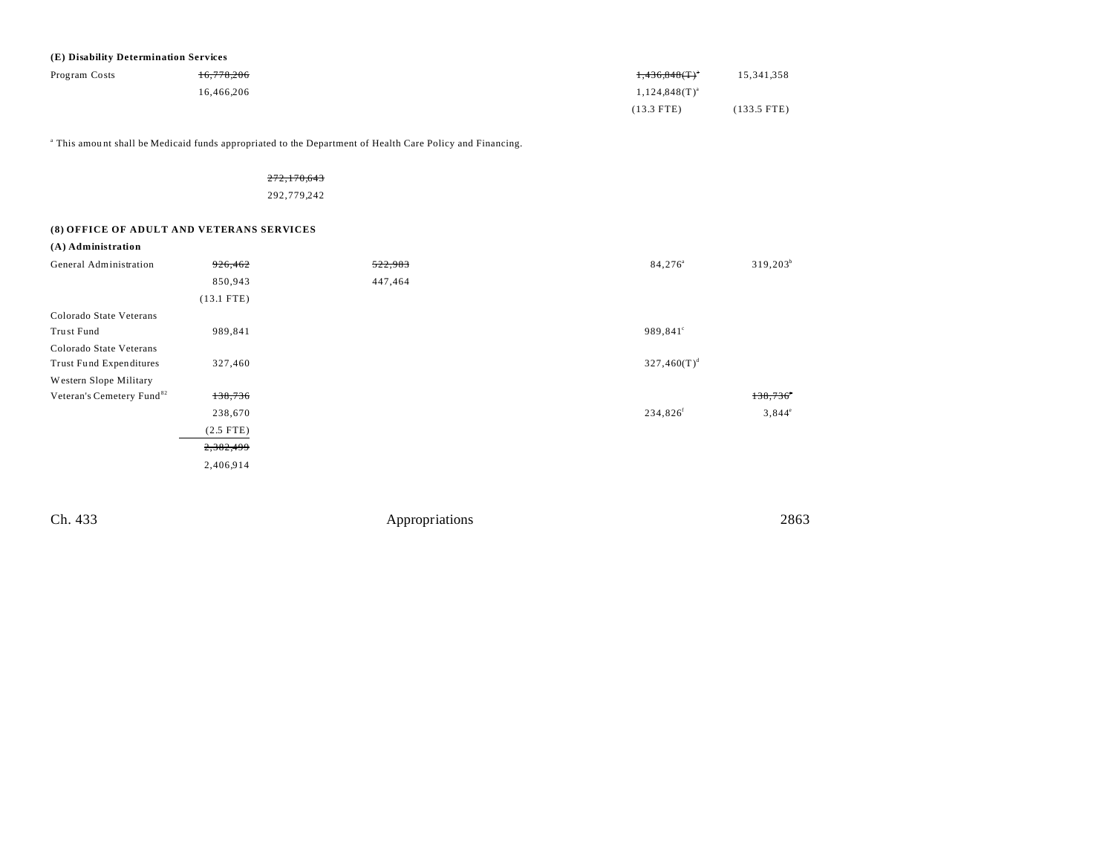| (E) Disability Determination Services |            |                           |               |
|---------------------------------------|------------|---------------------------|---------------|
| Program Costs                         | 16,778,206 | +,436,848(T) <sup>*</sup> | 15.341.358    |
|                                       | 16.466.206 | $1,124,848(T)^{a}$        |               |
|                                       |            | $(13.3$ FTE)              | $(133.5$ FTE) |

a This amou nt shall be Medicaid funds appropriated to the Department of Health Care Policy and Financing.

272,170,643 292,779,242

## **(8) OFFICE OF ADULT AND VETERANS SERVICES**

| (A) Administration                    |              |         |                                         |
|---------------------------------------|--------------|---------|-----------------------------------------|
| General Administration                | 926,462      | 522,983 | $319,203^b$<br>$84,276^{\circ}$         |
|                                       | 850,943      | 447,464 |                                         |
|                                       | $(13.1$ FTE) |         |                                         |
| Colorado State Veterans               |              |         |                                         |
| Trust Fund                            | 989,841      |         | 989,841°                                |
| Colorado State Veterans               |              |         |                                         |
| Trust Fund Expenditures               | 327,460      |         | $327,460(T)^d$                          |
| Western Slope Military                |              |         |                                         |
| Veteran's Cemetery Fund <sup>82</sup> | 138,736      |         | $138,736$ <sup>*</sup>                  |
|                                       | 238,670      |         | 234,826 <sup>f</sup><br>$3,844^{\circ}$ |
|                                       | $(2.5$ FTE)  |         |                                         |
|                                       | 2,382,499    |         |                                         |
|                                       | 2,406,914    |         |                                         |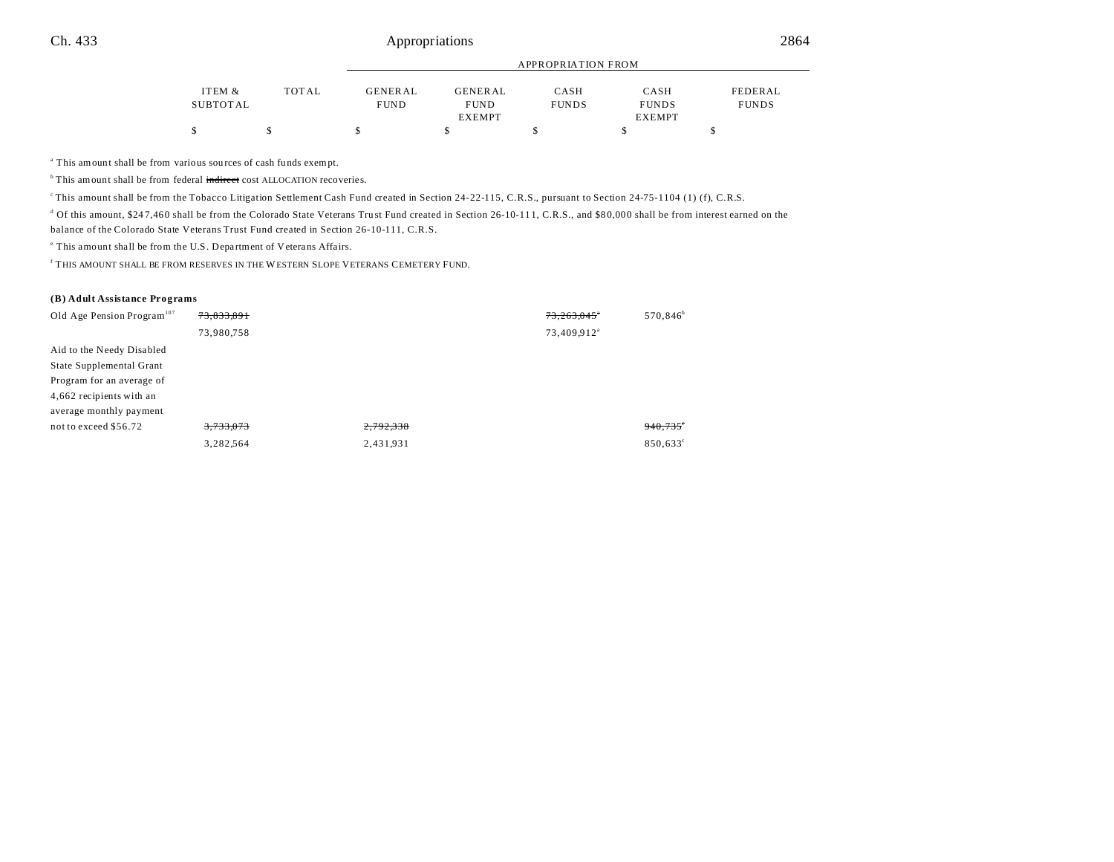|          |       |                | APPROPRIATION FROM |              |               |              |  |
|----------|-------|----------------|--------------------|--------------|---------------|--------------|--|
| ITEM &   | TOTAL | <b>GENERAL</b> | <b>GENERAL</b>     | CASH         | CASH          | FEDERAL      |  |
| SUBTOTAL |       | <b>FUND</b>    | <b>FUND</b>        | <b>FUNDS</b> | <b>FUNDS</b>  | <b>FUNDS</b> |  |
|          |       |                | <b>EXEMPT</b>      |              | <b>EXEMPT</b> |              |  |
|          |       |                |                    |              |               |              |  |

<sup>a</sup> This amount shall be from various sources of cash funds exempt.

 $b$ <sup>b</sup>This amount shall be from federal indirect cost ALLOCATION recoveries.

<sup>e</sup>This amount shall be from the Tobacco Litigation Settlement Cash Fund created in Section 24-22-115, C.R.S., pursuant to Section 24-75-1104 (1) (f), C.R.S.

<sup>d</sup> Of this amount, \$247,460 shall be from the Colorado State Veterans Trust Fund created in Section 26-10-111, C.R.S., and \$80,000 shall be from interest earned on the

balance of the Colorado State Veterans Trust Fund created in Section 26-10-111, C.R.S.

<sup>e</sup> This amount shall be from the U.S. Department of Veterans Affairs.

f THIS AMOUNT SHALL BE FROM RESERVES IN THE WESTERN SLOPE VETERANS CEMETERY FUND.

#### **(B) Adult Assistance Programs**

| Old Age Pension Program <sup>107</sup> | 73,833,891 |           | 73,263,045°             | 570,846 <sup>b</sup> |
|----------------------------------------|------------|-----------|-------------------------|----------------------|
|                                        | 73,980,758 |           | 73,409,912 <sup>a</sup> |                      |
| Aid to the Needy Disabled              |            |           |                         |                      |
| State Supplemental Grant               |            |           |                         |                      |
| Program for an average of              |            |           |                         |                      |
| 4,662 recipients with an               |            |           |                         |                      |
| average monthly payment                |            |           |                         |                      |
| not to exceed \$56.72                  | 3,733,073  | 2,792,338 |                         | $940,735$ °          |
|                                        | 3,282,564  | 2,431,931 |                         | 850,633°             |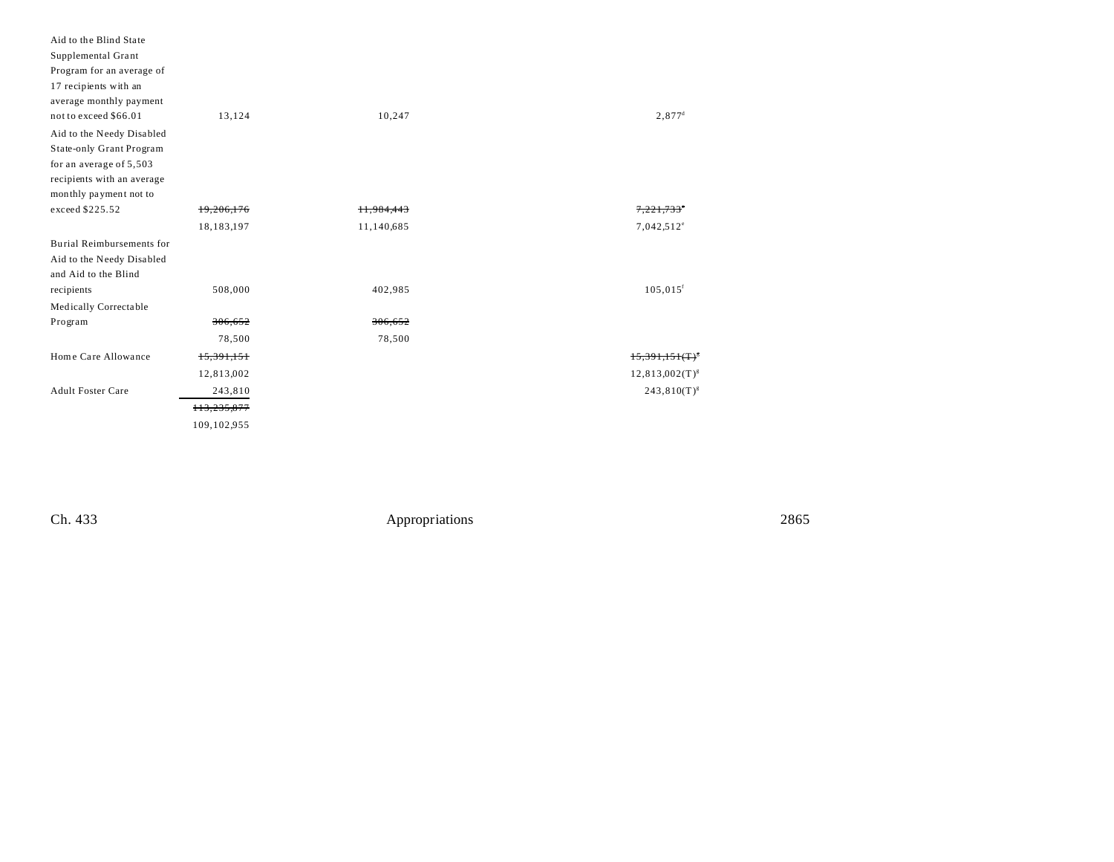| Aid to the Blind State     |             |            |                        |
|----------------------------|-------------|------------|------------------------|
| Supplemental Grant         |             |            |                        |
| Program for an average of  |             |            |                        |
| 17 recipients with an      |             |            |                        |
| average monthly payment    |             |            |                        |
| not to exceed \$66.01      | 13,124      | 10,247     | $2,877^{\rm d}$        |
| Aid to the Needy Disabled  |             |            |                        |
| State-only Grant Program   |             |            |                        |
| for an average of 5,503    |             |            |                        |
| recipients with an average |             |            |                        |
| monthly payment not to     |             |            |                        |
| exceed \$225.52            | 19,206,176  | 11,984,443 | 7.221.733              |
|                            | 18,183,197  | 11,140,685 | 7,042,512°             |
| Burial Reimbursements for  |             |            |                        |
| Aid to the Needy Disabled  |             |            |                        |
| and Aid to the Blind       |             |            |                        |
| recipients                 | 508,000     | 402,985    | $105,015$ <sup>f</sup> |
| Medically Correctable      |             |            |                        |
| Program                    | 306,652     | 306,652    |                        |
|                            | 78,500      | 78,500     |                        |
| Home Care Allowance        | 15,391,151  |            | $15,391,151(T)^{5}$    |
|                            | 12,813,002  |            | $12,813,002(T)^{s}$    |
| <b>Adult Foster Care</b>   | 243,810     |            | $243,810(T)^{s}$       |
|                            | 113,235,877 |            |                        |
|                            | 109,102,955 |            |                        |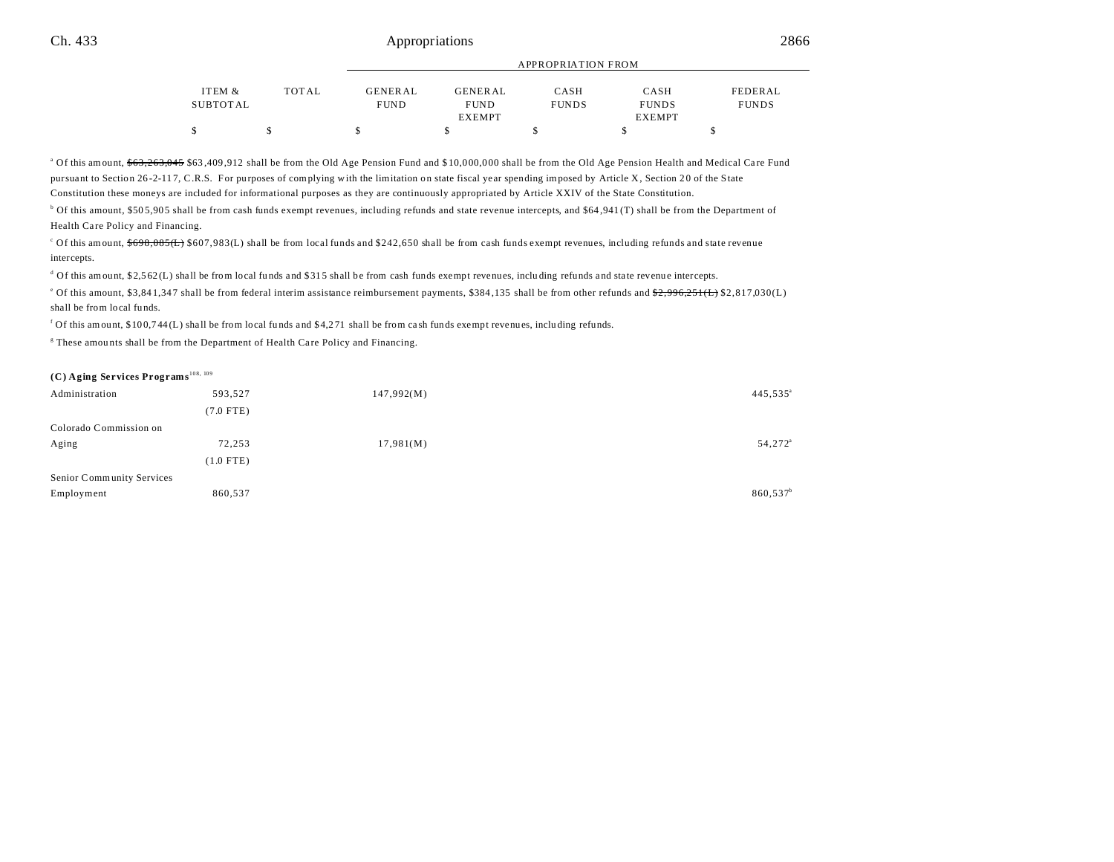|          |       | APPROPRIATION FROM |                |              |               |              |  |
|----------|-------|--------------------|----------------|--------------|---------------|--------------|--|
|          |       |                    |                |              |               |              |  |
| ITEM &   | TOTAL | GENERAL            | <b>GENERAL</b> | CASH         | CASH          | FEDERAL      |  |
| SUBTOTAL |       | <b>FUND</b>        | <b>FUND</b>    | <b>FUNDS</b> | <b>FUNDS</b>  | <b>FUNDS</b> |  |
|          |       |                    | <b>EXEMPT</b>  |              | <b>EXEMPT</b> |              |  |
|          |       |                    |                |              |               |              |  |

<sup>a</sup> Of this amount, <del>\$63,263,045</del> \$63,409,912 shall be from the Old Age Pension Fund and \$10,000,000 shall be from the Old Age Pension Health and Medical Care Fund pursuant to Section 26-2-117, C.R.S. For purposes of complying with the limitation on state fiscal year spending imposed by Article X, Section 20 of the State Constitution these moneys are included for informational purposes as they are continuously appropriated by Article XXIV of the State Constitution.

<sup>b</sup> Of this amount, \$505,905 shall be from cash funds exempt revenues, including refunds and state revenue intercepts, and \$64,941 (T) shall be from the Department of Health Care Policy and Financing.

 $\degree$  Of this amount,  $\frac{6698.085\text{(L)}}{5607.983\text{(L)}}$  shall be from local funds and \$242,650 shall be from cash funds exempt revenues, including refunds and state revenue intercepts.

 $d$  Of this amount, \$2,5 62(L) shall be from local funds and \$315 shall be from cash funds exempt revenues, including refunds and state revenue intercepts.

<sup>e</sup> Of this amount, \$3,841,347 shall be from federal interim assistance reimbursement payments, \$384,135 shall be from other refunds and <del>\$2,996,251(L)</del> \$2,817,030(L) shall be from local fu nds.

f Of this amount, \$10 0,7 44 (L) sha ll be from local fu nds and \$ 4,2 71 shall be from ca sh funds exempt revenues, inclu ding refunds.

<sup>g</sup> These amounts shall be from the Department of Health Care Policy and Financing.

## **(C) Aging Services Programs**108, 109

| Administration            | 593,527     | 147,992(M) | $445,535^{\circ}$    |
|---------------------------|-------------|------------|----------------------|
|                           | $(7.0$ FTE) |            |                      |
| Colorado Commission on    |             |            |                      |
| Aging                     | 72,253      | 17,981(M)  | 54,272 <sup>a</sup>  |
|                           | $(1.0$ FTE) |            |                      |
| Senior Community Services |             |            |                      |
| Employment                | 860,537     |            | 860,537 <sup>b</sup> |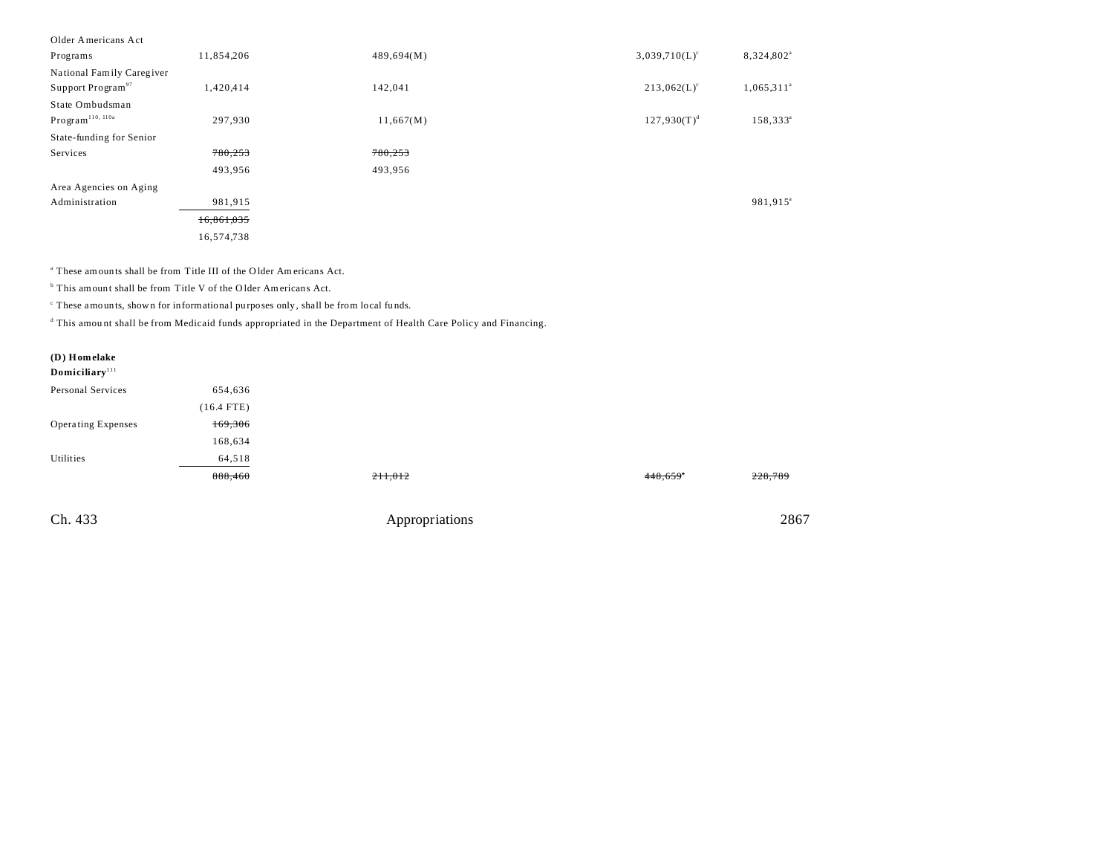| Older Americans Act           |            |            |                           |                        |
|-------------------------------|------------|------------|---------------------------|------------------------|
| Programs                      | 11,854,206 | 489,694(M) | $3,039,710(L)^c$          | 8,324,802 <sup>a</sup> |
| National Family Caregiver     |            |            |                           |                        |
| Support Program <sup>97</sup> | 1,420,414  | 142,041    | $213,062(L)$ <sup>c</sup> | $1,065,311^a$          |
| State Ombudsman               |            |            |                           |                        |
| Program <sup>110, 110a</sup>  | 297,930    | 11,667(M)  | $127,930(T)^d$            | $158,333^a$            |
| State-funding for Senior      |            |            |                           |                        |
| Services                      | 780,253    | 780,253    |                           |                        |
|                               | 493,956    | 493,956    |                           |                        |
| Area Agencies on Aging        |            |            |                           |                        |
| Administration                | 981,915    |            |                           | 981,915 <sup>a</sup>   |
|                               | 16,861,035 |            |                           |                        |
|                               | 16,574,738 |            |                           |                        |

<sup>a</sup> These amounts shall be from Title III of the Older Americans Act.

<sup>b</sup> This amount shall be from Title V of the Older Americans Act.

c These amounts, shown for informational purposes only, shall be from local fu nds.

d This amou nt shall be from Medicaid funds appropriated in the Department of Health Care Policy and Financing.

| (D) Homelake<br>Domiciliary <sup>111</sup> |              |                |         |         |
|--------------------------------------------|--------------|----------------|---------|---------|
| Personal Services                          | 654,636      |                |         |         |
|                                            | $(16.4$ FTE) |                |         |         |
| <b>Operating Expenses</b>                  | 169,306      |                |         |         |
|                                            | 168,634      |                |         |         |
| Utilities                                  | 64,518       |                |         |         |
|                                            | 888,460      | 211,012        | 448,659 | 228,789 |
|                                            |              |                |         |         |
| Ch. 433                                    |              | Appropriations |         | 2867    |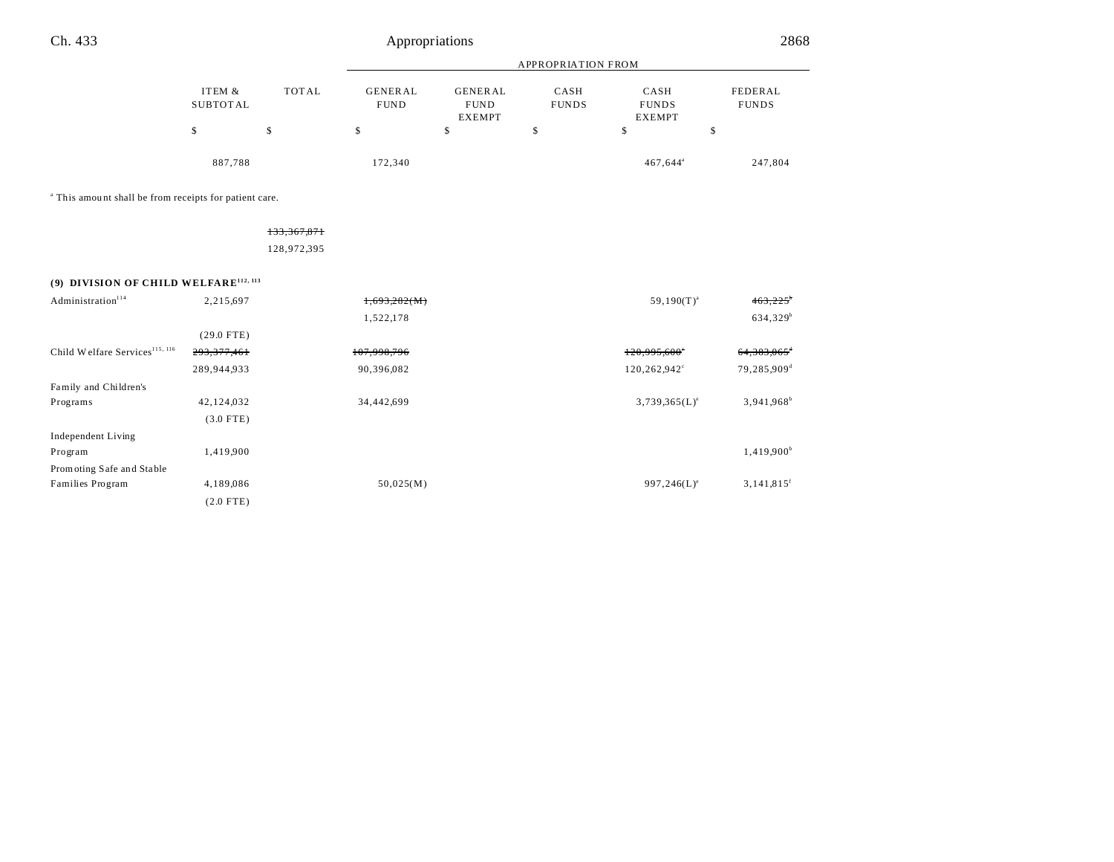|                             |                        |                                                | <b>APPROPRIATION FROM</b> |                                       |                         |
|-----------------------------|------------------------|------------------------------------------------|---------------------------|---------------------------------------|-------------------------|
| TOTAL<br>ITEM &<br>SUBTOTAL | GENERAL<br><b>FUND</b> | <b>GENERAL</b><br><b>FUND</b><br><b>EXEMPT</b> | CASH<br><b>FUNDS</b>      | CASH<br><b>FUNDS</b><br><b>EXEMPT</b> | FEDERAL<br><b>FUNDS</b> |
| \$                          | \$                     | S                                              | \$                        |                                       | S                       |
| 887,788                     | 172,340                |                                                |                           | 467,644 <sup>a</sup>                  | 247,804                 |

<sup>a</sup> This amount shall be from receipts for patient care.

133,367,871 128,972,395

**(9) DIVISION OF CHILD WELFARE112, 113**

| Administration <sup>114</sup>              | 2,215,697     | 1,693,282(M) | $59,190(T)^{a}$     | 463,225                   |
|--------------------------------------------|---------------|--------------|---------------------|---------------------------|
|                                            |               | 1,522,178    |                     | $634,329^b$               |
|                                            | $(29.0$ FTE)  |              |                     |                           |
| Child Welfare Services <sup>115, 116</sup> | 293, 377, 461 | 107,998,796  | $120,995,600^\circ$ | $64,383,065$ <sup>+</sup> |
|                                            | 289,944,933   | 90,396,082   | 120,262,942°        | 79,285,909 <sup>d</sup>   |
| Family and Children's                      |               |              |                     |                           |
| Programs                                   | 42,124,032    | 34,442,699   | $3,739,365(L)^e$    | $3,941,968^b$             |
|                                            | $(3.0$ FTE)   |              |                     |                           |
| Independent Living                         |               |              |                     |                           |
| Program                                    | 1,419,900     |              |                     | 1,419,900 <sup>b</sup>    |
| Promoting Safe and Stable                  |               |              |                     |                           |
| Families Program                           | 4,189,086     | 50,025(M)    | $997,246(L)^e$      | $3,141,815$ <sup>f</sup>  |
|                                            | $(2.0$ FTE)   |              |                     |                           |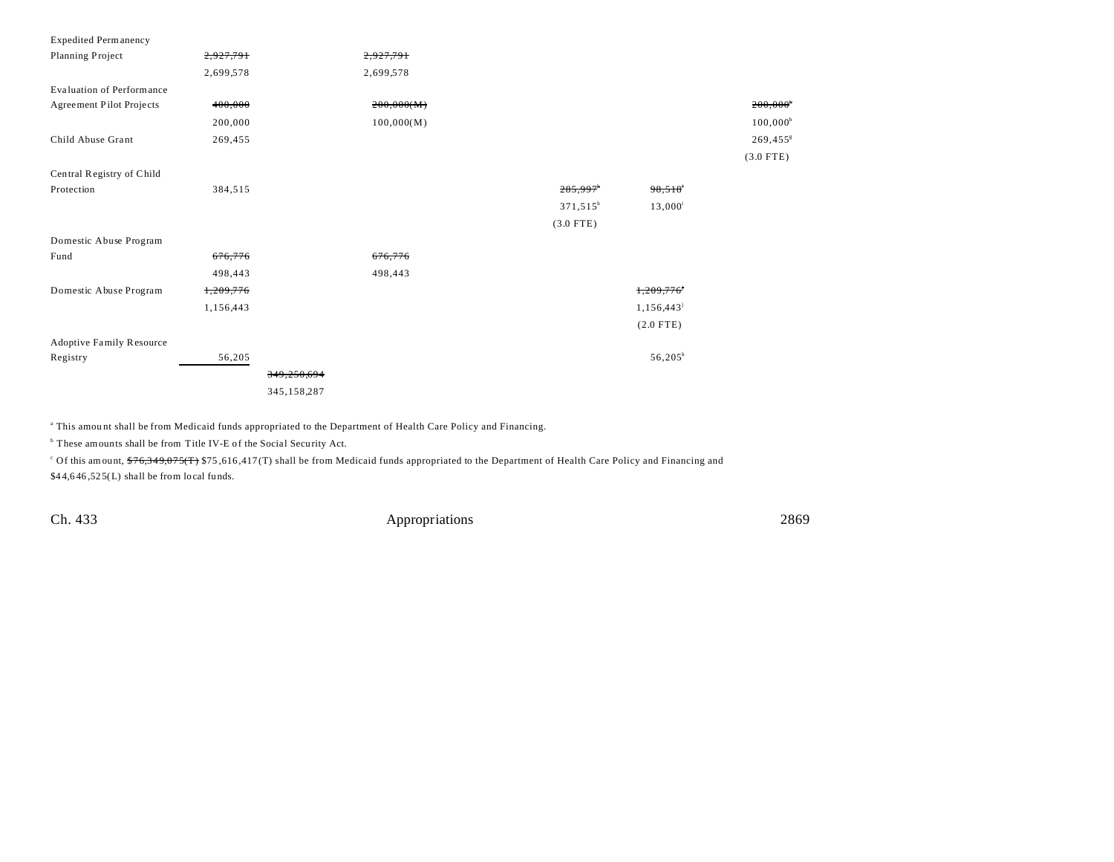| <b>Expedited Permanency</b>      |           |             |            |             |             |                        |
|----------------------------------|-----------|-------------|------------|-------------|-------------|------------------------|
| Planning Project                 | 2,927,791 |             | 2,927,791  |             |             |                        |
|                                  | 2,699,578 |             | 2,699,578  |             |             |                        |
| <b>Evaluation of Performance</b> |           |             |            |             |             |                        |
| Agreement Pilot Projects         | 400,000   |             | 200,000(M) |             |             | $200,000$ <sup>*</sup> |
|                                  | 200,000   |             | 100,000(M) |             |             | $100,000^b$            |
| Child Abuse Grant                | 269,455   |             |            |             |             | 269,455 <sup>g</sup>   |
|                                  |           |             |            |             |             | $(3.0$ FTE)            |
| Central Registry of Child        |           |             |            |             |             |                        |
| Protection                       | 384,515   |             |            | 285,997     | 98,518      |                        |
|                                  |           |             |            | $371,515^h$ | $13,000^i$  |                        |
|                                  |           |             |            | $(3.0$ FTE) |             |                        |
| Domestic Abuse Program           |           |             |            |             |             |                        |
| Fund                             | 676,776   |             | 676,776    |             |             |                        |
|                                  | 498,443   |             | 498,443    |             |             |                        |
| Domestic Abuse Program           | 1,209,776 |             |            |             | 1,209,776   |                        |
|                                  | 1,156,443 |             |            |             | 1,156,443   |                        |
|                                  |           |             |            |             | $(2.0$ FTE) |                        |
| <b>Adoptive Family Resource</b>  |           |             |            |             |             |                        |
| Registry                         | 56,205    |             |            |             | $56,205^k$  |                        |
|                                  |           | 349,250,694 |            |             |             |                        |
|                                  |           | 345,158,287 |            |             |             |                        |

a This amou nt shall be from Medicaid funds appropriated to the Department of Health Care Policy and Financing.

<sup>b</sup> These amounts shall be from Title IV-E of the Social Security Act.

Of this amount, <del>\$76,349,075(T)</del> \$75,616,417(T) shall be from Medicaid funds appropriated to the Department of Health Care Policy and Financing and  $$44,646,525(L)$  shall be from local funds.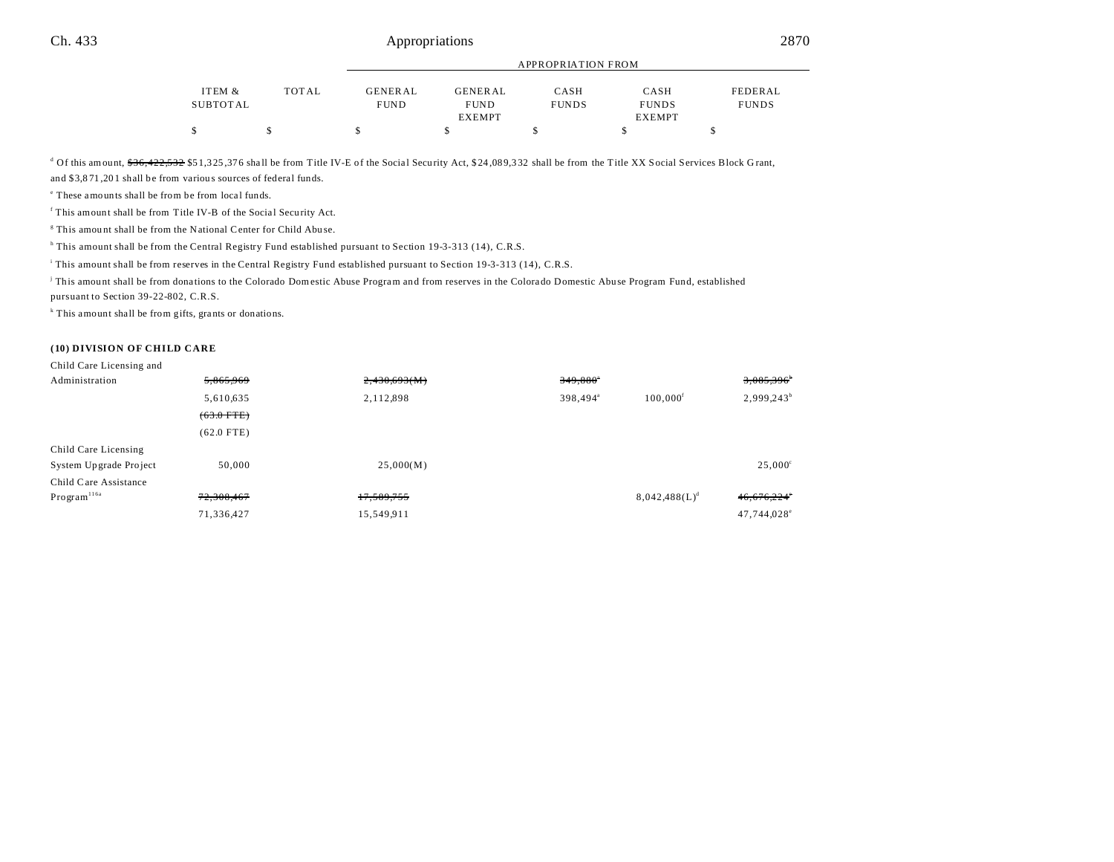|          |              | <b>APPROPRIATION FROM</b> |                |              |               |              |
|----------|--------------|---------------------------|----------------|--------------|---------------|--------------|
|          |              |                           |                |              |               |              |
| ITEM &   | <b>TOTAL</b> | GENERAL                   | <b>GENERAL</b> | CASH         | CASH          | FEDERAL      |
| SUBTOTAL |              | <b>FUND</b>               | <b>FUND</b>    | <b>FUNDS</b> | <b>FUNDS</b>  | <b>FUNDS</b> |
|          |              |                           | <b>EXEMPT</b>  |              | <b>EXEMPT</b> |              |
| \$       |              |                           |                |              |               |              |

<sup>d</sup> Of this amount, <del>\$36,422,532</del> \$51,325,376 shall be from Title IV-E of the Social Security Act, \$24,089,332 shall be from the Title XX Social Services Block Grant,

and \$3,8 71 ,20 1 shall be from variou s sources of federal funds.

<sup>e</sup> These amounts shall be from be from local funds.

<sup>f</sup> This amount shall be from Title IV-B of the Social Security Act.

<sup>8</sup> This amount shall be from the National Center for Child Abuse.

<sup>h</sup> This amount shall be from the Central Registry Fund established pursuant to Section 19-3-313 (14), C.R.S.

i This amount shall be from reserves in the Central Registry Fund established pursuant to Section 19-3-313 (14), C.R.S.

j This amou nt shall be from dona tions to the Colorado Domestic Abuse Program and from reserves in the Colorado Domestic Abuse Program Fund, established

pursuant to Section 39-22-802, C.R.S.

k This amount shall be from gifts, grants or donations.

### **(10) DIVISION OF CHILD CARE**

| Child Care Licensing and |              |              |                      |                        |                        |
|--------------------------|--------------|--------------|----------------------|------------------------|------------------------|
| Administration           | 5,865,969    | 2,430,693(M) | $349,880^\circ$      |                        | 3,085,396              |
|                          | 5,610,635    | 2,112,898    | 398,494 <sup>a</sup> | $100,000$ <sup>f</sup> | 2,999,243 <sup>b</sup> |
|                          | $(63.0$ FTE) |              |                      |                        |                        |
|                          | $(62.0$ FTE) |              |                      |                        |                        |
| Child Care Licensing     |              |              |                      |                        |                        |
| System Upgrade Project   | 50,000       | 25,000(M)    |                      |                        | $25,000^{\circ}$       |
| Child Care Assistance    |              |              |                      |                        |                        |
| Program <sup>116a</sup>  | 72,308,467   | 17,589,755   |                      | $8,042,488(L)^d$       | 46,676,224°            |
|                          | 71,336,427   | 15,549,911   |                      |                        | 47,744,028°            |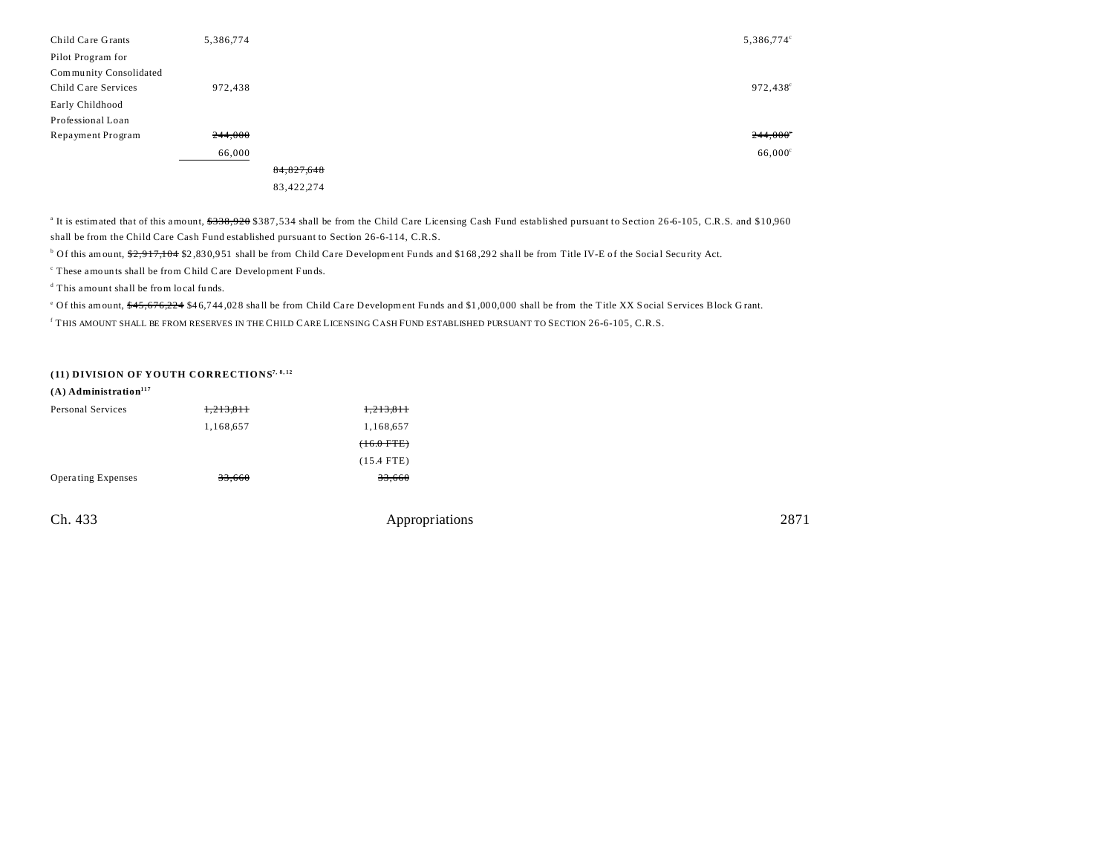| Child Care Grants      | 5,386,774 |              |  | 5,386,774°       |
|------------------------|-----------|--------------|--|------------------|
| Pilot Program for      |           |              |  |                  |
| Community Consolidated |           |              |  |                  |
| Child Care Services    | 972,438   |              |  | 972,438°         |
| Early Childhood        |           |              |  |                  |
| Professional Loan      |           |              |  |                  |
| Repayment Program      | 244,000   |              |  | 244,000          |
|                        | 66,000    |              |  | $66,000^{\circ}$ |
|                        |           | 84, 827, 648 |  |                  |
|                        |           | 83,422,274   |  |                  |

<sup>a</sup> It is estimated that of this amount, \$338,920 \$387,534 shall be from the Child Care Licensing Cash Fund established pursuant to Section 26-6-105, C.R.S. and \$10,960 shall be from the Child Care Cash Fund established pursuant to Section 26-6-114, C.R.S.

<sup>b</sup> Of this amount, \$<del>2,917,104</del> \$2,830,951 shall be from Child Care Development Funds and \$1 68,292 shall be from Title IV-E of the Social Security Act.

c These amounts shall be from Child Care Development Funds.

d This amount shall be from local fu nds.

<sup>e</sup> Of this amount, \$45,676,224 \$46,744,028 shall be from Child Care Development Funds and \$1,000,000 shall be from the Title XX Social Services Block Grant. f THIS AMOUNT SHALL BE FROM RESERVES IN THE CHILD CARE LICENSING CASH FUND ESTABLISHED PURSUANT TO SECTION 26-6-105, C.R.S.

## **(11) DIVISION OF YOUTH CORRECTIONS7, 8, 12**

| $(A)$ Administration <sup>117</sup> |           |                |      |
|-------------------------------------|-----------|----------------|------|
| Personal Services                   | 1,213,811 | 1,213,811      |      |
|                                     | 1,168,657 | 1,168,657      |      |
|                                     |           | $(16.0$ FTE)   |      |
|                                     |           | $(15.4$ FTE)   |      |
| Operating Expenses                  | 33,660    | 33,660         |      |
|                                     |           |                |      |
| Ch. 433                             |           | Appropriations | 2871 |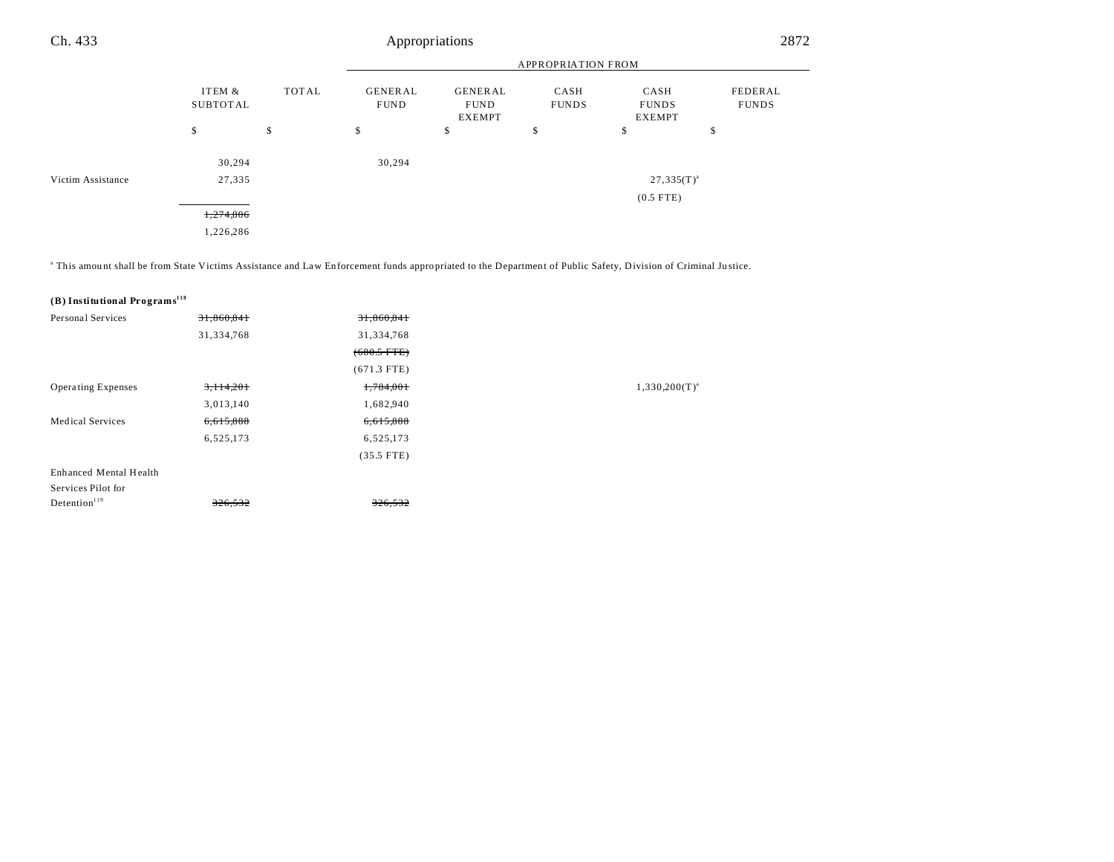#### APPROPRIATION FROM ITEM & TOT AL GENER AL GENER AL CASH CASH Ch. 433 Appropriations 2872

|                   | ITEM &<br>SUBTOTAL | TOTAL | GENERAL<br><b>FUND</b> | <b>GENERAL</b><br><b>FUND</b><br><b>EXEMPT</b> | CASH<br><b>FUNDS</b> | CASH<br><b>FUNDS</b><br><b>EXEMPT</b> | FEDERAL<br><b>FUNDS</b> |
|-------------------|--------------------|-------|------------------------|------------------------------------------------|----------------------|---------------------------------------|-------------------------|
|                   | \$                 | \$    | \$                     | \$                                             | \$                   | \$                                    | \$                      |
|                   | 30,294             |       | 30,294                 |                                                |                      |                                       |                         |
| Victim Assistance | 27,335             |       |                        |                                                |                      | $27,335(T)^{a}$                       |                         |
|                   |                    |       |                        |                                                |                      | $(0.5$ FTE)                           |                         |
|                   | 1,274,806          |       |                        |                                                |                      |                                       |                         |
|                   | 1,226,286          |       |                        |                                                |                      |                                       |                         |

This amount shall be from State Victims Assistance and Law Enforcement funds appropriated to the Department of Public Safety, Division of Criminal Justice.

# **(B) Institutional Programs<sup>118</sup>**

| Personal Services         | 31,860,841 | 31,860,841    |                    |
|---------------------------|------------|---------------|--------------------|
|                           | 31,334,768 | 31,334,768    |                    |
|                           |            | $(680.5$ FTE) |                    |
|                           |            | $(671.3$ FTE) |                    |
| <b>Operating Expenses</b> | 3,114,201  | 1,784,001     | $1,330,200(T)^{a}$ |
|                           | 3,013,140  | 1,682,940     |                    |
| <b>Medical Services</b>   | 6,615,888  | 6,615,888     |                    |
|                           | 6,525,173  | 6,525,173     |                    |
|                           |            | $(35.5$ FTE)  |                    |
| Enhanced Mental Health    |            |               |                    |
| Services Pilot for        |            |               |                    |
| Detention <sup>119</sup>  | 326,532    | 326,532       |                    |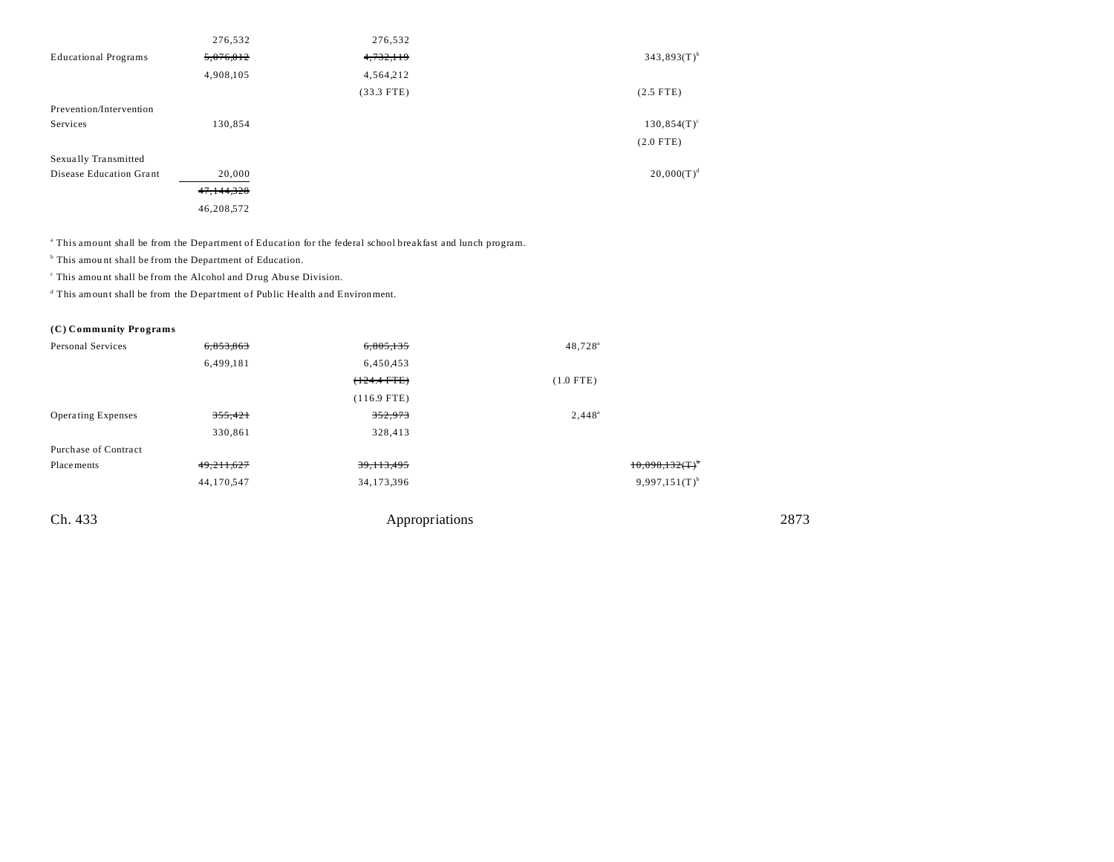|                             | 276,532    | 276,532      |                  |
|-----------------------------|------------|--------------|------------------|
| <b>Educational Programs</b> | 5,076,012  | 4,732,119    | $343,893(T)^{b}$ |
|                             | 4,908,105  | 4,564,212    |                  |
|                             |            | $(33.3$ FTE) | $(2.5$ FTE)      |
| Prevention/Intervention     |            |              |                  |
| Services                    | 130,854    |              | $130,854(T)^c$   |
|                             |            |              | $(2.0$ FTE)      |
| Sexually Transmitted        |            |              |                  |
| Disease Education Grant     | 20,000     |              | $20,000(T)^d$    |
|                             | 47,144,328 |              |                  |
|                             | 46,208,572 |              |                  |

a This amount shall be from the Department of Education for the federal school breakfast and lunch program.

<sup>b</sup> This amount shall be from the Department of Education.

c This amou nt shall be from the Alcohol and Drug Abu se Division.

<sup>d</sup> This amount shall be from the Department of Public Health and Environment.

**(C) Community Programs**

| Personal Services         | 6,853,863    | 6,805,135     | $48,728^{\circ}$   |  |
|---------------------------|--------------|---------------|--------------------|--|
|                           | 6,499,181    | 6,450,453     |                    |  |
|                           |              | $(124.4$ FTE) | $(1.0$ FTE)        |  |
|                           |              | $(116.9$ FTE) |                    |  |
| <b>Operating Expenses</b> | 355,421      | 352,973       | $2,448^a$          |  |
|                           | 330,861      | 328,413       |                    |  |
| Purchase of Contract      |              |               |                    |  |
| Placements                | 49, 211, 627 | 39, 113, 495  | 10,098,132(T)      |  |
|                           | 44,170,547   | 34,173,396    | $9,997,151(T)^{b}$ |  |
|                           |              |               |                    |  |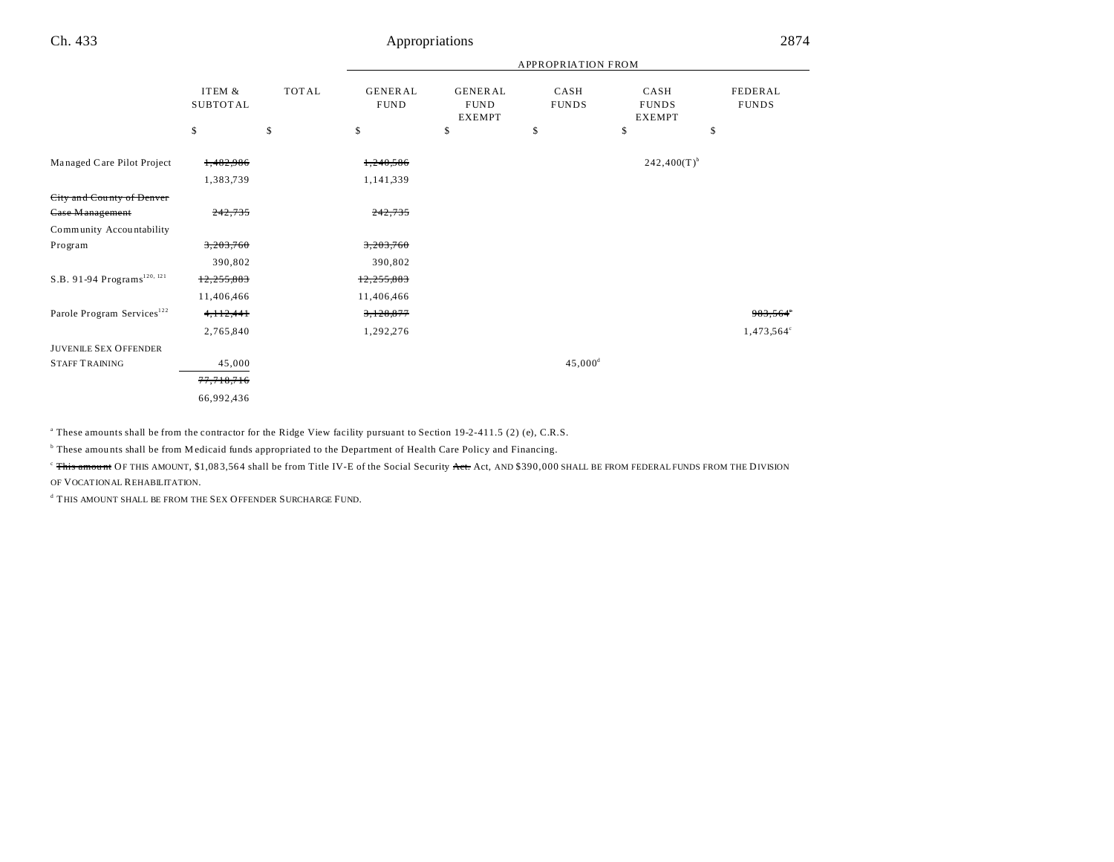|                                         | <b>APPROPRIATION FROM</b> |              |                               |                                                |                      |                                       |                                |
|-----------------------------------------|---------------------------|--------------|-------------------------------|------------------------------------------------|----------------------|---------------------------------------|--------------------------------|
|                                         | ITEM &<br><b>SUBTOTAL</b> | <b>TOTAL</b> | <b>GENERAL</b><br><b>FUND</b> | <b>GENERAL</b><br><b>FUND</b><br><b>EXEMPT</b> | CASH<br><b>FUNDS</b> | CASH<br><b>FUNDS</b><br><b>EXEMPT</b> | <b>FEDERAL</b><br><b>FUNDS</b> |
|                                         | \$                        | \$           | \$                            | \$                                             | \$                   | \$                                    | \$                             |
| Managed Care Pilot Project              | 1,482,986                 |              | 1,240,586                     |                                                |                      | $242,400(T)$ <sup>b</sup>             |                                |
|                                         | 1,383,739                 |              | 1,141,339                     |                                                |                      |                                       |                                |
| City and County of Denver               |                           |              |                               |                                                |                      |                                       |                                |
| <b>Case Management</b>                  | 242,735                   |              | 242,735                       |                                                |                      |                                       |                                |
| Community Accountability                |                           |              |                               |                                                |                      |                                       |                                |
| Program                                 | 3,203,760                 |              | 3,203,760                     |                                                |                      |                                       |                                |
|                                         | 390,802                   |              | 390,802                       |                                                |                      |                                       |                                |
| S.B. 91-94 Programs <sup>120, 121</sup> | 12,255,883                |              | 12,255,883                    |                                                |                      |                                       |                                |
|                                         | 11,406,466                |              | 11,406,466                    |                                                |                      |                                       |                                |
| Parole Program Services <sup>122</sup>  | 4, 112, 441               |              | 3,128,877                     |                                                |                      |                                       | 983,564°                       |
|                                         | 2,765,840                 |              | 1,292,276                     |                                                |                      |                                       | $1,473,564^{\circ}$            |
| <b>JUVENILE SEX OFFENDER</b>            |                           |              |                               |                                                |                      |                                       |                                |
| <b>STAFF TRAINING</b>                   | 45,000                    |              |                               |                                                | $45,000^{\rm d}$     |                                       |                                |
|                                         | 77,718,716                |              |                               |                                                |                      |                                       |                                |
|                                         | 66,992,436                |              |                               |                                                |                      |                                       |                                |

a These amounts shall be from the contractor for the Ridge View facility pursuant to Section 19-2-411.5 (2) (e), C.R.S.

<sup>b</sup> These amounts shall be from Medicaid funds appropriated to the Department of Health Care Policy and Financing.

<sup>c</sup> This amount OF THIS AMOUNT, \$1,083,564 shall be from Title IV-E of the Social Security Act. Act, AND \$390,000 SHALL BE FROM FEDERAL FUNDS FROM THE DIVISION

OF VOCATIONAL REHABILITATION.

**d** THIS AMOUNT SHALL BE FROM THE SEX OFFENDER SURCHARGE FUND.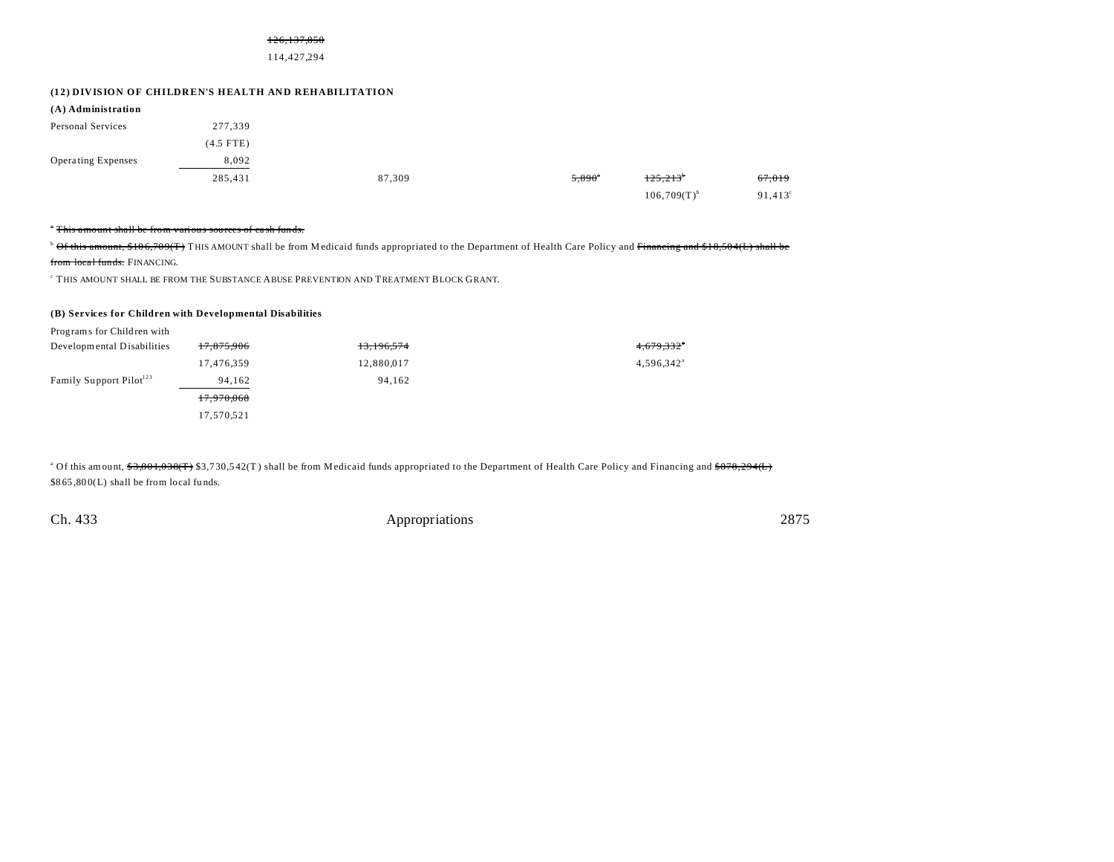#### 126,137,850

#### 114,427,294

#### **(12) DIVISION OF CHILDREN'S HEALTH AND REHABILITATION**

| (A) Administration |             |        |                 |                  |                  |
|--------------------|-------------|--------|-----------------|------------------|------------------|
| Personal Services  | 277,339     |        |                 |                  |                  |
|                    | $(4.5$ FTE) |        |                 |                  |                  |
| Operating Expenses | 8,092       |        |                 |                  |                  |
|                    | 285,431     | 87,309 | $5,890^{\circ}$ | 125,213          | 67,019           |
|                    |             |        |                 | $106,709(T)^{b}$ | $91,413^{\circ}$ |

#### <sup>\*</sup> This amount shall be from various sources of cash funds.

<sup>b</sup> Of this amount, \$106,709(T) THIS AMOUNT shall be from Medicaid funds appropriated to the Department of Health Care Policy and Financing and \$18,504(L) shall be from local funds. FINANCING.

 $\,^{\circ}$  THIS AMOUNT SHALL BE FROM THE SUBSTANCE ABUSE PREVENTION AND TREATMENT BLOCK GRANT.

## **(B) Services for Children with Developmental Disabilities**

| Programs for Children with          |                       |            |                          |
|-------------------------------------|-----------------------|------------|--------------------------|
| Developmental Disabilities          | 17,875,906            | 13,196,574 | 4,679,332*               |
|                                     | 17,476,359            | 12,880,017 | $4,596,342$ <sup>a</sup> |
| Family Support Pilot <sup>123</sup> | 94.162                | 94.162     |                          |
|                                     | <del>17,970,068</del> |            |                          |
|                                     | 17,570,521            |            |                          |

<sup>a</sup> Of this amount, <del>\$3,801,038(T)</del> \$3,730,542(T) shall be from Medicaid funds appropriated to the Department of Health Care Policy and Financing and <del>\$878,294(L)</del> \$865,800(L) shall be from local funds.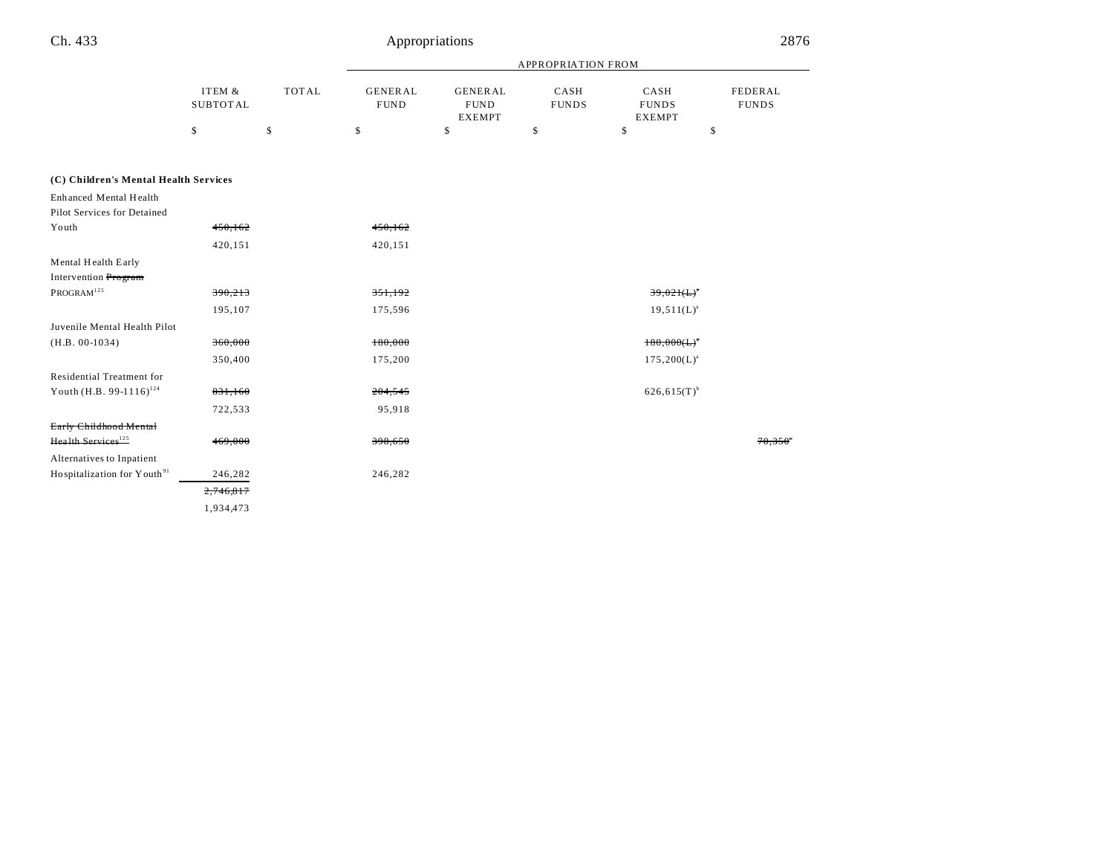# Appropriations

|                                         | ITEM &<br><b>SUBTOTAL</b> |              | <b>APPROPRIATION FROM</b>     |                                                |                      |                                       |                         |
|-----------------------------------------|---------------------------|--------------|-------------------------------|------------------------------------------------|----------------------|---------------------------------------|-------------------------|
|                                         |                           | <b>TOTAL</b> | <b>GENERAL</b><br><b>FUND</b> | <b>GENERAL</b><br><b>FUND</b><br><b>EXEMPT</b> | CASH<br><b>FUNDS</b> | CASH<br><b>FUNDS</b><br><b>EXEMPT</b> | FEDERAL<br><b>FUNDS</b> |
|                                         | \$                        | \$           | \$                            | \$                                             | \$                   | \$                                    | \$                      |
| (C) Children's Mental Health Services   |                           |              |                               |                                                |                      |                                       |                         |
| Enhanced Mental Health                  |                           |              |                               |                                                |                      |                                       |                         |
| Pilot Services for Detained             |                           |              |                               |                                                |                      |                                       |                         |
| Youth                                   | 450, 162                  |              | 450, 162                      |                                                |                      |                                       |                         |
|                                         | 420,151                   |              | 420,151                       |                                                |                      |                                       |                         |
| Mental Health Early                     |                           |              |                               |                                                |                      |                                       |                         |
| Intervention Program                    |                           |              |                               |                                                |                      |                                       |                         |
| PROGRAM <sup>125</sup>                  | 390,213                   |              | 351,192                       |                                                |                      | $39,021(L)^{n}$                       |                         |
|                                         | 195,107                   |              | 175,596                       |                                                |                      | $19,511(L)^{a}$                       |                         |
| Juvenile Mental Health Pilot            |                           |              |                               |                                                |                      |                                       |                         |
| $(H.B. 00-1034)$                        | 360,000                   |              | 180,000                       |                                                |                      | $180,000(L)$ <sup>*</sup>             |                         |
|                                         | 350,400                   |              | 175,200                       |                                                |                      | $175,200(L)^{a}$                      |                         |
| Residential Treatment for               |                           |              |                               |                                                |                      |                                       |                         |
| Youth (H.B. 99-1116) <sup>124</sup>     | 831,160                   |              | 204,545                       |                                                |                      | $626,615(T)$ <sup>b</sup>             |                         |
|                                         | 722,533                   |              | 95,918                        |                                                |                      |                                       |                         |
| Early Childhood Mental                  |                           |              |                               |                                                |                      |                                       |                         |
| Health Services <sup>125</sup>          | 469,000                   |              | 398,650                       |                                                |                      |                                       | 70,356                  |
| Alternatives to Inpatient               |                           |              |                               |                                                |                      |                                       |                         |
| Hospitalization for Youth <sup>91</sup> | 246,282                   |              | 246,282                       |                                                |                      |                                       |                         |
|                                         | 2,746,817                 |              |                               |                                                |                      |                                       |                         |
|                                         | 1,934,473                 |              |                               |                                                |                      |                                       |                         |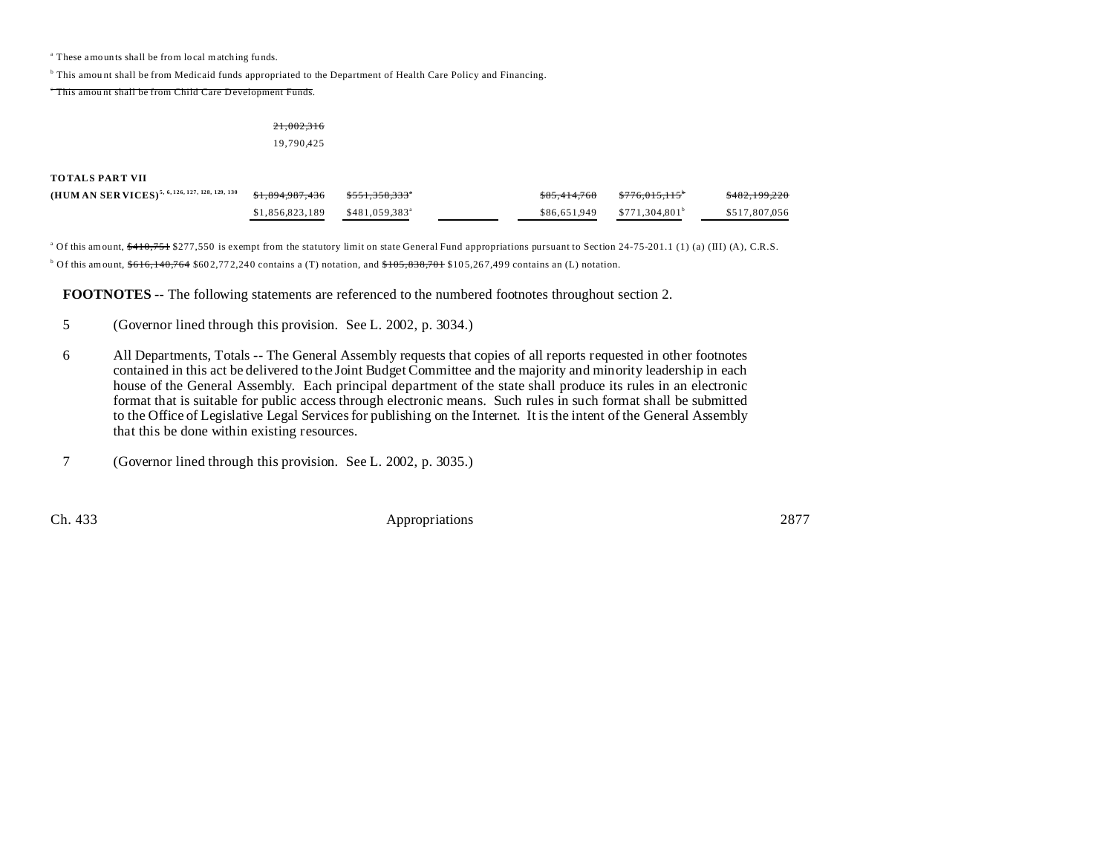a These amounts shall be from local matching fu nds.

<sup>b</sup> This amount shall be from Medicaid funds appropriated to the Department of Health Care Policy and Financing.

<sup>e</sup> This amount shall be from Child Care Development Funds.

## 21,002,316 19,790,425

## **TOTALS PART VII**

| (HUM AN SER VICES) <sup>5, 6, 126, 127, 128, 129, 130</sup> | <del>\$1.894.987.436</del> | <del>\$551,358,333</del> * | <del>\$85.414.768</del> | $$776.015.115$ <sup>6</sup> | \$482,199,220 |
|-------------------------------------------------------------|----------------------------|----------------------------|-------------------------|-----------------------------|---------------|
|                                                             | \$1,856,823,189            | \$481,059,383 <sup>a</sup> | \$86,651,949            | \$771.304.801 <sup>b</sup>  | \$517.807.056 |

<sup>a</sup> Of this amount, \$410,751 \$277,550 is exempt from the statutory limit on state General Fund appropriations pursuant to Section 24-75-201.1 (1) (a) (III) (A), C.R.S.  $^{\circ}$  Of this amount,  $\$616,140,764$   $\$602,772,240$  contains a (T) notation, and  $\$105,838,701$   $\$105,267,499$  contains an (L) notation.

**FOOTNOTES** -- The following statements are referenced to the numbered footnotes throughout section 2.

- 5 (Governor lined through this provision. See L. 2002, p. 3034.)
- 6 All Departments, Totals -- The General Assembly requests that copies of all reports requested in other footnotes contained in this act be delivered to the Joint Budget Committee and the majority and minority leadership in each house of the General Assembly. Each principal department of the state shall produce its rules in an electronic format that is suitable for public access through electronic means. Such rules in such format shall be submitted to the Office of Legislative Legal Services for publishing on the Internet. It is the intent of the General Assembly that this be done within existing resources.

7 (Governor lined through this provision. See L. 2002, p. 3035.)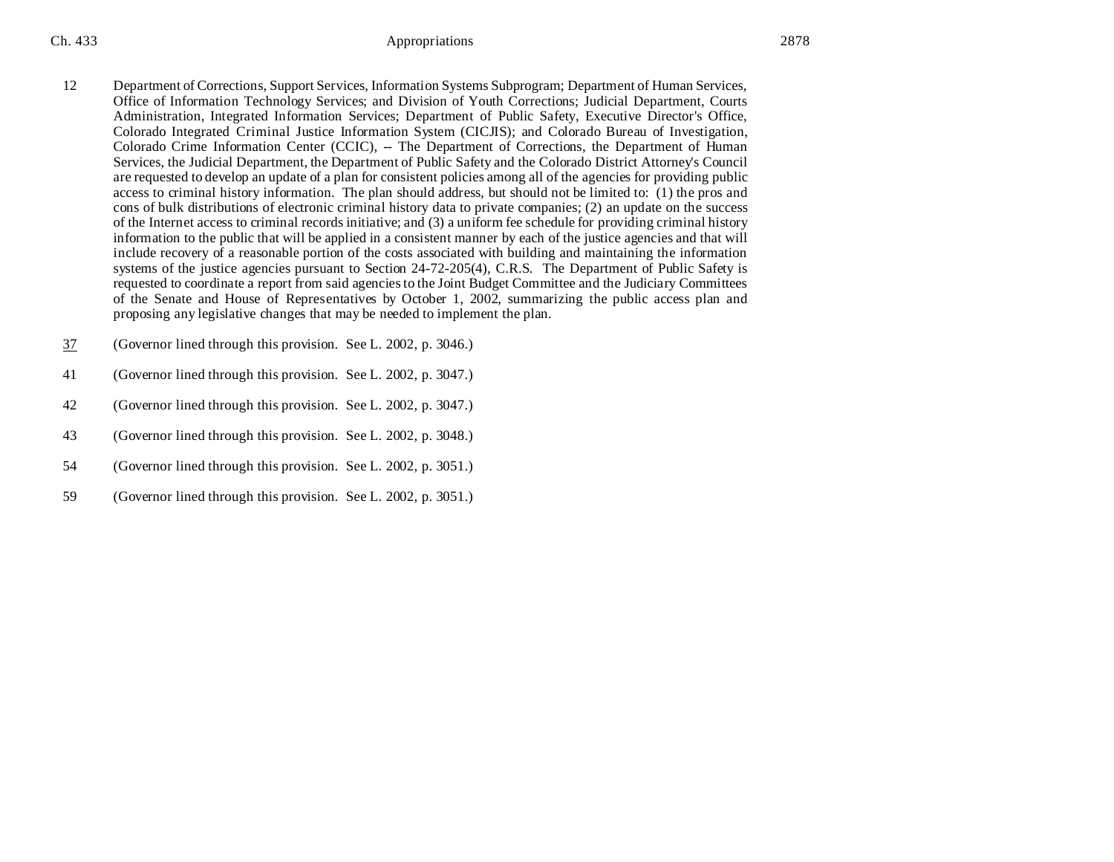- 12 Department of Corrections, Support Services, Information Systems Subprogram; Department of Human Services, Office of Information Technology Services; and Division of Youth Corrections; Judicial Department, Courts Administration, Integrated Information Services; Department of Public Safety, Executive Director's Office, Colorado Integrated Criminal Justice Information System (CICJIS); and Colorado Bureau of Investigation, Colorado Crime Information Center (CCIC), -- The Department of Corrections, the Department of Human Services, the Judicial Department, the Department of Public Safety and the Colorado District Attorney's Council are requested to develop an update of a plan for consistent policies among all of the agencies for providing public access to criminal history information. The plan should address, but should not be limited to: (1) the pros and cons of bulk distributions of electronic criminal history data to private companies; (2) an update on the success of the Internet access to criminal records initiative; and (3) a uniform fee schedule for providing criminal history information to the public that will be applied in a consistent manner by each of the justice agencies and that will include recovery of a reasonable portion of the costs associated with building and maintaining the information systems of the justice agencies pursuant to Section 24-72-205(4), C.R.S. The Department of Public Safety is requested to coordinate a report from said agencies to the Joint Budget Committee and the Judiciary Committees of the Senate and House of Representatives by October 1, 2002, summarizing the public access plan and proposing any legislative changes that may be needed to implement the plan.
- 37 (Governor lined through this provision. See L. 2002, p. 3046.)
- 41 (Governor lined through this provision. See L. 2002, p. 3047.)
- 42 (Governor lined through this provision. See L. 2002, p. 3047.)
- 43 (Governor lined through this provision. See L. 2002, p. 3048.)
- 54 (Governor lined through this provision. See L. 2002, p. 3051.)
- 59 (Governor lined through this provision. See L. 2002, p. 3051.)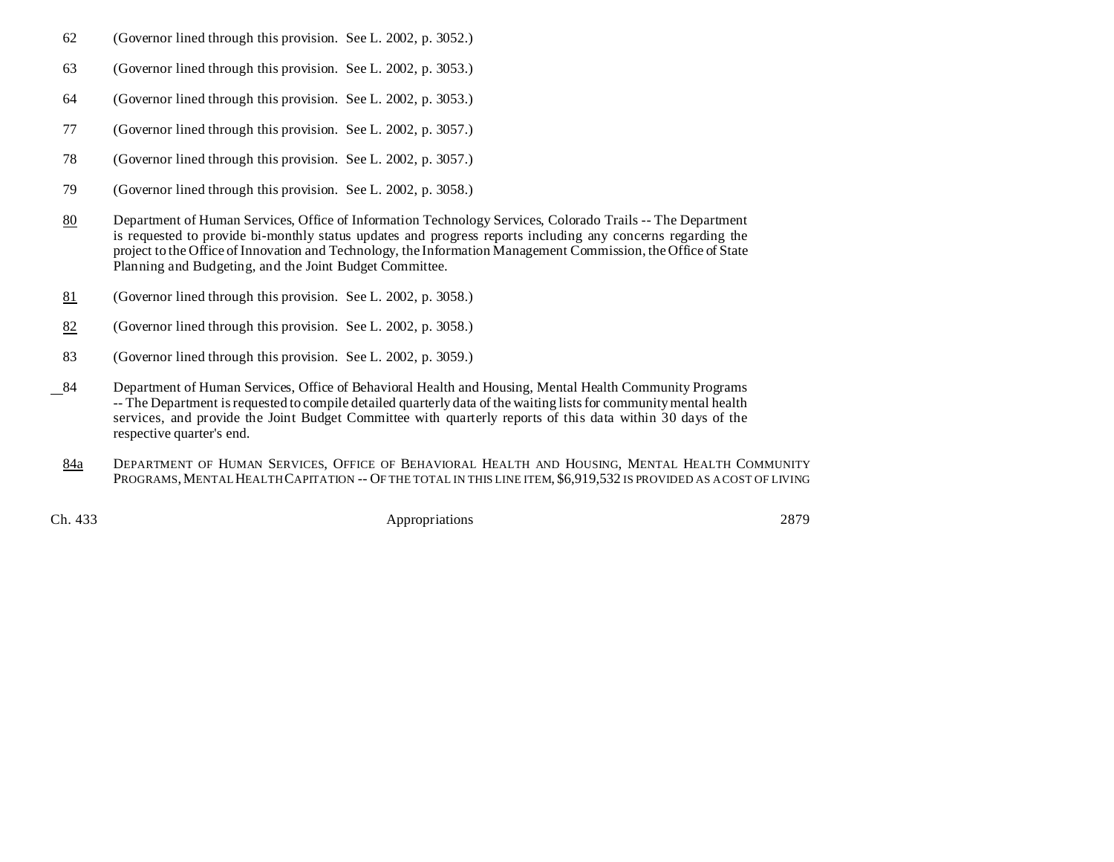- 62 (Governor lined through this provision. See L. 2002, p. 3052.)
- 63 (Governor lined through this provision. See L. 2002, p. 3053.)
- 64 (Governor lined through this provision. See L. 2002, p. 3053.)
- 77 (Governor lined through this provision. See L. 2002, p. 3057.)
- 78 (Governor lined through this provision. See L. 2002, p. 3057.)
- 79 (Governor lined through this provision. See L. 2002, p. 3058.)
- 80 Department of Human Services, Office of Information Technology Services, Colorado Trails -- The Department is requested to provide bi-monthly status updates and progress reports including any concerns regarding the project to the Office of Innovation and Technology, the Information Management Commission, the Office of State Planning and Budgeting, and the Joint Budget Committee.
- 81 (Governor lined through this provision. See L. 2002, p. 3058.)
- 82 (Governor lined through this provision. See L. 2002, p. 3058.)
- 83 (Governor lined through this provision. See L. 2002, p. 3059.)
- 84 Department of Human Services, Office of Behavioral Health and Housing, Mental Health Community Programs -- The Department is requested to compile detailed quarterly data of the waiting lists for community mental health services, and provide the Joint Budget Committee with quarterly reports of this data within 30 days of the respective quarter's end.
- 84a DEPARTMENT OF HUMAN SERVICES, OFFICE OF BEHAVIORAL HEALTH AND HOUSING, MENTAL HEALTH COMMUNITY PROGRAMS, MENTAL HEALTH CAPITATION -- OF THE TOTAL IN THIS LINE ITEM, \$6,919,532 IS PROVIDED AS A COST OF LIVING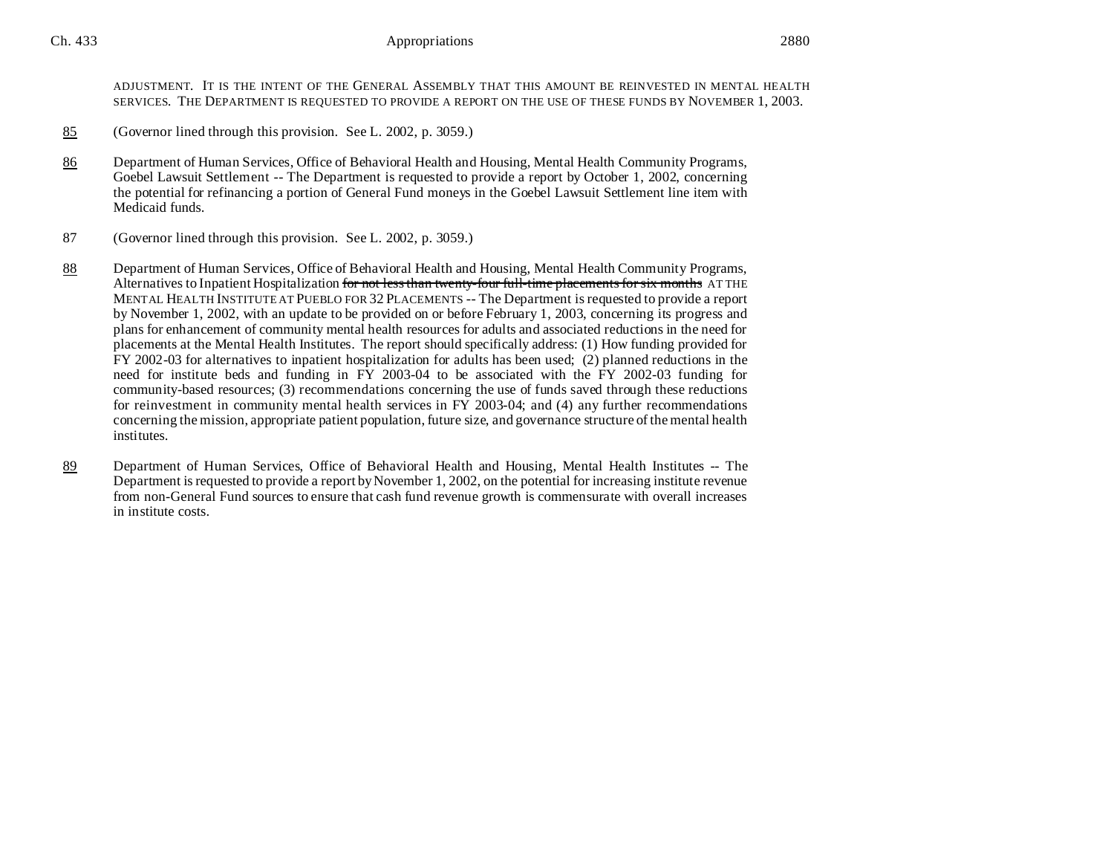ADJUSTMENT. IT IS THE INTENT OF THE GENERAL ASSEMBLY THAT THIS AMOUNT BE REINVESTED IN MENTAL HEALTH SERVICES. THE DEPARTMENT IS REQUESTED TO PROVIDE A REPORT ON THE USE OF THESE FUNDS BY NOVEMBER 1, 2003.

- 85 (Governor lined through this provision. See L. 2002, p. 3059.)
- 86 Department of Human Services, Office of Behavioral Health and Housing, Mental Health Community Programs, Goebel Lawsuit Settlement -- The Department is requested to provide a report by October 1, 2002, concerning the potential for refinancing a portion of General Fund moneys in the Goebel Lawsuit Settlement line item with Medicaid funds.
- 87 (Governor lined through this provision. See L. 2002, p. 3059.)
- 88 Department of Human Services, Office of Behavioral Health and Housing, Mental Health Community Programs, Alternatives to Inpatient Hospitalization for not less than twenty-four full-time placements for six months AT THE MENTAL HEALTH INSTITUTE AT PUEBLO FOR 32 PLACEMENTS -- The Department is requested to provide a report by November 1, 2002, with an update to be provided on or before February 1, 2003, concerning its progress and plans for enhancement of community mental health resources for adults and associated reductions in the need for placements at the Mental Health Institutes. The report should specifically address: (1) How funding provided for FY 2002-03 for alternatives to inpatient hospitalization for adults has been used; (2) planned reductions in the need for institute beds and funding in FY 2003-04 to be associated with the FY 2002-03 funding for community-based resources; (3) recommendations concerning the use of funds saved through these reductions for reinvestment in community mental health services in FY 2003-04; and (4) any further recommendations concerning the mission, appropriate patient population, future size, and governance structure of the mental health institutes.
- 89 Department of Human Services, Office of Behavioral Health and Housing, Mental Health Institutes -- The Department is requested to provide a report by November 1, 2002, on the potential for increasing institute revenue from non-General Fund sources to ensure that cash fund revenue growth is commensurate with overall increases in institute costs.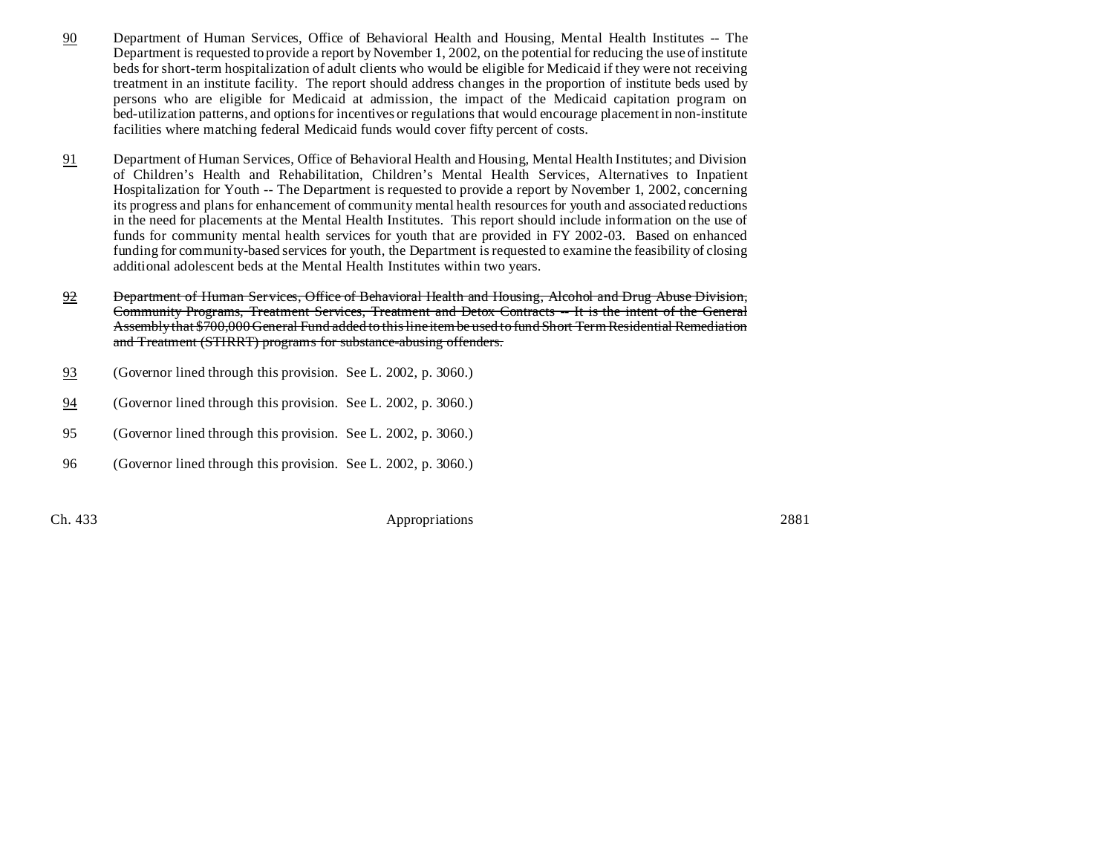- 90 Department of Human Services, Office of Behavioral Health and Housing, Mental Health Institutes -- The Department is requested to provide a report by November 1, 2002, on the potential for reducing the use of institute beds for short-term hospitalization of adult clients who would be eligible for Medicaid if they were not receiving treatment in an institute facility. The report should address changes in the proportion of institute beds used by persons who are eligible for Medicaid at admission, the impact of the Medicaid capitation program on bed-utilization patterns, and options for incentives or regulations that would encourage placement in non-institute facilities where matching federal Medicaid funds would cover fifty percent of costs.
- 91 Department of Human Services, Office of Behavioral Health and Housing, Mental Health Institutes; and Division of Children's Health and Rehabilitation, Children's Mental Health Services, Alternatives to Inpatient Hospitalization for Youth -- The Department is requested to provide a report by November 1, 2002, concerning its progress and plans for enhancement of community mental health resources for youth and associated reductions in the need for placements at the Mental Health Institutes. This report should include information on the use of funds for community mental health services for youth that are provided in FY 2002-03. Based on enhanced funding for community-based services for youth, the Department is requested to examine the feasibility of closing additional adolescent beds at the Mental Health Institutes within two years.
- 92 Department of Human Services, Office of Behavioral Health and Housing, Alcohol and Drug Abuse Division, Community Programs, Treatment Services, Treatment and Detox Contracts -- It is the intent of the General Assembly that \$700,000 General Fund added to this line item be used to fund Short Term Residential Remediation and Treatment (STIRRT) programs for substance-abusing offenders.
- 93 (Governor lined through this provision. See L. 2002, p. 3060.)
- 94 (Governor lined through this provision. See L. 2002, p. 3060.)
- 95 (Governor lined through this provision. See L. 2002, p. 3060.)
- 96 (Governor lined through this provision. See L. 2002, p. 3060.)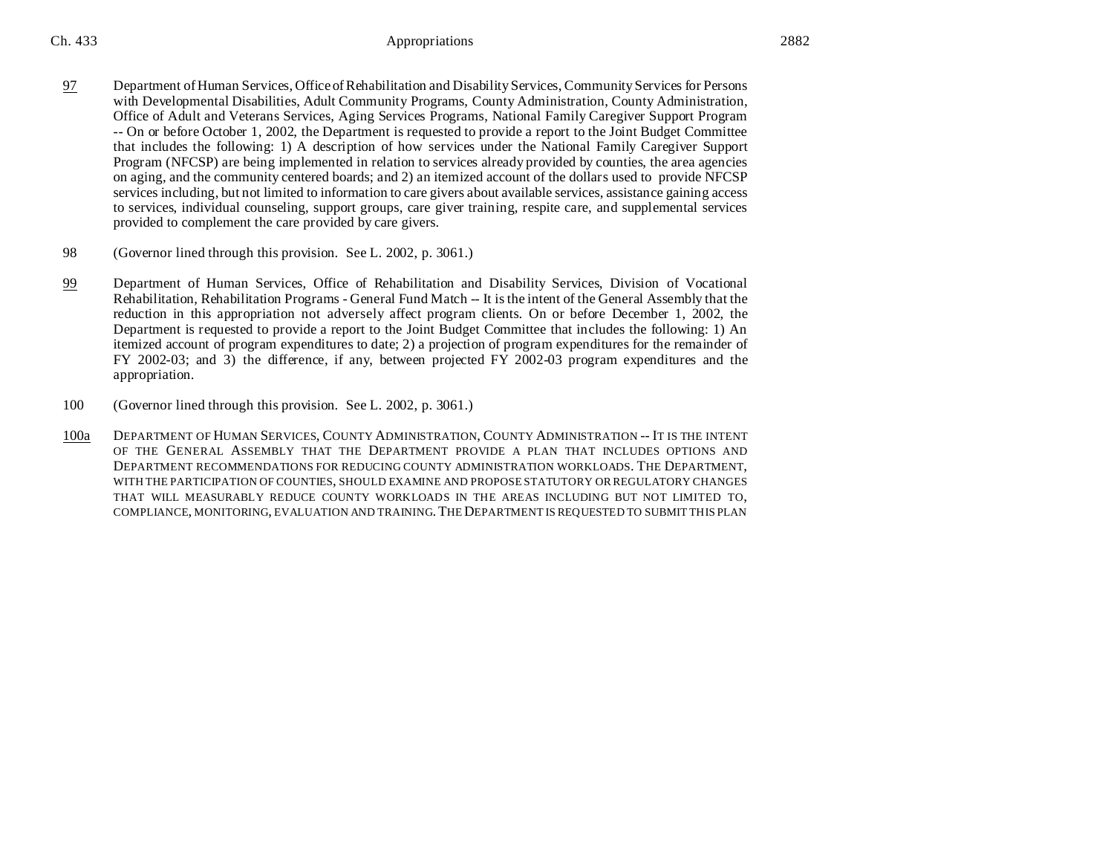- 97 Department of Human Services, Office of Rehabilitation and Disability Services, Community Services for Persons with Developmental Disabilities, Adult Community Programs, County Administration, County Administration, Office of Adult and Veterans Services, Aging Services Programs, National Family Caregiver Support Program -- On or before October 1, 2002, the Department is requested to provide a report to the Joint Budget Committee that includes the following: 1) A description of how services under the National Family Caregiver Support Program (NFCSP) are being implemented in relation to services already provided by counties, the area agencies on aging, and the community centered boards; and 2) an itemized account of the dollars used to provide NFCSP services including, but not limited to information to care givers about available services, assistance gaining access to services, individual counseling, support groups, care giver training, respite care, and supplemental services provided to complement the care provided by care givers.
- 98 (Governor lined through this provision. See L. 2002, p. 3061.)
- 99 Department of Human Services, Office of Rehabilitation and Disability Services, Division of Vocational Rehabilitation, Rehabilitation Programs - General Fund Match -- It is the intent of the General Assembly that the reduction in this appropriation not adversely affect program clients. On or before December 1, 2002, the Department is requested to provide a report to the Joint Budget Committee that includes the following: 1) An itemized account of program expenditures to date; 2) a projection of program expenditures for the remainder of FY 2002-03; and 3) the difference, if any, between projected FY 2002-03 program expenditures and the appropriation.
- 100 (Governor lined through this provision. See L. 2002, p. 3061.)
- 100a DEPARTMENT OF HUMAN SERVICES, COUNTY ADMINISTRATION, COUNTY ADMINISTRATION -- IT IS THE INTENT OF THE GENERAL ASSEMBLY THAT THE DEPARTMENT PROVIDE A PLAN THAT INCLUDES OPTIONS AND DEPARTMENT RECOMMENDATIONS FOR REDUCING COUNTY ADMINISTRATION WORKLOADS. THE DEPARTMENT, WITH THE PARTICIPATION OF COUNTIES, SHOULD EXAMINE AND PROPOSE STATUTORY OR REGULATORY CHANGES THAT WILL MEASURABLY REDUCE COUNTY WORKLOADS IN THE AREAS INCLUDING BUT NOT LIMITED TO, COMPLIANCE, MONITORING, EVALUATION AND TRAINING.THE DEPARTMENT IS REQUESTED TO SUBMIT THIS PLAN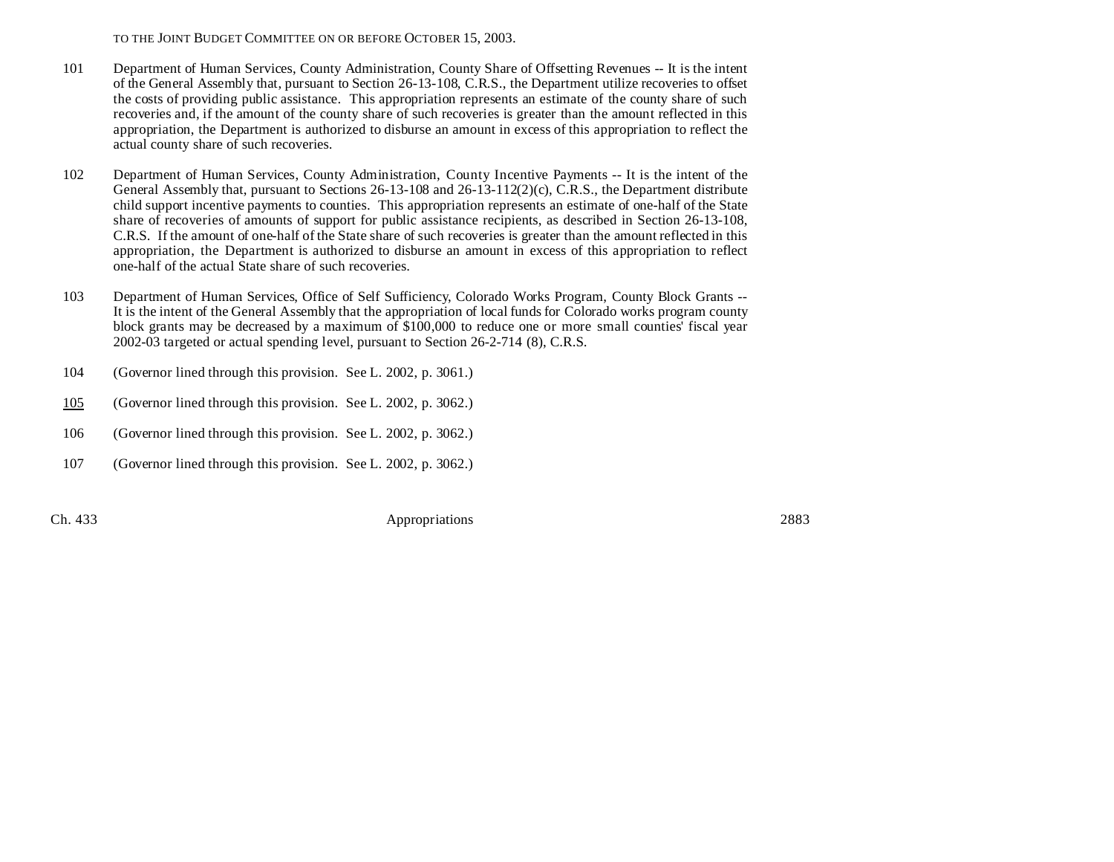- 101 Department of Human Services, County Administration, County Share of Offsetting Revenues -- It is the intent of the General Assembly that, pursuant to Section 26-13-108, C.R.S., the Department utilize recoveries to offset the costs of providing public assistance. This appropriation represents an estimate of the county share of such recoveries and, if the amount of the county share of such recoveries is greater than the amount reflected in this appropriation, the Department is authorized to disburse an amount in excess of this appropriation to reflect the actual county share of such recoveries.
- 102 Department of Human Services, County Administration, County Incentive Payments -- It is the intent of the General Assembly that, pursuant to Sections 26-13-108 and 26-13-112(2)(c), C.R.S., the Department distribute child support incentive payments to counties. This appropriation represents an estimate of one-half of the State share of recoveries of amounts of support for public assistance recipients, as described in Section 26-13-108, C.R.S. If the amount of one-half of the State share of such recoveries is greater than the amount reflected in this appropriation, the Department is authorized to disburse an amount in excess of this appropriation to reflect one-half of the actual State share of such recoveries.
- 103 Department of Human Services, Office of Self Sufficiency, Colorado Works Program, County Block Grants -- It is the intent of the General Assembly that the appropriation of local funds for Colorado works program county block grants may be decreased by a maximum of \$100,000 to reduce one or more small counties' fiscal year 2002-03 targeted or actual spending level, pursuant to Section 26-2-714 (8), C.R.S.
- 104 (Governor lined through this provision. See L. 2002, p. 3061.)
- 105 (Governor lined through this provision. See L. 2002, p. 3062.)
- 106 (Governor lined through this provision. See L. 2002, p. 3062.)
- 107 (Governor lined through this provision. See L. 2002, p. 3062.)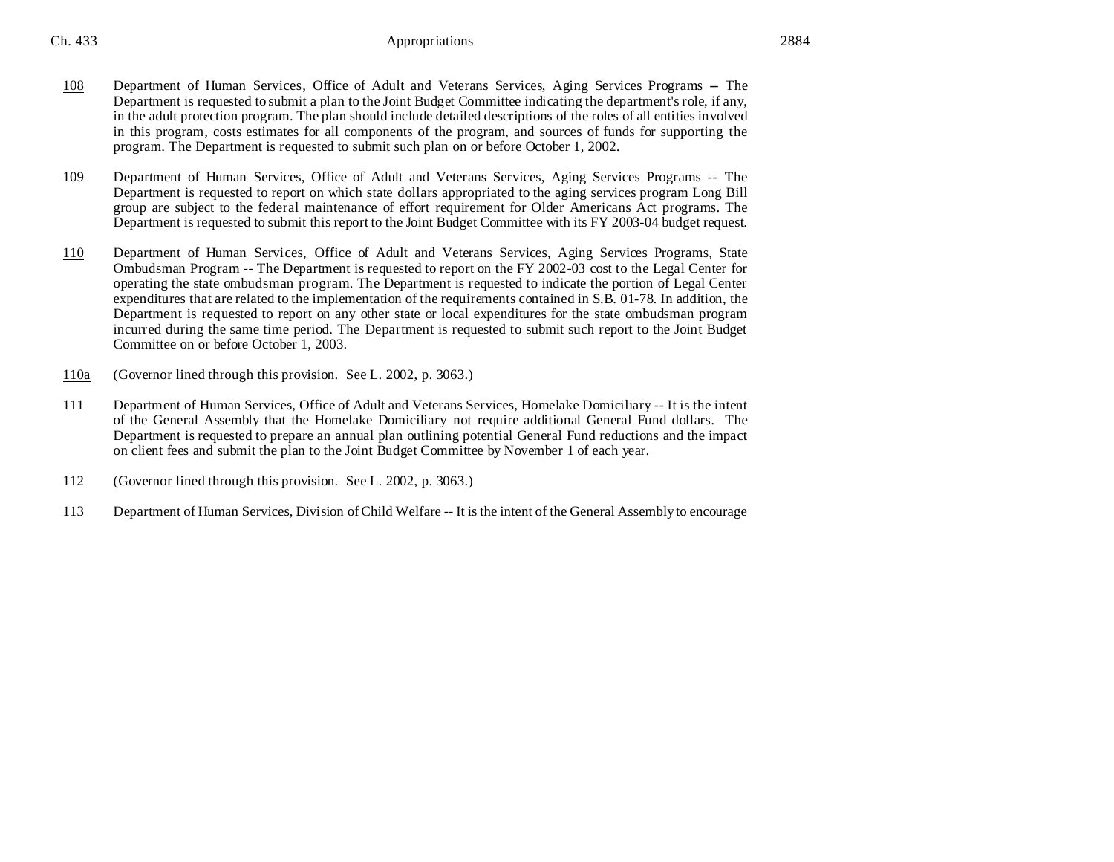- 108 Department of Human Services, Office of Adult and Veterans Services, Aging Services Programs -- The Department is requested to submit a plan to the Joint Budget Committee indicating the department's role, if any, in the adult protection program. The plan should include detailed descriptions of the roles of all entities involved in this program, costs estimates for all components of the program, and sources of funds for supporting the program. The Department is requested to submit such plan on or before October 1, 2002.
- 109 Department of Human Services, Office of Adult and Veterans Services, Aging Services Programs -- The Department is requested to report on which state dollars appropriated to the aging services program Long Bill group are subject to the federal maintenance of effort requirement for Older Americans Act programs. The Department is requested to submit this report to the Joint Budget Committee with its FY 2003-04 budget request.
- 110 Department of Human Services, Office of Adult and Veterans Services, Aging Services Programs, State Ombudsman Program -- The Department is requested to report on the FY 2002-03 cost to the Legal Center for operating the state ombudsman program. The Department is requested to indicate the portion of Legal Center expenditures that are related to the implementation of the requirements contained in S.B. 01-78. In addition, the Department is requested to report on any other state or local expenditures for the state ombudsman program incurred during the same time period. The Department is requested to submit such report to the Joint Budget Committee on or before October 1, 2003.
- 110a (Governor lined through this provision. See L. 2002, p. 3063.)
- 111 Department of Human Services, Office of Adult and Veterans Services, Homelake Domiciliary -- It is the intent of the General Assembly that the Homelake Domiciliary not require additional General Fund dollars. The Department is requested to prepare an annual plan outlining potential General Fund reductions and the impact on client fees and submit the plan to the Joint Budget Committee by November 1 of each year.
- 112 (Governor lined through this provision. See L. 2002, p. 3063.)
- 113 Department of Human Services, Division of Child Welfare -- It is the intent of the General Assembly to encourage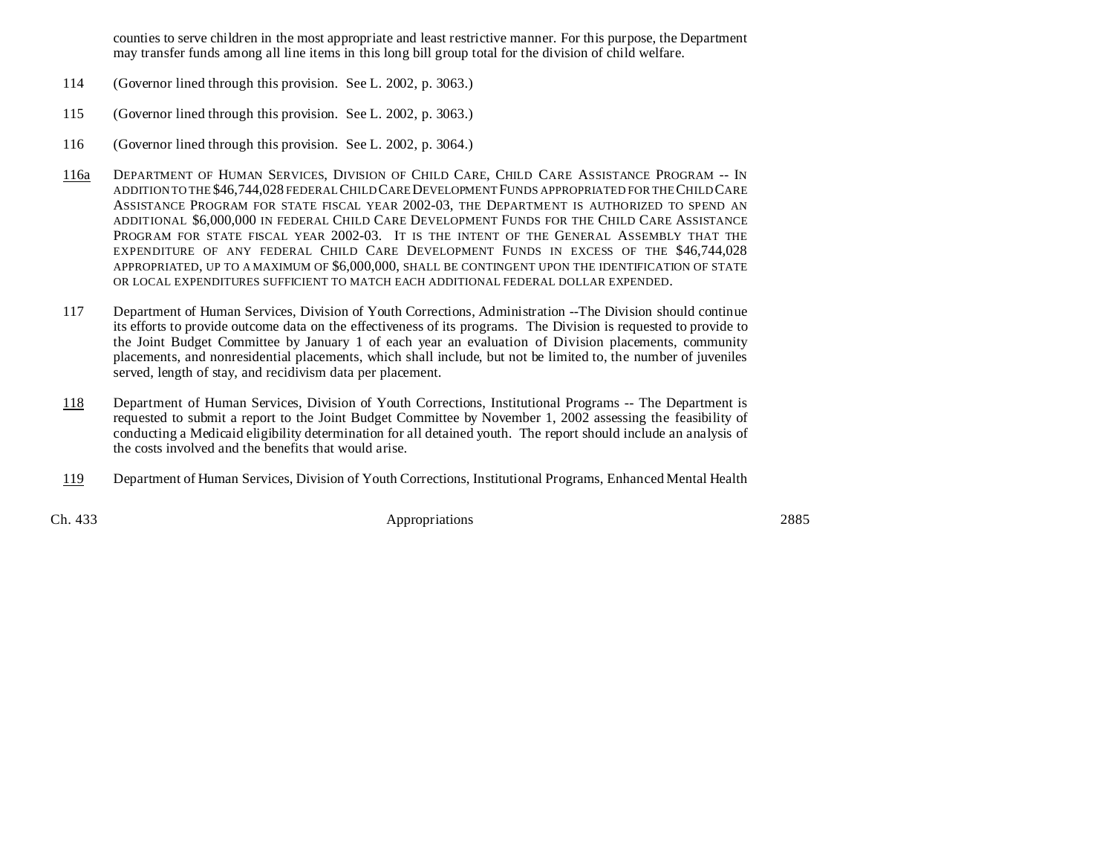counties to serve children in the most appropriate and least restrictive manner. For this purpose, the Department may transfer funds among all line items in this long bill group total for the division of child welfare.

- 114 (Governor lined through this provision. See L. 2002, p. 3063.)
- 115 (Governor lined through this provision. See L. 2002, p. 3063.)
- 116 (Governor lined through this provision. See L. 2002, p. 3064.)
- 116a DEPARTMENT OF HUMAN SERVICES, DIVISION OF CHILD CARE, CHILD CARE ASSISTANCE PROGRAM -- IN ADDITION TO THE \$46,744,028 FEDERAL CHILD CARE DEVELOPMENT FUNDS APPROPRIATED FOR THE CHILD CARE ASSISTANCE PROGRAM FOR STATE FISCAL YEAR 2002-03, THE DEPARTMENT IS AUTHORIZED TO SPEND AN ADDITIONAL \$6,000,000 IN FEDERAL CHILD CARE DEVELOPMENT FUNDS FOR THE CHILD CARE ASSISTANCE PROGRAM FOR STATE FISCAL YEAR 2002-03. IT IS THE INTENT OF THE GENERAL ASSEMBLY THAT THE EXPENDITURE OF ANY FEDERAL CHILD CARE DEVELOPMENT FUNDS IN EXCESS OF THE \$46,744,028 APPROPRIATED, UP TO A MAXIMUM OF \$6,000,000, SHALL BE CONTINGENT UPON THE IDENTIFICATION OF STATE OR LOCAL EXPENDITURES SUFFICIENT TO MATCH EACH ADDITIONAL FEDERAL DOLLAR EXPENDED.
- 117 Department of Human Services, Division of Youth Corrections, Administration --The Division should continue its efforts to provide outcome data on the effectiveness of its programs. The Division is requested to provide to the Joint Budget Committee by January 1 of each year an evaluation of Division placements, community placements, and nonresidential placements, which shall include, but not be limited to, the number of juveniles served, length of stay, and recidivism data per placement.
- 118 Department of Human Services, Division of Youth Corrections, Institutional Programs -- The Department is requested to submit a report to the Joint Budget Committee by November 1, 2002 assessing the feasibility of conducting a Medicaid eligibility determination for all detained youth. The report should include an analysis of the costs involved and the benefits that would arise.
- 119 Department of Human Services, Division of Youth Corrections, Institutional Programs, Enhanced Mental Health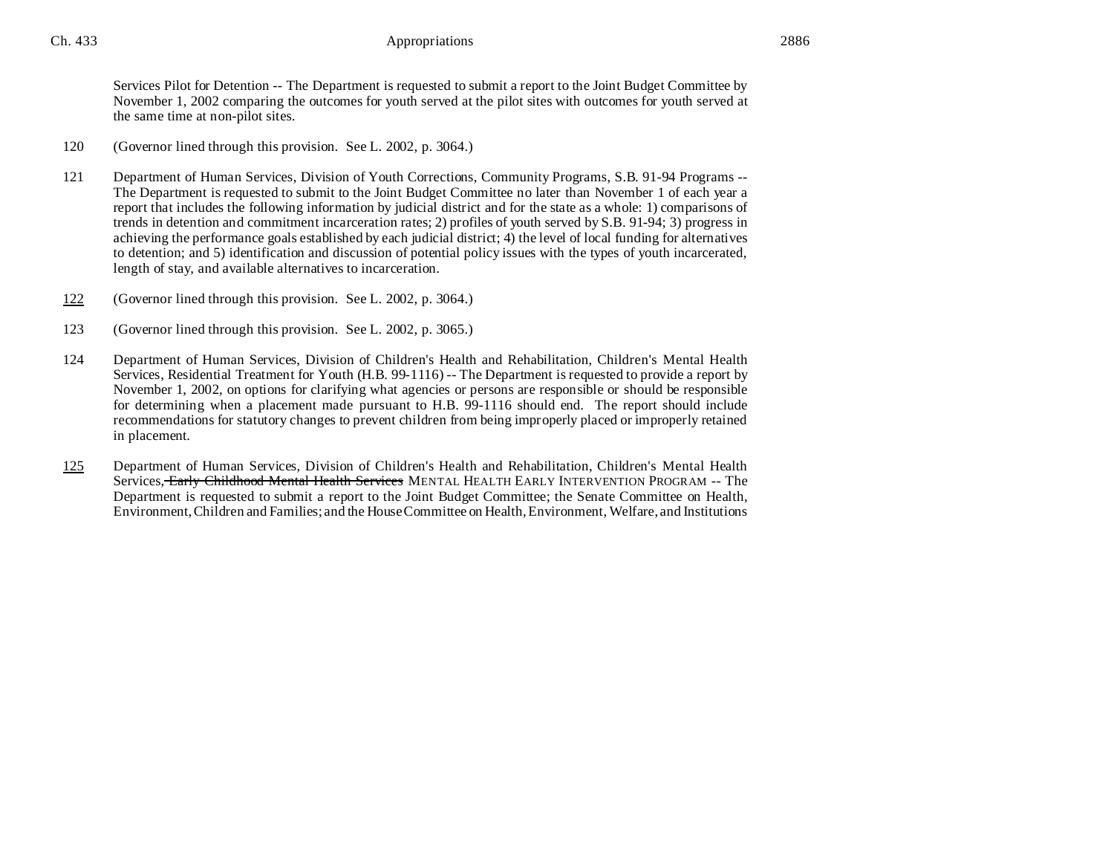Services Pilot for Detention -- The Department is requested to submit a report to the Joint Budget Committee by November 1, 2002 comparing the outcomes for youth served at the pilot sites with outcomes for youth served at the same time at non-pilot sites.

- 120 (Governor lined through this provision. See L. 2002, p. 3064.)
- 121 Department of Human Services, Division of Youth Corrections, Community Programs, S.B. 91-94 Programs -- The Department is requested to submit to the Joint Budget Committee no later than November 1 of each year a report that includes the following information by judicial district and for the state as a whole: 1) comparisons of trends in detention and commitment incarceration rates; 2) profiles of youth served by S.B. 91-94; 3) progress in achieving the performance goals established by each judicial district; 4) the level of local funding for alternatives to detention; and 5) identification and discussion of potential policy issues with the types of youth incarcerated, length of stay, and available alternatives to incarceration.
- 122 (Governor lined through this provision. See L. 2002, p. 3064.)
- 123 (Governor lined through this provision. See L. 2002, p. 3065.)
- 124 Department of Human Services, Division of Children's Health and Rehabilitation, Children's Mental Health Services, Residential Treatment for Youth (H.B. 99-1116) -- The Department is requested to provide a report by November 1, 2002, on options for clarifying what agencies or persons are responsible or should be responsible for determining when a placement made pursuant to H.B. 99-1116 should end. The report should include recommendations for statutory changes to prevent children from being improperly placed or improperly retained in placement.
- 125 Department of Human Services, Division of Children's Health and Rehabilitation, Children's Mental Health Services, Early Childhood Mental Health Services MENTAL HEALTH EARLY INTERVENTION PROGRAM -- The Department is requested to submit a report to the Joint Budget Committee; the Senate Committee on Health, Environment,Children and Families; and the House Committee on Health, Environment, Welfare, and Institutions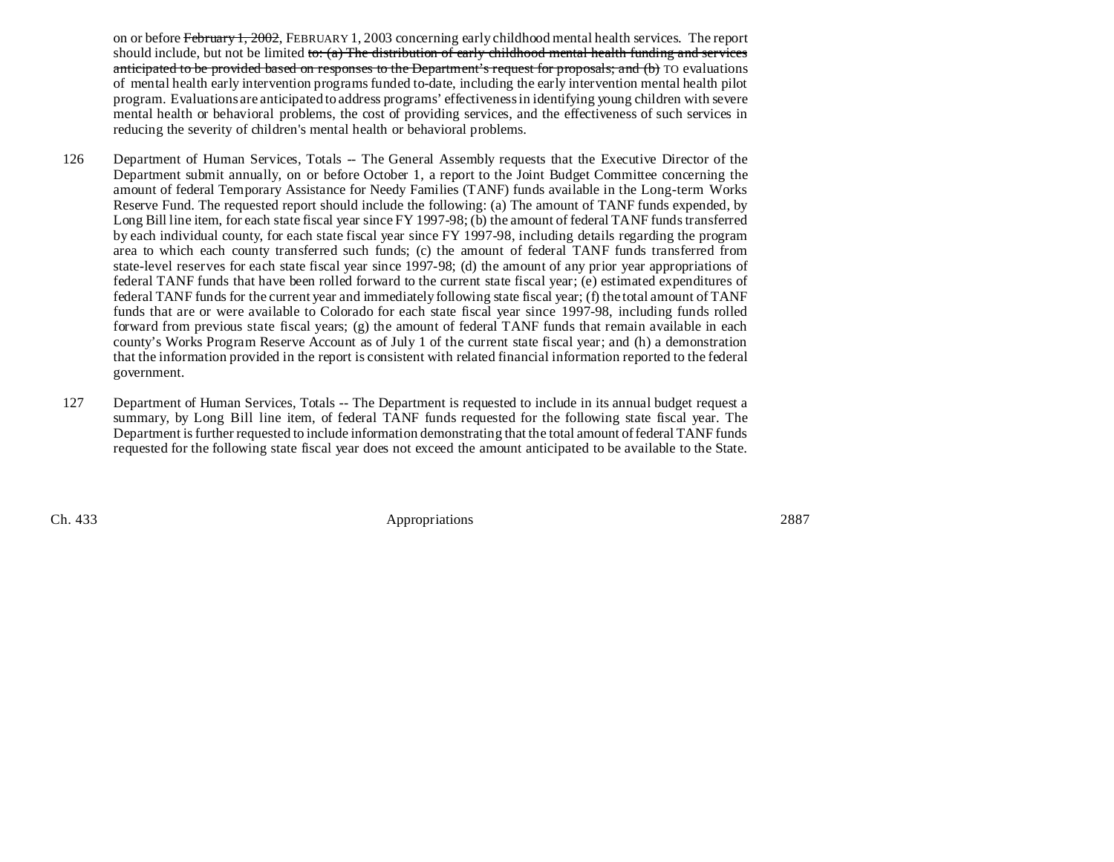on or before February 1, 2002, FEBRUARY 1, 2003 concerning early childhood mental health services. The report should include, but not be limited to:  $(a)$  The distribution of early childhood mental health funding and services anticipated to be provided based on responses to the Department's request for proposals; and (b) TO evaluations of mental health early intervention programs funded to-date, including the early intervention mental health pilot program. Evaluations are anticipated to address programs' effectiveness in identifying young children with severe mental health or behavioral problems, the cost of providing services, and the effectiveness of such services in reducing the severity of children's mental health or behavioral problems.

- 126 Department of Human Services, Totals -- The General Assembly requests that the Executive Director of the Department submit annually, on or before October 1, a report to the Joint Budget Committee concerning the amount of federal Temporary Assistance for Needy Families (TANF) funds available in the Long-term Works Reserve Fund. The requested report should include the following: (a) The amount of TANF funds expended, by Long Bill line item, for each state fiscal year since FY 1997-98; (b) the amount of federal TANF funds transferred by each individual county, for each state fiscal year since FY 1997-98, including details regarding the program area to which each county transferred such funds; (c) the amount of federal TANF funds transferred from state-level reserves for each state fiscal year since 1997-98; (d) the amount of any prior year appropriations of federal TANF funds that have been rolled forward to the current state fiscal year; (e) estimated expenditures of federal TANF funds for the current year and immediately following state fiscal year; (f) the total amount of TANF funds that are or were available to Colorado for each state fiscal year since 1997-98, including funds rolled forward from previous state fiscal years; (g) the amount of federal TANF funds that remain available in each county's Works Program Reserve Account as of July 1 of the current state fiscal year; and (h) a demonstration that the information provided in the report is consistent with related financial information reported to the federal government.
- 127 Department of Human Services, Totals -- The Department is requested to include in its annual budget request a summary, by Long Bill line item, of federal TANF funds requested for the following state fiscal year. The Department is further requested to include information demonstrating that the total amount of federal TANF funds requested for the following state fiscal year does not exceed the amount anticipated to be available to the State.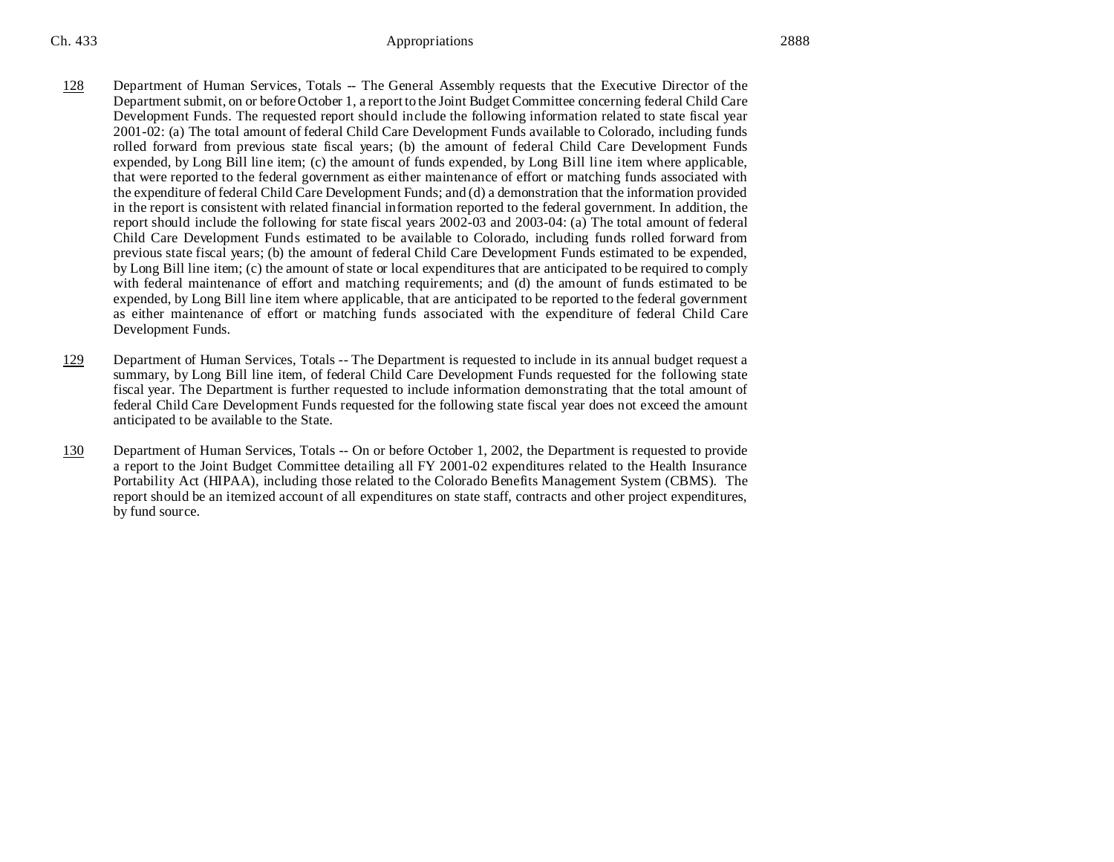- 128 Department of Human Services, Totals -- The General Assembly requests that the Executive Director of the Department submit, on or before October 1, a report to the Joint Budget Committee concerning federal Child Care Development Funds. The requested report should include the following information related to state fiscal year 2001-02: (a) The total amount of federal Child Care Development Funds available to Colorado, including funds rolled forward from previous state fiscal years; (b) the amount of federal Child Care Development Funds expended, by Long Bill line item; (c) the amount of funds expended, by Long Bill line item where applicable, that were reported to the federal government as either maintenance of effort or matching funds associated with the expenditure of federal Child Care Development Funds; and (d) a demonstration that the information provided in the report is consistent with related financial information reported to the federal government. In addition, the report should include the following for state fiscal years 2002-03 and 2003-04: (a) The total amount of federal Child Care Development Funds estimated to be available to Colorado, including funds rolled forward from previous state fiscal years; (b) the amount of federal Child Care Development Funds estimated to be expended, by Long Bill line item; (c) the amount of state or local expenditures that are anticipated to be required to comply with federal maintenance of effort and matching requirements; and (d) the amount of funds estimated to be expended, by Long Bill line item where applicable, that are anticipated to be reported to the federal government as either maintenance of effort or matching funds associated with the expenditure of federal Child Care Development Funds.
- 129 Department of Human Services, Totals -- The Department is requested to include in its annual budget request a summary, by Long Bill line item, of federal Child Care Development Funds requested for the following state fiscal year. The Department is further requested to include information demonstrating that the total amount of federal Child Care Development Funds requested for the following state fiscal year does not exceed the amount anticipated to be available to the State.
- 130 Department of Human Services, Totals -- On or before October 1, 2002, the Department is requested to provide a report to the Joint Budget Committee detailing all FY 2001-02 expenditures related to the Health Insurance Portability Act (HIPAA), including those related to the Colorado Benefits Management System (CBMS). The report should be an itemized account of all expenditures on state staff, contracts and other project expenditures, by fund source.